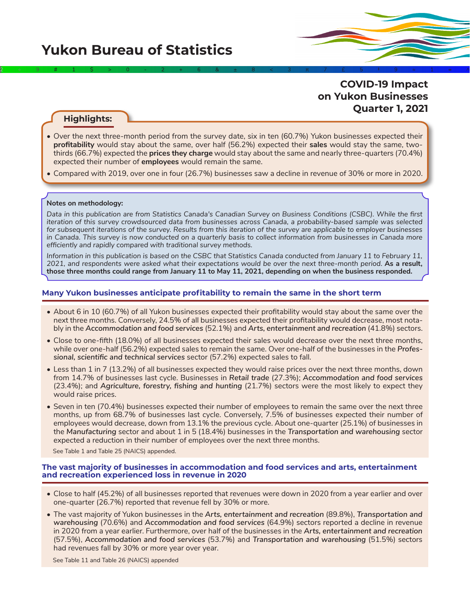

# **Highlights:**

• Over the next three-month period from the survey date, six in ten (60.7%) Yukon businesses expected their **profitability** would stay about the same, over half (56.2%) expected their **sales** would stay the same, twothirds (66.7%) expected the **prices they charge** would stay about the same and nearly three-quarters (70.4%) expected their number of **employees** would remain the same.

2÷9#1\$>0-2+6&±8<3π7£5‡9≈1∞^

• Compared with 2019, over one in four (26.7%) businesses saw a decline in revenue of 30% or more in 2020.

#### **Notes on methodology:**

*Data in this publication are from Statistics Canada's Canadian Survey on Business Conditions (CSBC). While the first iteration of this survey crowdsourced data from businesses across Canada, a probability-based sample was selected for subsequent iterations of the survey. Results from this iteration of the survey are applicable to employer businesses in Canada. This survey is now conducted on a quarterly basis to collect information from businesses in Canada more efficiently and rapidly compared with traditional survey methods.*

*Information in this publication is based on the CSBC that Statistics Canada conducted from January 11 to February 11, 2021, and respondents were asked what their expectations would be over the next three-month period.* **As a result, those three months could range from January 11 to May 11, 2021, depending on when the business responded.**

### **Many Yukon businesses anticipate profitability to remain the same in the short term**

- About 6 in 10 (60.7%) of all Yukon businesses expected their profitability would stay about the same over the next three months. Conversely, 24.5% of all businesses expected their profitability would decrease, most notably in the *Accommodation and food services* (52.1%) and *Arts, entertainment and recreation* (41.8%) sectors.
- Close to one-fifth (18.0%) of all businesses expected their sales would decrease over the next three months, while over one-half (56.2%) expected sales to remain the same. Over one-half of the businesses in the *Professional, scientific and technical services* sector (57.2%) expected sales to fall.
- Less than 1 in 7 (13.2%) of all businesses expected they would raise prices over the next three months, down from 14.7% of businesses last cycle. Businesses in *Retail trade* (27.3%); *Accommodation and food services*  (23.4%); and *Agriculture, forestry, fishing and hunting* (21.7%) sectors were the most likely to expect they would raise prices.
- Seven in ten (70.4%) businesses expected their number of employees to remain the same over the next three months, up from 68.7% of businesses last cycle. Conversely, 7.5% of businesses expected their number of employees would decrease, down from 13.1% the previous cycle. About one-quarter (25.1%) of businesses in the *Manufacturing* sector and about 1 in 5 (18.4%) businesses in the *Transportation and warehousing* sector expected a reduction in their number of employees over the next three months.

See Table 1 and Table 25 (NAICS) appended.

#### **The vast majority of businesses in accommodation and food services and arts, entertainment and recreation experienced loss in revenue in 2020**

- Close to half (45.2%) of all businesses reported that revenues were down in 2020 from a year earlier and over one-quarter (26.7%) reported that revenue fell by 30% or more.
- The vast majority of Yukon businesses in the *Arts, entertainment and recreation* (89.8%), *Transportation and warehousing* (70.6%) and *Accommodation and food services* (64.9%) sectors reported a decline in revenue in 2020 from a year earlier. Furthermore, over half of the businesses in the *Arts, entertainment and recreation* (57.5%), *Accommodation and food services* (53.7%) and *Transportation and warehousing* (51.5%) sectors had revenues fall by 30% or more year over year.

See Table 11 and Table 26 (NAICS) appended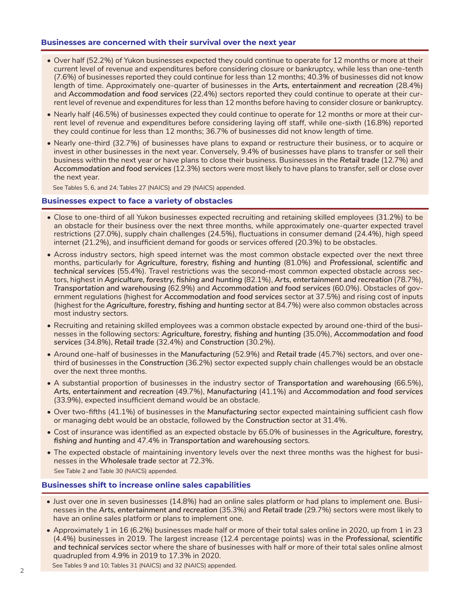# **Businesses are concerned with their survival over the next year**

- Over half (52.2%) of Yukon businesses expected they could continue to operate for 12 months or more at their current level of revenue and expenditures before considering closure or bankruptcy, while less than one-tenth (7.6%) of businesses reported they could continue for less than 12 months; 40.3% of businesses did not know length of time. Approximately one-quarter of businesses in the *Arts, entertainment and recreation* (28.4%) and *Accommodation and food services* (22.4%) sectors reported they could continue to operate at their current level of revenue and expenditures for less than 12 months before having to consider closure or bankruptcy.
- Nearly half (46.5%) of businesses expected they could continue to operate for 12 months or more at their current level of revenue and expenditures before considering laying off staff, while one-sixth (16.8%) reported they could continue for less than 12 months; 36.7% of businesses did not know length of time.
- Nearly one-third (32.7%) of businesses have plans to expand or restructure their business, or to acquire or invest in other businesses in the next year. Conversely, 9.4% of businesses have plans to transfer or sell their business within the next year or have plans to close their business. Businesses in the *Retail trade* (12.7%) and *Accommodation and food services* (12.3%) sectors were most likely to have plans to transfer, sell or close over the next year.

See Tables 5, 6, and 24; Tables 27 (NAICS) and 29 (NAICS) appended.

# **Businesses expect to face a variety of obstacles**

- Close to one-third of all Yukon businesses expected recruiting and retaining skilled employees (31.2%) to be an obstacle for their business over the next three months, while approximately one-quarter expected travel restrictions (27.0%), supply chain challenges (24.5%), fluctuations in consumer demand (24.4%), high speed internet (21.2%), and insufficient demand for goods or services offered (20.3%) to be obstacles.
- Across industry sectors, high speed internet was the most common obstacle expected over the next three months, particularly for *Agriculture, forestry, fishing and hunting* (81.0%) and *Professional, scientific and technical services* (55.4%). Travel restrictions was the second-most common expected obstacle across sectors, highest in *Agriculture, forestry, fishing and hunting* (82.1%), *Arts, entertainment and recreation* (78.7%), *Transportation and warehousing* (62.9%) and *Accommodation and food services* (60.0%). Obstacles of government regulations (highest for *Accommodation and food services* sector at 37.5%) and rising cost of inputs (highest for the *Agriculture, forestry, fishing and hunting* sector at 84.7%) were also common obstacles across most industry sectors.
- Recruiting and retaining skilled employees was a common obstacle expected by around one-third of the businesses in the following sectors: *Agriculture, forestry, fishing and hunting* (35.0%), *Accommodation and food services* (34.8%), *Retail trade* (32.4%) and *Construction* (30.2%).
- Around one-half of businesses in the *Manufacturing* (52.9%) and *Retail trade* (45.7%) sectors, and over onethird of businesses in the *Construction* (36.2%) sector expected supply chain challenges would be an obstacle over the next three months.
- A substantial proportion of businesses in the industry sector of *Transportation and warehousing* (66.5%), *Arts, entertainment and recreation* (49.7%), *Manufacturing* (41.1%) and *Accommodation and food services* (33.9%), expected insufficient demand would be an obstacle.
- Over two-fifths (41.1%) of businesses in the *Manufacturing* sector expected maintaining sufficient cash flow or managing debt would be an obstacle, followed by the *Construction* sector at 31.4%.
- Cost of insurance was identified as an expected obstacle by 65.0% of businesses in the *Agriculture, forestry, fishing and hunting* and 47.4% in *Transportation and warehousing* sectors.
- The expected obstacle of maintaining inventory levels over the next three months was the highest for businesses in the *Wholesale trade* sector at 72.3%. See Table 2 and Table 30 (NAICS) appended.

#### **Businesses shift to increase online sales capabilities**

- Just over one in seven businesses (14.8%) had an online sales platform or had plans to implement one. Businesses in the *Arts, entertainment and recreation* (35.3%) and *Retail trade* (29.7%) sectors were most likely to have an online sales platform or plans to implement one.
- Approximately 1 in 16 (6.2%) businesses made half or more of their total sales online in 2020, up from 1 in 23 (4.4%) businesses in 2019. The largest increase (12.4 percentage points) was in the *Professional, scientific and technical services* sector where the share of businesses with half or more of their total sales online almost quadrupled from 4.9% in 2019 to 17.3% in 2020.

See Tables 9 and 10; Tables 31 (NAICS) and 32 (NAICS) appended.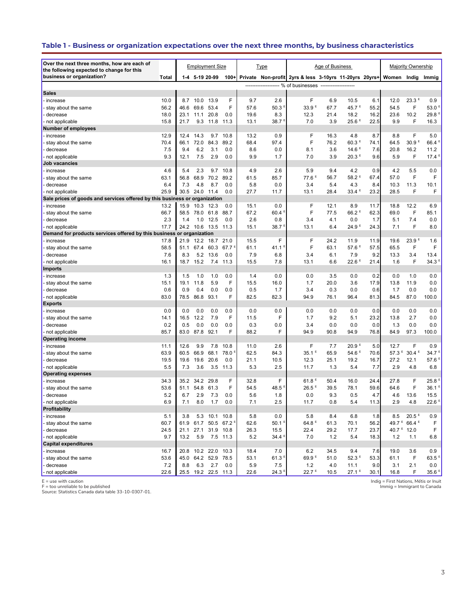# **Table 1 - Business or organization expectations over the next three months, by business characteristics**

| Over the next three months, how are each of<br>the following expected to change for this |       |              |                | <b>Employment Size</b> |                             |      | <u>Type</u>         |                                                          | Age of Business |                           |              |                        | Majority Ownership                  |                             |
|------------------------------------------------------------------------------------------|-------|--------------|----------------|------------------------|-----------------------------|------|---------------------|----------------------------------------------------------|-----------------|---------------------------|--------------|------------------------|-------------------------------------|-----------------------------|
| business or organization?                                                                | Total |              | 1-4 5-19 20-99 |                        | $100+$                      |      |                     | Private Non-profit 2yrs & less 3-10yrs 11-20yrs 20yrs+   |                 |                           |              | Women Indig            |                                     | Immig                       |
|                                                                                          |       |              |                |                        |                             |      |                     | ------------------- % of businesses -------------------- |                 |                           |              |                        |                                     |                             |
| <b>Sales</b>                                                                             |       |              |                |                        |                             |      |                     |                                                          |                 |                           |              |                        |                                     |                             |
| · increase                                                                               | 10.0  |              | 8.7 10.0 13.9  |                        | F                           | 9.7  | 2.6                 | F                                                        | 6.9             | 10.5                      | 6.1          | 12.0                   | 23.3E                               | 0.9                         |
| stay about the same                                                                      | 56.2  | 46.6         | 69.6           | 53.4                   | F                           | 57.6 | 50.3 <sup>E</sup>   | 33.9 <sup>E</sup>                                        | 67.7            | 45.7 <sup>E</sup>         | 55.2         | 54.5                   | F                                   | 53.0 <sup>E</sup>           |
| decrease                                                                                 | 18.0  | 23.1         | 11.1           | 20.8                   | 0.0                         | 19.6 | 8.3                 | 12.3                                                     | 21.4            | 18.2                      | 16.2         | 23.6                   | 10.2                                | 29.8 <sup>E</sup>           |
| not applicable                                                                           | 15.8  | 21.7         | 9.3            | 11.8                   | 11.3                        | 13.1 | 38.7 <sup>E</sup>   | 7.0                                                      | 3.9             | 25.6 <sup>E</sup>         | 22.5         | 9.9                    | F                                   | 16.3                        |
| <b>Number of employees</b>                                                               |       |              |                |                        |                             |      |                     |                                                          |                 |                           |              |                        |                                     |                             |
| - increase                                                                               | 12.9  | 12.4         | 14.3           | 9.7                    | 10.8                        | 13.2 | 0.9                 | F                                                        | 16.3            | 4.8                       | 8.7          | 8.8                    | F                                   | 5.0                         |
| stay about the same                                                                      | 70.4  | 66.1         | 72.0           | 84.3                   | 89.2                        | 68.4 | 97.4                | F                                                        | 76.2            | $60.3$ <sup>E</sup>       | 74.1         | 64.5                   | 30.9 <sup>E</sup>                   | 66.4 <sup>E</sup>           |
| decrease                                                                                 | 7.5   | 9.4          | 6.2            | 3.1                    | 0.0                         | 8.6  | 0.0                 | 8.1                                                      | 3.6             | 14.6 <sup>E</sup>         | 7.6          | 20.8                   | 16.2                                | 11.2                        |
| not applicable                                                                           | 9.3   | 12.1         | 7.5            | 2.9                    | 0.0                         | 9.9  | 1.7                 | 7.0                                                      | 3.9             | 20.3 <sup>E</sup>         | 9.6          | 5.9                    | F                                   | 17.4 <sup>E</sup>           |
| Job vacancies                                                                            |       |              |                |                        |                             |      |                     |                                                          |                 |                           |              |                        |                                     |                             |
| increase                                                                                 | 4.6   | 5.4          | 2.3            | 9.7                    | 10.8                        | 4.9  | 2.6                 | 5.9                                                      | 9.4             | 4.2                       | 0.9          | 4.2                    | 5.5                                 | 0.0                         |
| stay about the same                                                                      | 63.1  | 56.8         | 68.9           | 70.2                   | 89.2                        | 61.5 | 85.7                | 77.6 <sup>E</sup>                                        | 56.7            | 58.2 <sup>E</sup>         | 67.4         | 57.0                   | F                                   | F                           |
| decrease                                                                                 | 6.4   | 7.3          | 4.8            | 8.7                    | 0.0                         | 5.8  | 0.0                 | 3.4                                                      | 5.4             | 4.3                       | 8.4          | 10.3                   | 11.3                                | 10.1                        |
| not applicable                                                                           | 25.9  | 30.5         | 24.0           | 11.4                   | 0.0                         | 27.7 | 11.7                | 13.1                                                     | 28.4            | 33.4 <sup>E</sup>         | 23.2         | 28.5                   | F                                   | F                           |
| Sale prices of goods and services offered by this business or organization               |       |              |                |                        |                             |      |                     |                                                          |                 |                           |              |                        |                                     |                             |
| · increase                                                                               | 13.2  | 15.9         | 10.3 12.3      |                        | 0.0                         | 15.1 | 0.0                 | F                                                        | 12.1            | 8.9                       | 11.7         | 18.8                   | 12.2                                | 6.9                         |
| stay about the same                                                                      | 66.7  | 58.5         | 78.0 61.8      |                        | 88.7                        | 67.2 | 60.4                | F                                                        | 77.5            | 66.2 <sup>E</sup>         | 62.3         | 69.0                   | F                                   | 85.1                        |
| decrease                                                                                 | 2.3   | 1.4          | 1.0            | 12.5                   | 0.0                         | 2.6  | 0.8                 | 3.4                                                      | 4.1             | 0.0                       | 1.7          | 5.1                    | 7.4                                 | 0.0                         |
| not applicable                                                                           | 17.7  | 24.2         | 10.6           | 13.5                   | 11.3                        | 15.1 | 38.7                | 13.1                                                     | 6.4             | 24.9 <sup>E</sup>         | 24.3         | 7.1                    | F                                   | 8.0                         |
| Demand for products services offered by this business or organization                    | 17.8  |              |                |                        |                             | 15.5 | F                   | F                                                        |                 |                           |              |                        | 23.9 <sup>E</sup>                   |                             |
| increase<br>stay about the same                                                          | 58.5  | 21.9<br>51.1 | 67.4           | 12.2 18.7<br>60.3      | 21.0<br>$67.7^{\circ}$      | 61.1 | $41.1^{\circ}$      | F                                                        | 24.2<br>63.1    | 11.9<br>57.6 <sup>E</sup> | 11.9<br>57.5 | 19.6<br>65.5           | F                                   | 1.6<br>F                    |
| decrease                                                                                 | 7.6   | 8.3          |                | 5.2 13.6               | 0.0                         | 7.9  | 6.8                 | 3.4                                                      | 6.1             | 7.9                       | 9.2          | 13.3                   | 3.4                                 | 13.4                        |
| not applicable                                                                           | 16.1  | 18.7         | 15.2           | 7.4                    | 11.3                        | 15.5 | 7.8                 | 13.1                                                     | 6.6             | $22.6$ <sup>E</sup>       | 21.4         | 1.6                    | F                                   | 34.3 <sup>5</sup>           |
| <b>Imports</b>                                                                           |       |              |                |                        |                             |      |                     |                                                          |                 |                           |              |                        |                                     |                             |
| · increase                                                                               | 1.3   | 1.5          | 1.0            | 1.0                    | 0.0                         | 1.4  | 0.0                 | 0.0                                                      | 3.5             | 0.0                       | 0.2          | 0.0                    | 1.0                                 | 0.0                         |
| stay about the same                                                                      | 15.1  | 19.1         | 11.8           | 5.9                    | F                           | 15.5 | 16.0                | 1.7                                                      | 20.0            | 3.6                       | 17.9         | 13.8                   | 11.9                                | 0.0                         |
| decrease                                                                                 | 0.6   | 0.9          | 0.4            | 0.0                    | 0.0                         | 0.5  | 1.7                 | 3.4                                                      | 0.3             | 0.0                       | 0.6          | 1.7                    | 0.0                                 | 0.0                         |
| not applicable                                                                           | 83.0  | 78.5         | 86.8           | 93.1                   | F                           | 82.5 | 82.3                | 94.9                                                     | 76.1            | 96.4                      | 81.3         | 84.5                   | 87.0                                | 100.0                       |
| <b>Exports</b>                                                                           |       |              |                |                        |                             |      |                     |                                                          |                 |                           |              |                        |                                     |                             |
| increase                                                                                 | 0.0   | 0.0          | 0.0            | 0.0                    | 0.0                         | 0.0  | 0.0                 | 0.0                                                      | 0.0             | 0.0                       | 0.0          | 0.0                    | 0.0                                 | 0.0                         |
| stay about the same                                                                      | 14.1  | 16.5         | 12.2           | 7.9                    | F                           | 11.5 | F                   | 1.7                                                      | 9.2             | 5.1                       | 23.2         | 13.8                   | 2.7                                 | 0.0                         |
| decrease                                                                                 | 0.2   | 0.5          | 0.0            | 0.0                    | 0.0                         | 0.3  | 0.0                 | 3.4                                                      | 0.0             | 0.0                       | 0.0          | 1.3                    | 0.0                                 | 0.0                         |
| not applicable                                                                           | 85.7  | 83.0         | 87.8           | 92.1                   | F                           | 88.2 | F                   | 94.9                                                     | 90.8            | 94.9                      | 76.8         | 84.9                   | 97.3                                | 100.0                       |
| <b>Operating income</b>                                                                  |       |              |                |                        |                             |      |                     |                                                          |                 |                           |              |                        |                                     |                             |
| increase                                                                                 | 11.1  | 12.6         | 9.9            | 7.8                    | 10.8                        | 11.0 | 2.6                 | F                                                        | 7.7             | 20.9 <sup>E</sup>         | 5.0          | 12.7                   | F                                   | 0.9                         |
| stay about the same                                                                      | 63.9  | 60.5         | 66.9           | 68.1                   | 78.0 <sup>E</sup>           | 62.5 | 84.3                | 35.1 <sup>E</sup>                                        | 65.9            | 54.6 <sup>E</sup>         | 70.6         | 57.3 <sup>E</sup>      | 30.4 <sup>E</sup>                   | 34.7 <sup>E</sup>           |
| decrease                                                                                 | 19.5  | 19.6         | 19.6           | 20.6                   | 0.0                         | 21.1 | 10.5                | 12.3                                                     | 25.1            | 19.2                      | 16.7         | 27.2                   | 12.1                                | 57.6                        |
| not applicable                                                                           | 5.5   | 7.3          | 3.6            | 3.5                    | 11.3                        | 5.3  | 2.5                 | 11.7                                                     | 1.3             | 5.4                       | 7.7          | 2.9                    | 4.8                                 | 6.8                         |
| <b>Operating expenses</b>                                                                |       |              |                |                        |                             |      |                     |                                                          |                 |                           |              |                        |                                     |                             |
| increase                                                                                 | 34.3  | 35.2         | 34.2           | 29.8                   | F                           | 32.8 | F                   | 61.8 $E$                                                 | 50.4            | 16.0                      | 24.4         | 27.8                   | F<br>F                              | 25.8 <sup>E</sup>           |
| stay about the same                                                                      | 53.6  | 51.1         | 54.8           | 61.3                   | F                           | 54.5 | 48.5                | $26.5$ <sup>E</sup>                                      | 39.5            | 78.1                      | 59.6         | 64.6                   |                                     | 36.1 <sup>E</sup>           |
| decrease                                                                                 | 5.2   | 6.7<br>7.1   | 2.9            | 7.3<br>1.7             | 0.0                         | 5.6  | 1.8                 | 0.0                                                      | 9.3             | 0.5                       | 4.7          | 4.6<br>2.9             | 13.6                                | 15.5<br>$22.6$ <sup>E</sup> |
| not applicable<br>Profitability                                                          | 6.9   |              | 8.0            |                        | 0.0                         | 7.1  | 2.5                 | 11.7                                                     | 0.8             | 5.4                       | 11.3         |                        | 4.8                                 |                             |
| increase                                                                                 | 5.1   | 3.8          |                | 5.3 10.1 10.8          |                             | 5.8  | 0.0                 | 5.8                                                      | 8.4             | 6.8                       | 1.8          | 8.5                    | 20.5 <sup>E</sup>                   | 0.9                         |
| stay about the same                                                                      | 60.7  | 61.9         |                |                        | 61.7 50.5 67.2 <sup>E</sup> | 62.6 | 50.1 <sup>E</sup>   | 64.8 $E$                                                 | 61.3            | 70.1                      | 56.2         |                        | 49.7 <sup>E</sup> 66.4 <sup>E</sup> | F                           |
| decrease                                                                                 | 24.5  | 21.1         |                | 27.1 31.9 10.8         |                             | 26.3 | 15.5                | 22.4                                                     | 29.2            | 17.7                      | 23.7         | 40.7 <sup>E</sup> 12.0 |                                     | F                           |
| not applicable                                                                           | 9.7   | 13.2         | 5.9            | 7.5 11.3               |                             | 5.2  | 34.4 <sup>E</sup>   | 7.0                                                      | 1.2             | 5.4                       | 18.3         | 1.2                    | 1.1                                 | 6.8                         |
| <b>Capital expenditures</b>                                                              |       |              |                |                        |                             |      |                     |                                                          |                 |                           |              |                        |                                     |                             |
| increase                                                                                 | 16.7  | 20.8         |                | 10.2 22.0 10.3         |                             | 18.4 | 7.0                 | 6.2                                                      | 34.5            | 9.4                       | 7.6          | 19.0                   | 3.6                                 | 0.9                         |
| stay about the same                                                                      | 53.6  | 45.0         | 64.2 52.9      |                        | 78.5                        | 53.1 | $61.3$ <sup>E</sup> | 69.9 <sup>E</sup>                                        | 51.0            | 52.3E                     | 53.3         | 61.1                   | F                                   | 63.5E                       |
| decrease                                                                                 | 7.2   | 8.8          | 6.3            | 2.7                    | 0.0                         | 5.9  | 7.5                 | 1.2                                                      | 4.0             | 11.1                      | 9.0          | 3.1                    | 2.1                                 | 0.0                         |
| not applicable                                                                           | 22.6  |              |                | 25.5 19.2 22.5 11.3    |                             | 22.6 | $24.3$ <sup>E</sup> | 22.7 <sup>E</sup>                                        | 10.5            | $27.1^E$                  | 30.1         | 16.8                   | F                                   | 35.6 $E$                    |

E = use with caution F = too unreliable to be published Source: Statistics Canada data table 33-10-0307-01.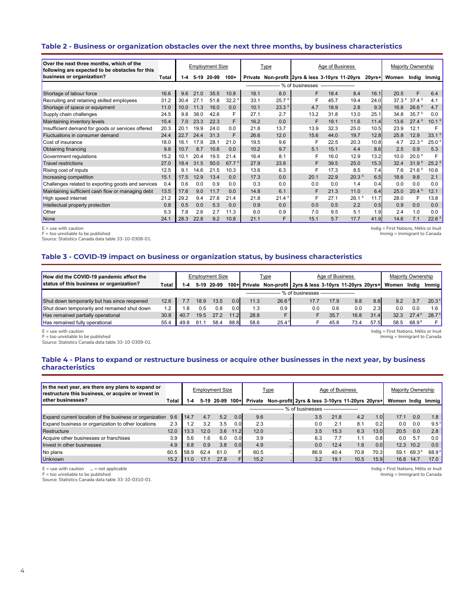# **Table 2 - Business or organization obstacles over the next three months, by business characteristics**

| Over the next three months, which of the<br>following are expected to be obstacles for this |       |         |      | <b>Employment Size</b> |                   |      | <b>Type</b>       |                                                         | Age of Business |                   |        |       | Majority Ownership                  |                     |
|---------------------------------------------------------------------------------------------|-------|---------|------|------------------------|-------------------|------|-------------------|---------------------------------------------------------|-----------------|-------------------|--------|-------|-------------------------------------|---------------------|
| business or organization?                                                                   | Total | $1 - 4$ |      | 5-19 20-99             | $100+$            |      |                   | Private Non-profit 2yrs & less 3-10yrs 11-20yrs         |                 |                   | 20yrs+ | Women | Indig                               | Immig               |
|                                                                                             |       |         |      |                        |                   |      |                   | ------------------- % of businesses ------------------- |                 |                   |        |       |                                     |                     |
| Shortage of labour force                                                                    | 16.6  | 9.6     | 21.0 | 35.5                   | 10.8              | 18.1 | 8.0               | F                                                       | 18.4            | 8.4               | 16.1   | 20.5  | F                                   | 6.4                 |
| Recruiting and retaining skilled employees                                                  | 31.2  | 30.4    | 27.1 | 51.8                   | 32.2 <sup>E</sup> | 33.1 | 25.7 <sup>E</sup> | F                                                       | 45.7            | 19.4              | 24.0   |       | 37.3 <sup>€</sup> 37.4 <sup>€</sup> | 4.1                 |
| Shortage of space or equipment                                                              | 11.0  | 10.0    | 11.3 | 16.0                   | 0.0               | 10.1 | 23.3E             | 4.7                                                     | 18.9            | 2.8               | 9.3    | 16.8  | 26.6E                               | 4.7                 |
| Supply chain challenges                                                                     | 24.5  | 9.8     | 38.0 | 42.6                   | F                 | 27.1 | 2.7               | 13.2                                                    | 31.8            | 13.0              | 25.1   | 34.8  | 35.7 <sup>E</sup>                   | 0.0                 |
| Maintaining inventory levels                                                                | 15.4  | 7.0     | 23.3 | 22.3                   | F                 | 16.2 | 0.0               | F                                                       | 19.1            | 11.6              | 11.4   | 13.6  | 27.4E                               | 10.1 <sup>E</sup>   |
| Insufficient demand for goods or services offered                                           | 20.3  | 20.1    | 19.9 | 24.0                   | 0.0               | 21.8 | 13.7              | 13.9                                                    | 32.3            | 25.0              | 10.5   | 23.9  | 12.1                                | F                   |
| Fluctuations in consumer demand                                                             | 24.4  | 22.7    | 24.4 | 31.3                   | F                 | 26.6 | 12.0              | 15.6                                                    | 44.0            | 19.7              | 12.8   | 25.8  | 12.9                                | $33.1$ <sup>E</sup> |
| Cost of insurance                                                                           | 18.0  | 16.1    | 17.9 | 28.1                   | 21.0              | 19.5 | 9.6               | F                                                       | 22.5            | 20.3              | 10.8   | 4.7   | 22.3 <sup>E</sup>                   | $25.0$ <sup>E</sup> |
| <b>Obtaining financing</b>                                                                  | 9.8   | 10.7    | 8.7  | 10.6                   | 0.0               | 10.2 | 9.7               | 5.1                                                     | 15.1            | 4.4               | 8.6    | 2.5   | 0.9                                 | 5.3                 |
| Government regulations                                                                      | 15.2  | 10.1    | 20.4 | 19.5                   | 21.4              | 16.4 | 8.1               | F                                                       | 16.0            | 12.9              | 13.2   | 10.0  | 20.0 <sup>E</sup>                   | E                   |
| <b>Travel restrictions</b>                                                                  | 27.0  | 18.4    | 31.5 | 50.0                   | 67.7 $E$          | 27.9 | 23.8              | F                                                       | 39.5            | 25.0              | 15.3   | 32.4  | 31.9 <sup>E</sup>                   | $25.2^E$            |
| Rising cost of inputs                                                                       | 12.5  | 9.1     | 14.6 | 21.5                   | 10.3              | 13.6 | 6.3               | F                                                       | 17.3            | 8.5               | 7.4    | 7.6   | 21.6 <sup>E</sup>                   | 10.6                |
| Increasing competition                                                                      | 15.1  | 17.5    | 12.9 | 13.4                   | 0.0               | 17.3 | 0.0               | 20.1                                                    | 22.9            | 20.3 <sup>E</sup> | 6.5    | 18.6  | 9.8                                 | 2.1                 |
| Challenges related to exporting goods and services                                          | 0.4   | 0.6     | 0.0  | 0.9                    | 0.0               | 0.3  | 0.0               | 0.0                                                     | 0.0             | 1.4               | 0.4    | 0.0   | 0.0                                 | 0.0                 |
| Maintaining sufficient cash flow or managing debt                                           | 13.5  | 17.6    | 9.0  | 11.7                   | 0.0               | 14.8 | 6.1               | F                                                       | 21.3            | 11.0              | 6.4    | 25.0  | 20.4 <sup>E</sup>                   | 12.1                |
| High speed internet                                                                         | 21.2  | 29.2    | 9.4  | 27.8                   | 21.4              | 21.8 | $21.4^E$          | F                                                       | 27.1            | 26.1 <sup>E</sup> | 11.7   | 28.0  | F                                   | 13.8                |
| Intellectual property protection                                                            | 0.8   | 0.5     | 0.0  | 5.3                    | 0.0               | 0.9  | 0.0               | 0.0                                                     | 0.5             | 2.2               | 0.5    | 0.9   | 0.0                                 | 0.0                 |
| Other                                                                                       | 5.3   | 7.8     | 2.6  | 2.7                    | 11.3              | 6.0  | 0.9               | 7.0                                                     | 9.5             | 5.1               | 1.9    | 2.4   | 1.0                                 | 0.0                 |
| None                                                                                        | 24.1  | 28.3    | 22.8 | 9.2                    | 10.8              | 21.1 | F                 | 15.1                                                    | 5.7             | 17.7              | 41.9   | 14.6  | 7.1                                 | $22.6$ <sup>E</sup> |

 $E =$  use with caution

Indig = First Nations, Métis or Inuit

F = too unreliable to be published

Source: Statistics Canada data table 33-10-0308-01.

Immig = Immigrant to Canada

#### **Table 3 - COVID-19 impact on business or organization status, by business characteristics**

| How did the COVID-19 pandemic affect the     |       |      |      | <b>Employment Size</b> |         |      | <u>Type</u>       |                                                        | Age of Business |      |      |       | Majority Ownership |                   |
|----------------------------------------------|-------|------|------|------------------------|---------|------|-------------------|--------------------------------------------------------|-----------------|------|------|-------|--------------------|-------------------|
| status of this business or organization?     | Total | $-4$ |      | 5-19 20-99             | $100 +$ |      |                   | Private Non-profit 2yrs & less 3-10yrs 11-20yrs 20yrs+ |                 |      |      | Women | India              | Immig             |
|                                              |       |      |      |                        |         |      |                   | % of businesses -------------------                    |                 |      |      |       |                    |                   |
| Shut down temporarily but has since reopened | 12.6  |      | 18.9 | 13.5                   | 0.0     | 11.3 | 26.6 <sup>E</sup> | 17.7                                                   | 17.9            | 9.8  | 8.8  | 9.2   | 3.7                | $20.3^{\text{E}}$ |
| Shut down temporarily and remained shut down | 1.2   | .8   | 0.5  | 0.8                    | 0.0     | 1.3  | 0.9               | 0.0                                                    | 0.6             | 0.0  | 2.3  | 0.0   | 0.0                | $1.6-1$           |
| Has remained partially operational           | 30.8  | 40.7 | 19.5 | 27.2                   | 11.2    | 28.8 |                   |                                                        | 35.7            | 16.8 | 31.4 | 32.3  | 27.4E              | $28.7^{\text{E}}$ |
| Has remained fully operational               | 55.4  | 49.8 | 61.  | 58.4                   | 88.8    | 58.6 | 25.4 <sup>E</sup> |                                                        | 45.8            | 73.4 | 57.5 | 58.5  | 68.9 <sup>E</sup>  | F I               |

 $E =$  use with caution

F = too unreliable to be published

Source: Statistics Canada data table 33-10-0309-01.

Indig = First Nations, Métis or Inuit Immig = Immigrant to Canada

# **Table 4 - Plans to expand or restructure business or acquire other businesses in the next year, by business characteristics**

| In the next year, are there any plans to expand or<br>restructure this business, or acquire or invest in |       |         |      | <b>Employment Size</b> |      |         | <b>Type</b>             |                                                | Age of Business |      |      | Majority Ownership |       |                   |
|----------------------------------------------------------------------------------------------------------|-------|---------|------|------------------------|------|---------|-------------------------|------------------------------------------------|-----------------|------|------|--------------------|-------|-------------------|
| other businesses?                                                                                        | Total | $1 - 4$ |      | 5-19 20-99 100+        |      | Private |                         | Non-profit 2yrs & less 3-10yrs 11-20yrs 20yrs+ |                 |      |      | Women India        |       | Immig             |
|                                                                                                          |       |         |      |                        |      |         | ---------------------   | % of businesses --------------------           |                 |      |      |                    |       |                   |
| Expand current location of the business or organization                                                  | 9.6   | 14.7    | 4.7  | 5.2                    | 0.01 | 9.6     | $\cdot$ $\cdot$ $\cdot$ | 3.5                                            | 21.8            | 4.2  | 1.01 | 17.1               | 0.0   | 1.8               |
| Expand business or organization to other locations                                                       | 2.3   | $\cdot$ | 3.2  | 3.5                    | 0.01 | 2.3     |                         | 0.0                                            | 2.1             | 8.1  | 0.2  | 0.0                | 0.0   | $9.5^{\text{E}}$  |
| Restructure                                                                                              | 12.0  | 13.3    | 12.0 | 3.6                    | 11.2 | 12.0    | $\cdots$                | 3.5                                            | 15.3            | 6.3  | 13.0 | 20.5               | 0.0   | 2.8               |
| Acquire other businesses or franchises                                                                   | 3.9   | 5.6     | 1.6  | 6.0                    | 0.01 | 3.9     |                         | 6.3                                            | 7.7             | 1.1  | 0.8  | 0.0                | 5.7   | 0.0               |
| Invest in other businesses                                                                               | 4.9   | 8.8     | 0.9  | 3.8                    | 0.01 | 4.9     |                         | 0.0                                            | 12.4            | 1.6  | 0.01 | 12.3               | 10.2  | 0.0               |
| No plans                                                                                                 | 60.5  | 58.9    | 62.4 | 61.0                   |      | 60.5    |                         | 86.9                                           | 40.4            | 70.8 | 70.3 | 59.1               | 69.3E | $68.9^{\text{E}}$ |
| Unknown                                                                                                  | 15.2  | 11.0    | 17.1 | 27.9                   |      | 15.2    |                         | 3.2                                            | 19.1            | 10.5 | 15.9 | 16.8               | 14.7  | 17.0              |

E = use with caution **...** = not applicable

F = too unreliable to be published

Source: Statistics Canada data table 33-10-0310-01.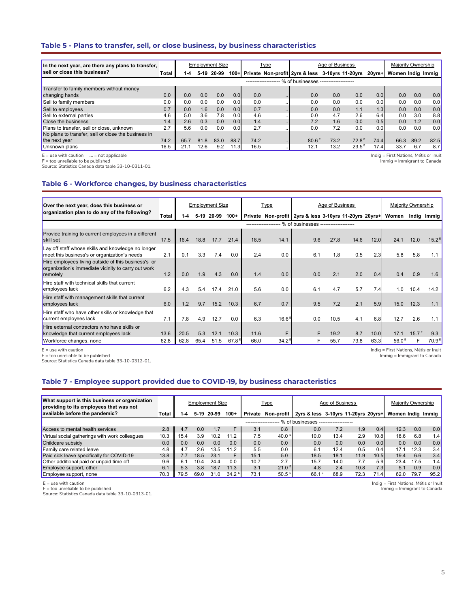#### **Table 5 - Plans to transfer, sell, or close business, by business characteristics**

| In the next year, are there any plans to transfer,  |       |      |      | <b>Employment Size</b> |        |                      | Type |                                                 | Age of Business |                   |                  | Maiority Ownership |      |      |
|-----------------------------------------------------|-------|------|------|------------------------|--------|----------------------|------|-------------------------------------------------|-----------------|-------------------|------------------|--------------------|------|------|
| sell or close this business?                        | Total | 1-4  |      | 5-19 20-99             | $100+$ |                      |      | Private Non-profit 2yrs & less 3-10yrs 11-20yrs |                 |                   | 20vrs+l          | Women Indig Immig  |      |      |
|                                                     |       |      |      |                        |        | -------------------- |      | % of businesses --------------------            |                 |                   |                  |                    |      |      |
| Transfer to family members without money            |       |      |      |                        |        |                      |      |                                                 |                 |                   |                  |                    |      |      |
| changing hands                                      | 0.0   | 0.0  | 0.0  | 0.0                    | 0.0    | 0.0                  |      | 0.0                                             | 0.0             | 0.0               | 0.01             | 0.0                | 0.0  | 0.0  |
| Sell to family members                              | 0.0   | 0.0  | 0.0  | 0.0                    | 0.0    | 0.0                  |      | 0.0                                             | 0.0             | 0.0               | 0.0              | 0.0                | 0.0  | 0.0  |
| Sell to employees                                   | 0.7   | 0.0  | 1.6  | 0.0                    | 0.0    | 0.7                  |      | 0.0                                             | 0.0             | 1.1               | 1.3 <sub>l</sub> | 0.0                | 0.0  | 0.0  |
| Sell to external parties                            | 4.6   | 5.0  | 3.6  | 7.8                    | 0.0    | 4.6                  |      | 0.0                                             | 4.7             | 2.6               | 6.4              | 0.0                | 3.0  | 8.8  |
| <b>Close the businsess</b>                          | 1.4   | 2.6  | 0.3  | 0.0                    | 0.0    | 1.4                  |      | 7.2                                             | 1.6             | 0.0               | 0.5              | 0.0                | 1.2  | 0.0  |
| Plans to transfer, sell or close, unknown           | 2.7   | 5.6  | 0.0  | 0.0                    | 0.0    | 2.7                  |      | 0.0                                             | 7.2             | 0.0               | 0.0              | 0.0                | 0.0  | 0.0  |
| No plans to transfer, sell or close the business in |       |      |      |                        |        |                      |      |                                                 |                 |                   |                  |                    |      |      |
| the next year                                       | 74.2  | 65.7 | 81.8 | 83.0                   | 88.7   | 74.2                 |      | 80.6 <sup>E</sup>                               | 73.2            | 72.8 <sup>E</sup> | 74.4             | 66.3               | 89.2 | 82.5 |
| Unknown plans                                       | 16.5  | 21.7 | 12.6 | 9.2                    | 11.3   | 16.5                 |      | 12.1                                            | 13.2            | $23.5^{\circ}$    | 17.4             | 33.7               | 6.7  | 8.7  |

E = use with caution **...** = not applicable F = too unreliable to be published

Source: Statistics Canada data table 33-10-0311-01.

Indig = First Nations, Métis or Inuit Immig = Immigrant to Canada

## **Table 6 - Workforce changes, by business characteristics**

| Over the next year, does this business or                                                                              |       |      |      | <b>Employment Size</b> |                   |      | Type              |                                                        | Age of Business |      |      |                   | Majority Ownership |                   |
|------------------------------------------------------------------------------------------------------------------------|-------|------|------|------------------------|-------------------|------|-------------------|--------------------------------------------------------|-----------------|------|------|-------------------|--------------------|-------------------|
| organization plan to do any of the following?                                                                          | Total | I-4  |      | 5-19 20-99             | $100+$            |      |                   | Private Non-profit 2yrs & less 3-10yrs 11-20yrs 20yrs+ |                 |      |      | Women             |                    | Indig Immig       |
|                                                                                                                        |       |      |      |                        |                   |      |                   | % of businesses --------------------                   |                 |      |      |                   |                    |                   |
| Provide training to current employees in a different<br>skill set                                                      | 17.5  | 16.4 | 18.8 | 17.7                   | 21.4              | 18.5 | 14.1              | 9.6                                                    | 27.8            | 14.6 | 12.0 | 24.1              | 12.0               | $15.2^E$          |
| Lay off staff whose skills and knowledge no longer<br>meet this business's or organization's needs                     | 2.1   | 0.1  | 3.3  | 7.4                    | 0.0               | 2.4  | 0.0               | 6.1                                                    | 1.8             | 0.5  | 2.3  | 5.8               | 5.8                | 1.1               |
| Hire employees living outside of this business's or<br>organization's immediate vicinity to carry out work<br>remotely | 1.2   | 0.0  | 1.9  | 4.3                    | 0.0               | 1.4  | 0.0               | 0.0                                                    | 2.1             | 2.0  | 0.4  | 0.4               | 0.9                | 1.6               |
| Hire staff with technical skills that current<br>employees lack                                                        | 6.2   | 4.3  | 5.4  | 17.4                   | 21.0              | 5.6  | 0.0               | 6.1                                                    | 4.7             | 5.7  | 7.4  | 1.0               | 10.4               | 14.2              |
| Hire staff with management skills that current<br>employees lack                                                       | 6.0   | 1.2  | 9.7  | 15.2                   | 10.3              | 6.7  | 0.7               | 9.5                                                    | 7.2             | 2.1  | 5.9  | 15.0              | 12.3               | 1.1               |
| Hire staff who have other skills or knowledge that<br>current employees lack                                           | 7.1   | 7.8  | 4.9  | 12.7                   | 0.0               | 6.3  | 16.6 <sup>E</sup> | 0.0                                                    | 10.5            | 4.1  | 6.8  | 12.7              | 2.6                | 1.1               |
| Hire external contractors who have skills or<br>knowledge that current employees lack                                  | 13.6  | 20.5 | 5.3  | 12.1                   | 10.3              | 11.6 | F                 |                                                        | 19.2            | 8.7  | 10.0 | 17.1              | 15.7 <sup>E</sup>  | 9.3               |
| Workforce changes, none                                                                                                | 62.8  | 62.8 | 65.4 | 51.5                   | $67.8^{\text{E}}$ | 66.0 | $34.2^{\circ}$    |                                                        | 55.7            | 73.8 | 63.3 | 56.0 <sup>E</sup> |                    | 70.9 <sup>E</sup> |

E = use with caution F = too unreliable to be published

Source: Statistics Canada data table 33-10-0312-01.

# **Table 7 - Employee support provided due to COVID-19, by business characteristics**

| What support is this business or organization<br>providing to its employees that was not |       |      |      | <b>Employment Size</b> |                   |         | <b>Type</b>         |                                     | Age of Business |      |      | Majority Ownership |      |                  |
|------------------------------------------------------------------------------------------|-------|------|------|------------------------|-------------------|---------|---------------------|-------------------------------------|-----------------|------|------|--------------------|------|------------------|
| available before the pandemic?                                                           | Total | 1-4  | 5-19 | 20-99                  | $100+$            | Private | Non-profit          | 2vrs & less 3-10vrs 11-20vrs 20vrs+ |                 |      |      | Women India        |      | Immia            |
|                                                                                          |       |      |      |                        |                   |         |                     | % of businesses -                   |                 |      |      |                    |      |                  |
| Access to mental health services                                                         | 2.8   | 4.7  | 0.0  | 1.7                    | F                 | 3.1     | 0.8                 | 0.0                                 | 7.2             | 1.9  | 0.4  | 12.3               | 0.0  | 0.0 <sub>1</sub> |
| Virtual social gatherings with work colleagues                                           | 10.3  | 15.4 | 3.9  | 10.2                   | 11.2              | 7.5     | 40.0 $E$            | 10.0                                | 13.4            | 2.9  | 10.8 | 18.6               | 6.8  | 1.4              |
| Childcare subsidy                                                                        | 0.0   | 0.0  | 0.0  | 0.0                    | 0.0               | 0.0     | 0.0                 | 0.0                                 | 0.0             | 0.0  | 0.0  | 0.0                | 0.0  | 0.0              |
| Family care related leave                                                                | 4.8   | 4.7  | 2.6  | 13.5                   | 11.2              | 5.5     | 0.0                 | 6.1                                 | 12.4            | 0.5  | 0.4  | 17.1               | 12.3 | 3.4              |
| Paid sick leave specifically for COVID-19                                                | 13.8  | 7.7  | 18.5 | 23.1                   | F                 | 15.1    | 5.0                 | 18.5                                | 18.1            | 11.9 | 10.5 | 19.4               | 6.6  | 3.4              |
| Other additional paid or unpaid time off                                                 | 9.6   | 6.1  | 10.4 | 24.4                   | 0.0               | 10.7    | 2.7                 | 15.7                                | 14.0            | 7.7  | 5.9  | 23.4               | 17.5 | 1.4              |
| Employee support, other                                                                  | 6.1   | 5.3  | 3.8  | 18.7                   | 11.3              | 3.1     | $21.0$ <sup>E</sup> | 4.8                                 | 2.4             | 10.8 | 7.3  | 5.1                | 0.9  | 0.0              |
| Employee support, none                                                                   | 70.3  | 79.5 | 69.0 | 31.0                   | 34.2 <sup>E</sup> | 73.1    | 50.5 <sup>E</sup>   | $66.1^E$                            | 68.9            | 72.3 | 71.4 | 62.0               | 79.7 | 95.2             |

 $E =$  use with caution

F = too unreliable to be published

Source: Statistics Canada data table 33-10-0313-01.

Indig = First Nations, Métis or Inuit Immig = Immigrant to Canada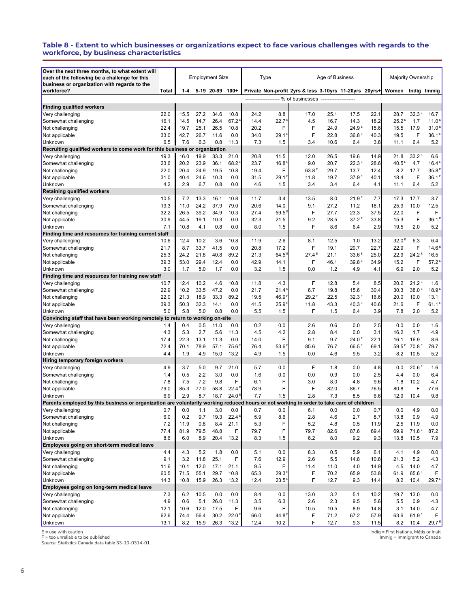#### **Table 8 - Extent to which businesses or organizations expect to face various challenges with regards to the workforce, by business characteristics**

| Over the next three months, to what extent will                                                                                          |              |              |              |                        |                   |              |              |                                                          |                 |                                        |              |                           |                           |                            |
|------------------------------------------------------------------------------------------------------------------------------------------|--------------|--------------|--------------|------------------------|-------------------|--------------|--------------|----------------------------------------------------------|-----------------|----------------------------------------|--------------|---------------------------|---------------------------|----------------------------|
| each of the following be a challenge for this<br>business or organization with regards to the                                            |              |              |              | <b>Employment Size</b> |                   | Type         |              |                                                          | Age of Business |                                        |              | <b>Majority Ownership</b> |                           |                            |
| workforce?                                                                                                                               | Total        | $1 - 4$      |              | 5-19 20-99             | 100+              |              |              | Private Non-profit 2yrs & less 3-10yrs 11-20yrs 20yrs+   |                 |                                        |              | Women                     | Indig Immig               |                            |
|                                                                                                                                          |              |              |              |                        |                   |              |              | ------------------- % of businesses -------------------- |                 |                                        |              |                           |                           |                            |
| <b>Finding qualified workers</b>                                                                                                         |              |              |              |                        |                   |              |              |                                                          |                 |                                        |              |                           |                           |                            |
| Very challenging                                                                                                                         | 22.0         | 15.5         | 27.2         | 34.6                   | 10.8              | 24.2         | 8.8          | 17.0                                                     | 25.1            | 17.5                                   | 22.1         | 28.7                      | 32.3 <sup>E</sup>         | 16.7                       |
| Somewhat challenging                                                                                                                     | 16.1         | 14.5         | 14.7         | 26.4                   | 67.2              | 14.4         | 22.7         | 4.5                                                      | 16.7            | 14.3                                   | 18.2         | 25.2 <sup>E</sup>         | 1.7                       | 11.0 <sup>1</sup>          |
| Not challenging                                                                                                                          | 22.4<br>33.0 | 19.7         | 25.1<br>26.7 | 26.5                   | 10.8              | 20.2         | F            | F<br>F                                                   | 24.9            | 24.9 <sup>E</sup><br>36.8 <sup>E</sup> | 15.6         | 15.5                      | 17.9<br>F                 | 31.0 <sup>1</sup>          |
| Not applicable                                                                                                                           | 6.5          | 42.7<br>7.6  | 6.3          | 11.6<br>0.8            | 0.0<br>11.3       | 34.0<br>7.3  | 29.1<br>1.5  | 3.4                                                      | 22.8<br>10.6    | 6.4                                    | 40.3<br>3.8  | 19.5<br>11.1              | 6.4                       | $36.1$ <sup>6</sup><br>5.2 |
| Unknown<br>Recruiting qualified workers to come work for this business or organization                                                   |              |              |              |                        |                   |              |              |                                                          |                 |                                        |              |                           |                           |                            |
| Very challenging                                                                                                                         | 19.3         | 16.0         | 19.9         | 33.3                   | 21.0              | 20.8         | 11.5         | 12.0                                                     | 26.5            | 19.6                                   | 14.9         | 21.8                      | $33.2^E$                  | 6.6                        |
| Somewhat challenging                                                                                                                     | 23.6         | 20.2         | 23.9         | 36.1                   | 68.2              | 23.7         | 16.8         | 9.0                                                      | 20.7            | 22.3 <sup>E</sup>                      | 28.6         | 40.5 <sup>E</sup>         | 4.7                       | 16.4 <sup>E</sup>          |
| Not challenging                                                                                                                          | 22.0         | 20.4         | 24.9         | 19.5                   | 10.8              | 19.4         | F            | 63.8 <sup>E</sup>                                        | 29.7            | 13.7                                   | 12.4         | 8.2                       | 17.7                      | 35.8 <sup>1</sup>          |
| Not applicable                                                                                                                           | 31.0         | 40.4         | 24.6         | 10.3                   | 0.0               | 31.5         | 29.1         | 11.8                                                     | 19.7            | 37.9 <sup>E</sup>                      | 40.1         | 18.4                      | F                         | 36.1 <sup>5</sup>          |
| Unknown                                                                                                                                  | 4.2          | 2.9          | 6.7          | 0.8                    | 0.0               | 4.6          | 1.5          | 3.4                                                      | 3.4             | 6.4                                    | 4.1          | 11.1                      | 6.4                       | 5.2                        |
| <b>Retaining qualified workers</b>                                                                                                       |              |              |              |                        |                   |              |              |                                                          |                 |                                        |              |                           |                           |                            |
| Very challenging                                                                                                                         | 10.5         | 7.2          | 13.3         | 16.1                   | 10.8              | 11.7         | 3.4          | 13.5                                                     | 8.0             | 21.9 <sup>E</sup>                      | 7.7          | 17.3                      | 17.7                      | 3.7                        |
| Somewhat challenging                                                                                                                     | 19.3         | 11.0         | 24.2         | 37.9                   | 79.0              | 20.6         | 14.0         | 9.1                                                      | 27.2            | 11.2                                   | 18.1         | 25.9                      | 10.0                      | 12.5                       |
| Not challenging                                                                                                                          | 32.2         | 26.5         | 39.2         | 34.9                   | 10.3              | 27.4         | 59.5         | F                                                        | 27.7            | 23.3                                   | 37.5         | 22.0                      | F                         | F                          |
| Not applicable                                                                                                                           | 30.9         | 44.5         | 19.1         | 10.3                   | 0.0               | 32.3         | 21.5         | 9.2                                                      | 28.5            | 37.2 <sup>E</sup>                      | 33.8         | 15.3                      | F                         | 36.1 <sup>E</sup>          |
| Unknown                                                                                                                                  | 7.1          | 10.8         | 4.1          | 0.8                    | 0.0               | 8.0          | 1.5          | F                                                        | 8.6             | 6.4                                    | 2.9          | 19.5                      | 2.0                       | 5.2                        |
| Finding time and resources for training current staff                                                                                    |              |              |              |                        |                   |              |              |                                                          |                 |                                        |              |                           |                           |                            |
| Very challenging                                                                                                                         | 10.6         | 12.4         | 10.2         | 3.6                    | 10.8              | 11.9         | 2.6          | 8.1                                                      | 12.5            | 1.0                                    | 13.2         | 32.0 <sup>E</sup>         | 6.3                       | 6.4                        |
| Somewhat challenging                                                                                                                     | 21.7         | 8.7          | 33.7         | 41.5                   | 0.0               | 20.8         | 17.2         | F                                                        | 19.1            | 20.7                                   | 22.7         | 22.9                      | F                         | 14.6                       |
| Not challenging                                                                                                                          | 25.3         | 24.2         | 21.8         | 40.8                   | 89.2              | 21.3         | 64.5         | $27.4^E$                                                 | 21.1            | 33.6 <sup>E</sup>                      | 25.0         | 22.9                      | 24.2 <sup>E</sup>         | 16.5                       |
| Not applicable                                                                                                                           | 39.3         | 53.0         | 29.4         | 12.4                   | 0.0               | 42.9         | 14.1         | F                                                        | 46.1            | 39.8 <sup>E</sup>                      | 34.9         | 15.2                      | F                         | $57.2^5$                   |
| Unknown                                                                                                                                  | 3.0          | 1.7          | 5.0          | 1.7                    | 0.0               | 3.2          | 1.5          | 0.0                                                      | 1.2             | 4.9                                    | 4.1          | 6.9                       | 2.0                       | 5.2                        |
| Finding time and resources for training new staff                                                                                        |              |              |              |                        |                   |              |              |                                                          |                 |                                        |              |                           |                           |                            |
| Very challenging                                                                                                                         | 10.7         | 12.4         | 10.2         | 4.6                    | 10.8              | 11.8         | 4.3          | F                                                        | 12.8            | 5.4                                    | 8.5          | 20.2                      | $21.2^E$                  | 1.6                        |
| Somewhat challenging                                                                                                                     | 22.9<br>22.0 | 10.2<br>21.3 | 33.5<br>18.9 | 47.2<br>33.3           | 0.0<br>89.2       | 21.7<br>19.5 | 21.4<br>46.9 | 8.7<br>29.2 <sup>E</sup>                                 | 19.8<br>22.5    | 15.6<br>32.3 <sup>E</sup>              | 30.4<br>16.6 | 30.3<br>20.0              | 38.0 <sup>E</sup><br>10.0 | 18.9 <sup>1</sup><br>13.1  |
| Not challenging                                                                                                                          | 39.3         | 50.3         | 32.3         | 14.1                   | 0.0               | 41.5         | 25.9         | 11.8                                                     | 43.3            | 40.3 <sup>E</sup>                      | 40.6         | 21.6                      | F                         | 61.1 <sup>5</sup>          |
| Not applicable<br>Unknown                                                                                                                | 5.0          | 5.8          | 5.0          | 0.8                    | 0.0               | 5.5          | 1.5          | F                                                        | 1.5             | 6.4                                    | 3.9          | 7.8                       | 2.0                       | 5.2                        |
| Convincing staff that have been working remotely to return to                                                                            |              |              |              | working on-site        |                   |              |              |                                                          |                 |                                        |              |                           |                           |                            |
| Very challenging                                                                                                                         | 1.4          | 0.4          | 0.5          | 11.0                   | 0.0               | 0.2          | 0.0          | 2.6                                                      | 0.6             | 0.0                                    | 2.5          | 0.0                       | 0.0                       | 1.6                        |
| Somewhat challenging                                                                                                                     | 4.3          | 5.3          | 2.7          | 5.6                    | 11.3              | 4.5          | 4.2          | 2.8                                                      | 8.4             | 0.0                                    | 3.1          | 16.2                      | 1.7                       | 4.9                        |
| Not challenging                                                                                                                          | 17.4         | 22.3         | 13.1         | 11.3                   | 0.0               | 14.0         | F            | 9.1                                                      | 9.7             | 24.0 <sup>E</sup>                      | 22.1         | 16.1                      | 16.9                      | 8.6                        |
| Not applicable                                                                                                                           | 72.4         | 70.1         | 78.9         | 57.1                   | 75.6              | 76.4         | 53.6         | 85.6                                                     | 76.7            | 66.5 <sup>E</sup>                      | 69.1         | $59.5^{\,E}$              | 70.8 <sup>E</sup>         | 79.7                       |
| Unknown                                                                                                                                  | 4.4          | 1.9          | 4.9          | 15.0                   | 13.2              | 4.9          | 1.5          | 0.0                                                      | 4.6             | 9.5                                    | 3.2          | 8.2                       | 10.5                      | 5.2                        |
| Hiring temporary foreign workers                                                                                                         |              |              |              |                        |                   |              |              |                                                          |                 |                                        |              |                           |                           |                            |
| Very challenging                                                                                                                         | 4.9          | 3.7          | 5.0          | 9.7                    | 21.0              | 5.7          | 0.0          | F                                                        | 1.8             | 0.0                                    | 4.8          | 0.0                       | 20.6 <sup>E</sup>         | 1.6                        |
| Somewhat challenging                                                                                                                     | 1.4          | 0.5          | 2.2          | 3.0                    | 0.0               | 1.6          | 0.0          | 0.0                                                      | 0.9             | 0.0                                    | 2.5          | 4.4                       | 0.0                       | 6.4                        |
| Not challenging                                                                                                                          | 7.8          | 7.5          | 7.2          | 9.8                    | F                 | 6.1          | F            | 3.0                                                      | 8.0             | 4.8                                    | 9.6          | 1.8                       | 10.2                      | 4.7                        |
| Not applicable                                                                                                                           | 79.0         | 85.3         | 77.0         | 58.8                   | 22.4              | 78.9         | F            | F                                                        | 82.0            | 86.7                                   | 76.5         | 80.8                      | F                         | 77.6                       |
| Unknown                                                                                                                                  | 6.9          | 2.9          | 8.7          | 18.7                   | 24.0 <sup>5</sup> | 7.7          | 1.5          | 2.8                                                      | 7.3             | 8.5                                    | 6.6          | 12.9                      | 10.4                      | 9.8                        |
| Parents employed by this business or organization are voluntarily working reduced hours or not working in order to take care of children |              |              |              |                        |                   |              |              |                                                          |                 |                                        |              |                           |                           |                            |
| Very challenging                                                                                                                         | 0.7          | 0.0          | 1.1          | 3.0                    | 0.0               | 0.7          | 0.0          | 6.1                                                      | 0.0             | 0.0                                    | 0.7          | 0.0                       | 4.9                       | 0.0                        |
| Somewhat challenging                                                                                                                     | 6.0          | 0.2          | 9.7          | 19.3                   | 22.4 <sup>E</sup> | 5.9          | 8.6          | 2.8                                                      | 4.6             | 2.7                                    | 8.7          | 13.8                      | 0.9                       | 4.9                        |
| Not challenging<br>Not applicable                                                                                                        | 7.2          | 11.9<br>81.9 | 0.8<br>79.5  | 8.4<br>48.8            | 21.1<br>F         | 5.3<br>79.7  | F<br>F       | 5.2<br>79.7                                              | 4.8<br>82.6     | 0.5<br>87.6                            | 11.9         | 2.5<br>69.9               | 11.9<br>71.8 <sup>E</sup> | 0.0                        |
| Unknown                                                                                                                                  | 77.4         |              |              |                        |                   |              | 1.5          |                                                          |                 |                                        | 69.4         |                           |                           | 87.2                       |
| Employees going on short-term medical leave                                                                                              | 8.6          | 6.0          | 8.9          | 20.4                   | 13.2              | 8.3          |              | 6.2                                                      | 8.0             | 9.2                                    | 9.3          | 13.8                      | 10.5                      | 7.9                        |
| Very challenging                                                                                                                         | 4.4          | 4.3          | 5.2          | 1.8                    | 0.0               | 5.1          | 0.0          | 8.3                                                      | 0.5             | 5.9                                    | 6.1          | 4.1                       | 4.9                       | 0.0                        |
| Somewhat challenging                                                                                                                     | 9.1          | 3.2          | 11.8         | 25.1                   | F                 | 7.6          | 12.9         | 2.6                                                      | 5.5             | 14.8                                   | 10.8         | 21.3                      | 5.2                       | 4.3                        |
| Not challenging                                                                                                                          | 11.6         | 10.1         | 12.0         | 17.1                   | 21.1              | 9.5          | F            | 11.4                                                     | 11.0            | 4.0                                    | 14.9         | 4.5                       | 14.0                      | 4.7                        |
| Not applicable                                                                                                                           | 60.5         | 71.5         | 55.1         | 29.7                   | 10.8              | 65.3         | 29.3         | F                                                        | 70.2            | 65.9                                   | 53.8         | 61.9                      | 65.6 <sup>E</sup>         | F                          |
| Unknown                                                                                                                                  | 14.3         | 10.8         | 15.9         | 26.3                   | 13.2              | 12.4         | 23.5         | F                                                        | 12.7            | 9.3                                    | 14.4         | 8.2                       | 10.4                      | 29.7 <sup>5</sup>          |
| Employees going on long-term medical leave                                                                                               |              |              |              |                        |                   |              |              |                                                          |                 |                                        |              |                           |                           |                            |
| Very challenging                                                                                                                         | 7.3          | 6.2          | 10.5         | 0.0                    | 0.0               | 8.4          | 0.0          | 13.0                                                     | 3.2             | 5.1                                    | 10.2         | 19.7                      | 13.0                      | 0.0                        |
| Somewhat challenging                                                                                                                     | 4.9          | 0.6          | 5.1          | 26.0                   | 11.3              | 3.5          | 6.3          | 2.6                                                      | 2.3             | 9.5                                    | 5.6          | 5.5                       | 0.9                       | 4.3                        |
| Not challenging                                                                                                                          | 12.1         | 10.6         | 12.0         | 17.5                   | F                 | 9.6          | F            | 10.5                                                     | 10.5            | 8.9                                    | 14.8         | 3.1                       | 14.0                      | 4.7                        |
| Not applicable                                                                                                                           | 62.6         | 74.4         | 56.4         | 30.2                   | 22.0 <sup>E</sup> | 66.0         | 44.8         | F                                                        | 71.2            | 67.2                                   | 57.9         | 63.6                      | 61.9 <sup>E</sup>         | F                          |
| <b>Unknown</b>                                                                                                                           | 13.1         | 8.2          | 15.9         | 26.3                   | 13.2              | 12.4         | 10.2         | F                                                        | 12.7            | 9.3                                    | 11.5         | 8.2                       | 10.4                      | 29.7 <sup>E</sup>          |

E = use with caution F = too unreliable to be published Source: Statistics Canada data table 33-10-0314-01.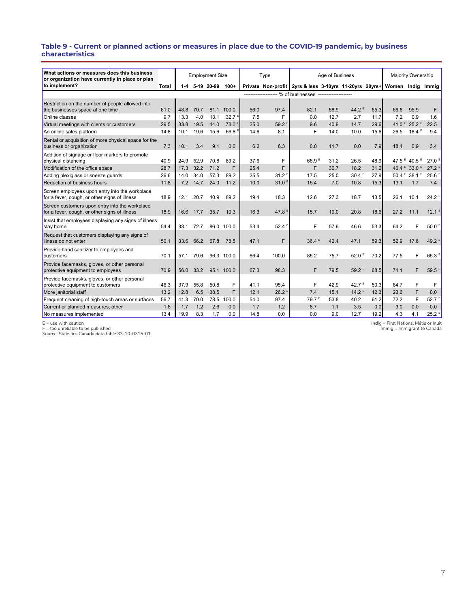#### **Table 9 - Current or planned actions or measures in place due to the COVID-19 pandemic, by business characteristics**

| What actions or measures does this business                                                     |              |      |      |                        |                   |      |                                |                                                                          |                 |                   |      |      |                                     |                                |
|-------------------------------------------------------------------------------------------------|--------------|------|------|------------------------|-------------------|------|--------------------------------|--------------------------------------------------------------------------|-----------------|-------------------|------|------|-------------------------------------|--------------------------------|
| or organization have currently in place or plan                                                 |              |      |      | <b>Employment Size</b> |                   |      | Type                           |                                                                          | Age of Business |                   |      |      | Majority Ownership                  |                                |
| to implement?                                                                                   | <b>Total</b> | 1-4  |      | 5-19 20-99             | $100+$            |      |                                | Private Non-profit 2yrs & less 3-10yrs 11-20yrs 20yrs+ Women Indig Immig |                 |                   |      |      |                                     |                                |
|                                                                                                 |              |      |      |                        |                   |      |                                |                                                                          |                 |                   |      |      |                                     |                                |
| Restriction on the number of people allowed into                                                |              |      |      |                        |                   |      |                                |                                                                          |                 |                   |      |      |                                     |                                |
| the businesses space at one time                                                                | 61.0         | 48.8 | 70.7 |                        | 81.1 100.0        | 56.0 | 97.4                           | 82.1                                                                     | 58.9            | 44.2 <sup>E</sup> | 65.3 | 66.6 | 95.9                                | F                              |
| Online classes                                                                                  | 9.7          | 13.3 | 4.0  | 13.1                   | 32.7 <sup>E</sup> | 7.5  | F                              | 0.0                                                                      | 12.7            | 2.7               | 11.7 | 7.2  | 0.9                                 | 1.6                            |
| Virtual meetings with clients or customers                                                      | 29.5         | 33.8 | 19.5 | 44.0                   | 78.0 <sup>E</sup> | 25.0 | 59.2                           | 9.6                                                                      | 40.9            | 14.7              | 29.6 |      | 41.0 <sup>E</sup> 25.2 <sup>E</sup> | 22.5                           |
| An online sales platform                                                                        | 14.8         | 10.1 | 19.6 | 15.6                   | 66.8 <sup>E</sup> | 14.6 | 8.1                            | F                                                                        | 14.0            | 10.0              | 15.6 | 26.5 | 18.4E                               | 9.4                            |
| Rental or acquisition of more physical space for the<br>business or organization                | 7.3          | 10.1 | 3.4  | 9.1                    | 0.0               | 6.2  | 6.3                            | 0.0                                                                      | 11.7            | 0.0               | 7.9  | 18.4 | 0.9                                 | 3.4                            |
| Addition of signage or floor markers to promote<br>physical distancing                          | 40.9         | 24.9 | 52.9 | 70.8                   | 89.2              | 37.6 | F                              | 68.9 <sup>E</sup>                                                        | 31.2            | 26.5              | 48.9 |      | 47.5 <sup>E</sup> 40.5 <sup>E</sup> | 27.0 <sup>5</sup>              |
| Modification of the office space                                                                | 28.7         | 17.3 | 32.2 | 71.2                   | F                 | 25.4 | F                              | F                                                                        | 30.7            | 18.2              | 31.2 |      | 46.4 <sup>E</sup> 33.0 <sup>E</sup> | $27.2^5$                       |
| Adding plexiglass or sneeze quards                                                              | 26.6         | 14.0 | 34.0 | 57.3                   | 89.2              | 25.5 | 31.2 <sup>E</sup>              | 17.5                                                                     | 25.0            | 30.4 <sup>E</sup> | 27.9 |      | $50.4 \times 38.1 \times$           | 25.6 <sup>E</sup>              |
| Reduction of business hours                                                                     | 11.8         | 7.2  | 14.7 | 24.0                   | 11.2              | 10.0 | 31.0                           | 15.4                                                                     | 7.0             | 10.8              | 15.3 | 13.1 | 1.7                                 | 7.4                            |
| Screen employees upon entry into the workplace<br>for a fever, cough, or other signs of illness | 18.9         | 12.1 | 20.7 | 40.9                   | 89.2              | 19.4 | 18.3                           | 12.6                                                                     | 27.3            | 18.7              | 13.5 | 26.1 | 10.1                                | 24.2 <sup>E</sup>              |
| Screen customers upon entry into the workplace<br>for a fever, cough, or other signs of illness | 18.9         | 16.6 | 17.7 | 35.7                   | 10.3              | 16.3 | 47.8 <sup><math>E</math></sup> | 15.7                                                                     | 19.0            | 20.8              | 18.6 | 27.2 | 11.1                                | 12.1 <sup>E</sup>              |
| Insist that employees displaying any signs of illness<br>stay home                              | 54.4         | 33.1 | 72.7 |                        | 86.0 100.0        | 53.4 | 52.4                           | F                                                                        | 57.9            | 46.6              | 53.3 | 64.2 | F                                   | 50.0 <sup>E</sup>              |
| Request that customers displaying any signs of<br>illness do not enter                          | 50.1         | 33.6 | 66.2 | 67.8                   | 78.5              | 47.1 | F.                             | $36.4^E$                                                                 | 42.4            | 47.1              | 59.3 | 52.9 | 17.6                                | 49.2 <sup><math>E</math></sup> |
| Provide hand sanitizer to employees and<br>customers                                            | 70.1         | 57.1 | 79.6 |                        | 96.3 100.0        | 66.4 | 100.0                          | 85.2                                                                     | 75.7            | 52.0 <sup>E</sup> | 70.2 | 77.5 | F                                   | 65.3 <sup>E</sup>              |
| Provide facemasks, gloves, or other personal<br>protective equipment to employees               | 70.9         | 56.0 | 83.2 |                        | 95.1 100.0        | 67.3 | 98.3                           | F                                                                        | 79.5            | 59.2 <sup>E</sup> | 68.5 | 74.1 | F                                   | 59.5 <sup>E</sup>              |
| Provide facemasks, gloves, or other personal<br>protective equipment to customers               | 46.3         | 37.9 | 55.8 | 50.8                   | F                 | 41.1 | 95.4                           | F                                                                        | 42.9            | 42.7 $E$          | 50.3 | 64.7 | F                                   | F                              |
| More janitorial staff                                                                           | 13.2         | 12.8 | 6.5  | 38.5                   | F                 | 12.1 | 26.2 <sup>8</sup>              | 7.4                                                                      | 15.1            | 14.2 <sup>E</sup> | 12.3 | 23.6 | F                                   | 0.0                            |
| Frequent cleaning of high-touch areas or surfaces                                               | 56.7         | 41.3 | 70.0 | 78.5                   | 100.0             | 54.0 | 97.4                           | 79.7 <sup>E</sup>                                                        | 53.8            | 40.2              | 61.2 | 72.2 | F                                   | 52.7 <sup>E</sup>              |
| Current or planned measures, other                                                              | 1.6          | 1.7  | 1.2  | 2.6                    | 0.0               | 1.7  | 1.2                            | 8.7                                                                      | 1.1             | 3.5               | 0.0  | 3.0  | 0.0                                 | 0.0                            |
| No measures implemented                                                                         | 13.4         | 19.9 | 8.3  | 1.7                    | 0.0               | 14.8 | 0.0                            | 0.0                                                                      | 9.0             | 12.7              | 19.2 | 4.3  | 4.1                                 | $25.2^E$                       |

E = use with caution F = too unreliable to be published Source: Statistics Canada data table 33-10-0315-01.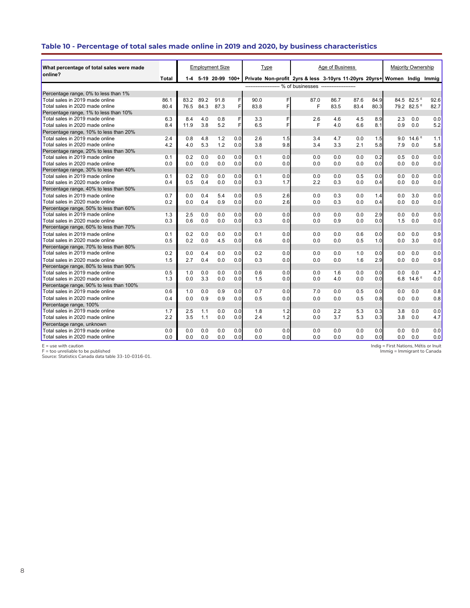# **Table 10 - Percentage of total sales made online in 2019 and 2020, by business characteristics**

| What percentage of total sales were made |       |      |      | <b>Employment Size</b> |     |      | Type |                                                                          | Age of Business |      |      |     | <b>Majority Ownership</b> |      |
|------------------------------------------|-------|------|------|------------------------|-----|------|------|--------------------------------------------------------------------------|-----------------|------|------|-----|---------------------------|------|
| online?                                  | Total |      |      | 1-4 5-19 20-99 100+    |     |      |      | Private Non-profit 2yrs & less 3-10yrs 11-20yrs 20yrs+ Women Indig Immig |                 |      |      |     |                           |      |
|                                          |       |      |      |                        |     |      |      | ------------------- % of businesses -------------------                  |                 |      |      |     |                           |      |
| Percentage range, 0% to less than 1%     |       |      |      |                        |     |      |      |                                                                          |                 |      |      |     |                           |      |
| Total sales in 2019 made online          | 86.1  | 83.2 | 89.2 | 91.8                   | F   | 90.0 | FI   | 87.0                                                                     | 86.7            | 87.6 | 84.9 |     | 84.5 82.5                 | 92.6 |
| Total sales in 2020 made online          | 80.4  | 76.5 | 84.3 | 87.3                   | F   | 83.8 | F    | F                                                                        | 83.5            | 83.4 | 80.3 |     | 79.2 82.5 <sup>E</sup>    | 82.7 |
| Percentage range, 1% to less than 10%    |       |      |      |                        |     |      |      |                                                                          |                 |      |      |     |                           |      |
| Total sales in 2019 made online          | 6.3   | 8.4  | 4.0  | 0.8                    | F   | 3.3  | F    | 2.6                                                                      | 4.6             | 4.5  | 8.9  | 2.3 | 0.0                       | 0.0  |
| Total sales in 2020 made online          | 8.4   | 11.9 | 3.8  | 5.2                    | F   | 6.5  | F    | F                                                                        | 4.0             | 6.6  | 8.1  | 0.9 | 0.0                       | 5.2  |
| Percentage range, 10% to less than 20%   |       |      |      |                        |     |      |      |                                                                          |                 |      |      |     |                           |      |
| Total sales in 2019 made online          | 2.4   | 0.8  | 4.8  | 1.2                    | 0.0 | 2.6  | 1.5  | 3.4                                                                      | 4.7             | 0.0  | 1.5  | 9.0 | 14.6 <sup>E</sup>         | 1.1  |
| Total sales in 2020 made online          | 4.2   | 4.0  | 5.3  | 1.2                    | 0.0 | 3.8  | 9.8  | 3.4                                                                      | 3.3             | 2.1  | 5.8  | 7.9 | 0.0                       | 5.8  |
| Percentage range, 20% to less than 30%   |       |      |      |                        |     |      |      |                                                                          |                 |      |      |     |                           |      |
| Total sales in 2019 made online          | 0.1   | 0.2  | 0.0  | 0.0                    | 0.0 | 0.1  | 0.0  | 0.0                                                                      | 0.0             | 0.0  | 0.2  | 0.5 | 0.0                       | 0.0  |
| Total sales in 2020 made online          | 0.0   | 0.0  | 0.0  | 0.0                    | 0.0 | 0.0  | 0.0  | 0.0                                                                      | 0.0             | 0.0  | 0.0  | 0.0 | 0.0                       | 0.0  |
| Percentage range, 30% to less than 40%   |       |      |      |                        |     |      |      |                                                                          |                 |      |      |     |                           |      |
| Total sales in 2019 made online          | 0.1   | 0.2  | 0.0  | 0.0                    | 0.0 | 0.1  | 0.0  | 0.0                                                                      | 0.0             | 0.5  | 0.0  | 0.0 | 0.0                       | 0.0  |
| Total sales in 2020 made online          | 0.4   | 0.5  | 0.4  | 0.0                    | 0.0 | 0.3  | 1.7  | 2.2                                                                      | 0.3             | 0.0  | 0.4  | 0.0 | 0.0                       | 0.0  |
| Percentage range, 40% to less than 50%   |       |      |      |                        |     |      |      |                                                                          |                 |      |      |     |                           |      |
| Total sales in 2019 made online          | 0.7   | 0.0  | 0.4  | 5.4                    | 0.0 | 0.5  | 2.6  | 0.0                                                                      | 0.3             | 0.0  | 1.4  | 0.0 | 3.0                       | 0.0  |
| Total sales in 2020 made online          | 0.2   | 0.0  | 0.4  | 0.9                    | 0.0 | 0.0  | 2.6  | 0.0                                                                      | 0.3             | 0.0  | 0.4  | 0.0 | 0.0                       | 0.0  |
| Percentage range, 50% to less than 60%   |       |      |      |                        |     |      |      |                                                                          |                 |      |      |     |                           |      |
| Total sales in 2019 made online          | 1.3   | 2.5  | 0.0  | 0.0                    | 0.0 | 0.0  | 0.0  | 0.0                                                                      | 0.0             | 0.0  | 2.9  | 0.0 | 0.0                       | 0.0  |
| Total sales in 2020 made online          | 0.3   | 0.6  | 0.0  | 0.0                    | 0.0 | 0.3  | 0.0  | 0.0                                                                      | 0.9             | 0.0  | 0.0  | 1.5 | 0.0                       | 0.0  |
| Percentage range, 60% to less than 70%   |       |      |      |                        |     |      |      |                                                                          |                 |      |      |     |                           |      |
| Total sales in 2019 made online          | 0.1   | 0.2  | 0.0  | 0.0                    | 0.0 | 0.1  | 0.0  | 0.0                                                                      | 0.0             | 0.6  | 0.0  | 0.0 | 0.0                       | 0.9  |
| Total sales in 2020 made online          | 0.5   | 0.2  | 0.0  | 4.5                    | 0.0 | 0.6  | 0.0  | 0.0                                                                      | 0 <sub>0</sub>  | 0.5  | 1.0  | 0.0 | 3.0                       | 0.0  |
| Percentage range, 70% to less than 80%   |       |      |      |                        |     |      |      |                                                                          |                 |      |      |     |                           |      |
| Total sales in 2019 made online          | 0.2   | 0.0  | 0.4  | 0.0                    | 0.0 | 0.2  | 0.0  | 0.0                                                                      | 0.0             | 1.0  | 0.0  | 0.0 | 0.0                       | 0.0  |
| Total sales in 2020 made online          | 1.5   | 2.7  | 0.4  | 0.0                    | 0.0 | 0.3  | 0.0  | 0.0                                                                      | 0.0             | 1.6  | 2.9  | 0.0 | 0.0                       | 0.9  |
| Percentage range, 80% to less than 90%   |       |      |      |                        |     |      |      |                                                                          |                 |      |      |     |                           |      |
| Total sales in 2019 made online          | 0.5   | 1.0  | 0.0  | 0.0                    | 0.0 | 0.6  | 0.0  | 0.0                                                                      | 1.6             | 0.0  | 0.0  | 0.0 | 0.0                       | 4.7  |
| Total sales in 2020 made online          | 1.3   | 0.0  | 3.3  | 0.0                    | 0.0 | 1.5  | 0.0  | 0.0                                                                      | 4.0             | 0.0  | 0.0  | 6.8 | 14.6 <sup>E</sup>         | 0.0  |
| Percentage range, 90% to less than 100%  |       |      |      |                        |     |      |      |                                                                          |                 |      |      |     |                           |      |
| Total sales in 2019 made online          | 0.6   | 1.0  | 0.0  | 0.9                    | 0.0 | 0.7  | 0.0  | 7.0                                                                      | 0.0             | 0.5  | 0.0  | 0.0 | 0.0                       | 0.8  |
| Total sales in 2020 made online          | 0.4   | 0.0  | 0.9  | 0.9                    | 0.0 | 0.5  | 0.0  | 0.0                                                                      | 0.0             | 0.5  | 0.8  | 0.0 | 0.0                       | 0.8  |
| Percentage range, 100%                   |       |      |      |                        |     |      |      |                                                                          |                 |      |      |     |                           |      |
| Total sales in 2019 made online          | 1.7   | 2.5  | 1.1  | 0.0                    | 0.0 | 1.8  | 1.2  | 0.0                                                                      | 2.2             | 5.3  | 0.3  | 3.8 | 0.0                       | 0.0  |
| Total sales in 2020 made online          | 2.2   | 3.5  | 1.1  | 0.0                    | 0.0 | 2.4  | 1.2  | 0.0                                                                      | 3.7             | 5.3  | 0.3  | 3.8 | 0.0                       | 4.7  |
| Percentage range, unknown                |       |      |      |                        |     |      |      |                                                                          |                 |      |      |     |                           |      |
| Total sales in 2019 made online          | 0.0   | 0.0  | 0.0  | 0.0                    | 0.0 | 0.0  | 0.0  | 0.0                                                                      | 0.0             | 0.0  | 0.0  | 0.0 | 0.0                       | 0.0  |
| Total sales in 2020 made online          | 0.0   | 0.0  | 0.0  | 0.0                    | 0.0 | 0.0  | 0.0  | 0.0                                                                      | 0.0             | 0.0  | 0.0  | 0.0 | 0.0                       | 0.0  |

E = use with caution F = too unreliable to be published Source: Statistics Canada data table 33-10-0316-01.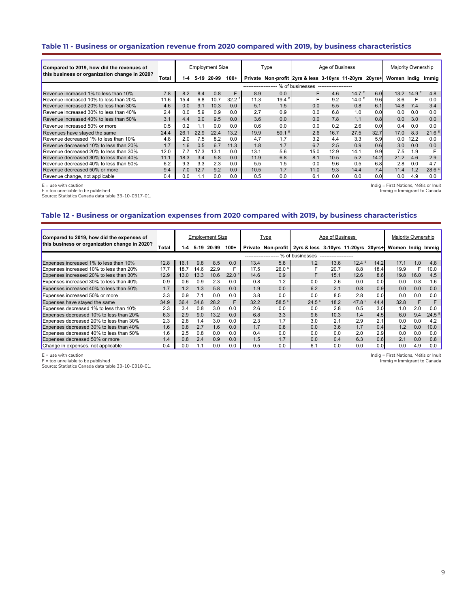# **Table 11 - Business or organization revenue from 2020 compared with 2019, by business characteristics**

| Compared to 2019, how did the revenues of     |       |      |        | Employment Size |                   |                       | Type           |                                                        | Age of Business      |                   |      | Majority Ownership |                   |                     |
|-----------------------------------------------|-------|------|--------|-----------------|-------------------|-----------------------|----------------|--------------------------------------------------------|----------------------|-------------------|------|--------------------|-------------------|---------------------|
| this business or organization change in 2020? | Total | 1-4  | $5-19$ | 20-99           | $100+$            |                       |                | Private Non-profit 2yrs & less 3-10yrs 11-20yrs 20yrs+ |                      |                   |      | Women India        |                   | Immia               |
|                                               |       |      |        |                 |                   | --------------------- |                | % of businesses                                        | -------------------- |                   |      |                    |                   |                     |
| Revenue increased 1% to less than 10%         | 7.8   | 8.2  | 8.4    | 0.8             | F                 | 8.9                   | 0.0            |                                                        | 4.6                  | 14.7 <sup>E</sup> | 6.0  | 13.2               | 14.9 <sup>E</sup> | 4.8                 |
| Revenue increased 10% to less than 20%        | 11.6  | 15.4 | 6.8    | 10.7            | 32.2 <sup>E</sup> | 11.3                  | $19.4^{\circ}$ |                                                        | 9.2                  | 14.0 <sup>E</sup> | 9.6  | 8.6                | F                 | 0.0                 |
| Revenue increased 20% to less than 30%        | 4.6   | 0.0  | 9.1    | 10.3            | 0.0               | 5.1                   | 1.5            | 0.0                                                    | 5.5                  | 0.8               | 6.1  | 14.8               | 7.4               | 3.4                 |
| Revenue increased 30% to less than 40%        | 2.4   | 0.0  | 5.9    | 0.9             | 0.0               | 2.7                   | 0.9            | 0.0                                                    | 6.8                  | 1.0               | 0.0  | 0.0                | 0.0               | 0.0                 |
| Revenue increased 40% to less than 50%        | 3.1   | 4.4  | 0.0    | 9.5             | 0.0               | 3.6                   | 0.0            | 0.0                                                    | 7.8                  | 1.1               | 0.8  | 0.0                | 3.0               | 0.0                 |
| Revenue increased 50% or more                 | 0.5   | 0.2  | 1.1    | 0.0             | 0.0               | 0.6                   | 0.0            | 0.0                                                    | 0.2                  | 2.6               | 0.0  | 0.4                | 0.0               | 0.0                 |
| Revenues have stayed the same                 | 24.4  | 26.1 | 22.9   | 22.4            | 13.2              | 19.9                  | 59.1           | 2.6                                                    | 16.7                 | 27.5              | 32.7 | 17.0               | 8.3               | $21.6$ <sup>E</sup> |
| Revenue decreased 1% to less than 10%         | 4.8   | 2.0  | 7.5    | 8.2             | 0.0               | 4.7                   | 1.7            | 3.2                                                    | 4.4                  | 3.3               | 5.9  | 0.0                | 12.2              | 0.0                 |
| Revenue decreased 10% to less than 20%        | 1.7   | 1.6  | 0.5    | 6.7             | 11.3              | 1.8                   | 1.7            | 6.7                                                    | 2.5                  | 0.9               | 0.6  | 3.0                | 0.0               | 0.0                 |
| Revenue decreased 20% to less than 30%        | 12.0  | 7.7  | 17.3   | 13.1            | 0.0               | 13.1                  | 5.6            | 15.0                                                   | 12.9                 | 14.1              | 9.9  | 7.5                | 1.9               |                     |
| Revenue decreased 30% to less than 40%        | 11.1  | 18.3 | 3.4    | 5.8             | 0.0               | 11.9                  | 6.8            | 8.1                                                    | 10.5                 | 5.2               | 14.2 | 21.2               | 4.6               | 2.9                 |
| Revenue decreased 40% to less than 50%        | 6.2   | 9.3  | 3.3    | 2.3             | 0.0               | 5.5                   | 1.5            | 0.0                                                    | 9.6                  | 0.5               | 6.8  | 2.8                | 0.0               | 4.7                 |
| Revenue decreased 50% or more                 | 9.4   | 7.0  | 12.7   | 9.2             | 0.0               | 10.5                  | 1.7            | 11.0                                                   | 9.3                  | 14.4              | 7.4  | 11.4               | 1.2               | $28.6$ <sup>E</sup> |
| Revenue change, not applicable                | 0.4   | 0.0  | 1.1    | 0.0             | 0.0               | 0.5                   | 0.0            | 6.1                                                    | 0.0                  | 0.0               | 0.0  | 0.0                | 4.9               | 0.0                 |

E = use with caution F = too unreliable to be published

Source: Statistics Canada data table 33-10-0317-01.

Indig = First Nations, Métis or Inuit Immig = Immigrant to Canada

# **Table 12 - Business or organization expenses from 2020 compared with 2019, by business characteristics**

| Compared to 2019, how did the expenses of     |       |      |      | <b>Employment Size</b> |                   |      | Type                  |                                                        | Age of Business       |          |      | <b>Majority Ownership</b> |      |                   |
|-----------------------------------------------|-------|------|------|------------------------|-------------------|------|-----------------------|--------------------------------------------------------|-----------------------|----------|------|---------------------------|------|-------------------|
| this business or organization change in 2020? | Total | 1-4  |      | 5-19 20-99             | $100+$            |      |                       | Private Non-profit 2yrs & less 3-10yrs 11-20yrs 20yrs+ |                       |          |      | Women Indig Immig         |      |                   |
|                                               |       |      |      |                        |                   |      | --------------------- | % of businesses                                        | --------------------- |          |      |                           |      |                   |
| <b>Expenses increased 1% to less than 10%</b> | 12.8  | 16.1 | 9.8  | 8.5                    | 0.0               | 13.4 | 5.8                   | 1.2                                                    | 13.6                  | $12.4^E$ | 14.2 | 17.1                      | 1.0  | 4.8               |
| Expenses increased 10% to less than 20%       | 17.7  | 18.7 | 14.6 | 22.9                   |                   | 17.5 | $26.0$ <sup>E</sup>   |                                                        | 20.7                  | 8.8      | 18.4 | 19.9                      | F    | 10.0              |
| Expenses increased 20% to less than 30%       | 12.9  | 13.0 | 13.3 | 10.6                   | 22.0 <sup>E</sup> | 14.6 | 0.9                   | F                                                      | 15.1                  | 12.6     | 8.6  | 19.8                      | 16.0 | 4.5               |
| Expenses increased 30% to less than 40%       | 0.9   | 0.6  | 0.9  | 2.3                    | 0.0               | 0.8  | 1.2                   | 0.0                                                    | 2.6                   | 0.0      | 0.0  | 0.0                       | 0.8  | 1.6               |
| Expenses increased 40% to less than 50%       | 1.7   | 1.2  | 1.3  | 5.8                    | 0.0               | 1.9  | 0.0                   | 6.2                                                    | 2.1                   | 0.8      | 0.9  | 0.0                       | 0.0  | 0.0               |
| Expenses increased 50% or more                | 3.3   | 0.9  |      | 0.0                    | 0.0               | 3.8  | 0.0                   | 0.0                                                    | 8.5                   | 2.8      | 0.0  | 0.0                       | 0.0  | 0.0               |
| Expenses have stayed the same                 | 34.9  | 36.4 | 34.6 | 28.2                   | F                 | 32.2 | 58.5 <sup>E</sup>     | $24.5^{\text{E}}$                                      | 18.2                  | 47.8 $E$ | 44.4 | 32.8                      | F    | F                 |
| Expenses decreased 1% to less than 10%        | 2.3   | 3.4  | 0.8  | 3.0                    | 0.0               | 2.6  | 0.0                   | 0.0                                                    | 2.8                   | 0.5      | 3.0  | 1.0                       | 2.0  | 0.0               |
| Expenses decreased 10% to less than 20%       | 6.3   | 2.9  | 9.0  | 13.2                   | 0.0               | 6.8  | 3.3                   | 9.6                                                    | 10.3                  | 1.4      | 4.5  | 6.0                       | 9.4  | 24.5 <sup>E</sup> |
| Expenses decreased 20% to less than 30%       | 2.3   | 2.8  | 1.4  | 3.0                    | 0.0               | 2.3  | 1.7                   | 3.0                                                    | 2.1                   | 2.9      | 2.1  | 0.0                       | 0.0  | 4.2               |
| Expenses decreased 30% to less than 40%       | 1.6   | 0.8  | 2.7  | 1.6                    | 0.0               | 1.7  | 0.8                   | 0.0                                                    | 3.6                   | 1.7      | 0.4  | 1.2                       | 0.0  | 10.0              |
| Expenses decreased 40% to less than 50%       | 1.6   | 2.5  | 0.8  | 0.0                    | 0.0               | 0.4  | 0.0                   | 0.0                                                    | 0.0                   | 2.0      | 2.9  | 0.0                       | 0.0  | 0.0               |
| Expenses decreased 50% or more                | 1.4   | 0.8  | 2.4  | 0.9                    | 0.0               | 1.5  | 1.7                   | 0.0                                                    | 0.4                   | 6.3      | 0.6  | 2.1                       | 0.0  | 0.8               |
| Change in expenses, not applicable            | 0.4   | 0.0  |      | 0.0                    | 0.0               | 0.5  | 0.0                   | 6.1                                                    | 0.0                   | 0.0      | 0.0  | 0.0                       | 4.9  | 0.0               |

E = use with caution

F = too unreliable to be published

Source: Statistics Canada data table 33-10-0318-01.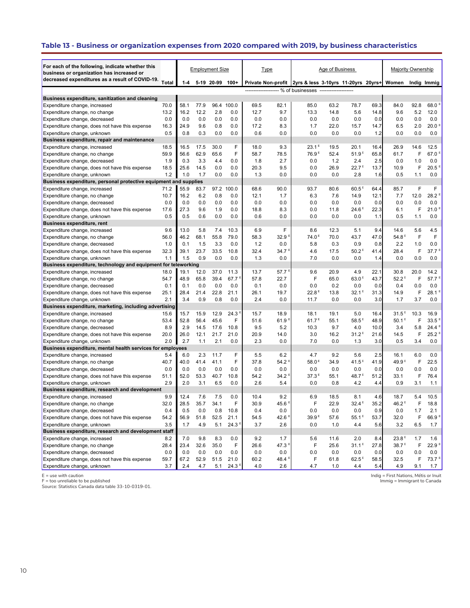# **Table 13 - Business or organization expenses from 2020 compared with 2019, by business characteristics**

| For each of the following, indicate whether this<br>business or organization has increased or |              |              |              | <b>Employment Size</b> |                           | <b>Type</b>  |                   |                                                                                                                         | Age of Business |                          |              | <b>Majority Ownership</b> |           |                          |
|-----------------------------------------------------------------------------------------------|--------------|--------------|--------------|------------------------|---------------------------|--------------|-------------------|-------------------------------------------------------------------------------------------------------------------------|-----------------|--------------------------|--------------|---------------------------|-----------|--------------------------|
| decreased expenditures as a result of COVID-19.                                               | Total        | 1-4          | 5-19 20-99   |                        | $100+$                    |              |                   |                                                                                                                         |                 |                          |              |                           |           |                          |
|                                                                                               |              |              |              |                        |                           |              |                   | Private Non-profit 2yrs & less 3-10yrs 11-20yrs 20yrs+ Women<br>------------------- % of businesses ------------------- |                 |                          |              |                           |           | Indig Immig              |
|                                                                                               |              |              |              |                        |                           |              |                   |                                                                                                                         |                 |                          |              |                           |           |                          |
| Business expenditure, sanitization and cleaning                                               |              |              |              |                        |                           |              |                   |                                                                                                                         |                 |                          |              |                           |           |                          |
| Expenditure change, increased                                                                 | 70.0         | 58.1         | 77.9         | 96.4                   | 100.0                     | 69.5         | 82.1              | 85.0                                                                                                                    | 63.2            | 78.7                     | 69.3         | 84.0                      | 92.8      | 68.0 <sup>E</sup>        |
| Expenditure change, no change                                                                 | 13.2         | 16.2         | 12.2         | 2.8                    | 0.0                       | 12.7         | 9.7               | 13.3                                                                                                                    | 14.8            | 5.6                      | 14.8         | 9.6                       | 5.2       | 12.0                     |
| Expenditure change, decreased                                                                 | 0.0          | 0.0          | 0.0          | 0.0                    | 0.0                       | 0.0          | 0.0               | 0.0                                                                                                                     | 0.0             | 0.0                      | 0.0          | 0.0                       | 0.0       | 0.0                      |
| Expenditure change, does not have this expense                                                | 16.3         | 24.9         | 9.6          | 0.8                    | 0.0                       | 17.2         | 8.3               | 1.7                                                                                                                     | 22.0            | 15.7                     | 14.7         | 6.5                       | 2.0       | 20.0 <sup>E</sup>        |
| Expenditure change, unknown                                                                   | 0.5          | 0.8          | 0.3          | 0.0                    | 0.0                       | 0.6          | 0.0               | 0.0                                                                                                                     | 0.0             | 0.0                      | 1.2          | 0.0                       | 0.0       | 0.0                      |
| Business expenditure, repair and maintenance                                                  |              |              |              |                        |                           |              |                   |                                                                                                                         |                 |                          |              |                           |           |                          |
| Expenditure change, increased                                                                 | 18.5         | 16.5         | 17.5         | 30.0                   | F                         | 18.0         | 9.3               | $23.1^E$                                                                                                                | 19.5            | 20.1                     | 16.4         | 26.9                      | 14.6<br>F | 12.5                     |
| Expenditure change, no change                                                                 | 59.9         | 56.6         | 62.9         | 65.6                   | F                         | 58.7         | 78.5              | 76.9 <sup>E</sup>                                                                                                       | 52.4            | 51.9 <sup>E</sup>        | 65.8         | 61.7                      |           | 67.0 <sup>E</sup>        |
| Expenditure change, decreased                                                                 | 1.9          | 0.3          | 3.3          | 4.4                    | 0.0                       | 1.8          | 2.7               | 0.0                                                                                                                     | 1.2             | 2.4                      | 2.5          | 0.0                       | 1.0       | 0.0                      |
| Expenditure change, does not have this expense                                                | 18.5         | 25.6         | 14.5         | 0.0                    | 0.0                       | 20.3         | 9.5               | 0.0                                                                                                                     | 26.9            | 22.7 <sup>E</sup>        | 13.7         | 10.9                      | F         | 20.5 <sup>E</sup>        |
| Expenditure change, unknown                                                                   | 1.2          | 1.0          | 1.7          | 0.0                    | 0.0                       | 1.3          | 0.0               | 0.0                                                                                                                     | 0.0             | 2.8                      | 1.6          | 0.5                       | 1.1       | 0.0                      |
| Business expenditure, personal protective equipment and supplies                              |              |              |              |                        |                           |              |                   |                                                                                                                         |                 |                          |              |                           | F         |                          |
| Expenditure change, increased                                                                 | 71.2         | 55.9         | 83.7         | 97.2                   | 100.0                     | 68.6         | 90.0              | 93.7                                                                                                                    | 80.6            | 60.5 <sup>E</sup>        | 64.4         | 85.7                      |           | F<br>28.2 <sup>E</sup>   |
| Expenditure change, no change                                                                 | 10.7         | 16.2         | 6.2          | 0.8                    | 0.0                       | 12.1         | 1.7               | 6.3                                                                                                                     | 7.6             | 14.9                     | 12.1         | 7.7                       | 12.0      |                          |
| Expenditure change, decreased                                                                 | 0.0          | 0.0          | 0.0          | 0.0                    | 0.0                       | 0.0          | 0.0               | 0.0                                                                                                                     | 0.0             | 0.0                      | 0.0          | 0.0                       | 0.0<br>F  | 0.0<br>21.0 <sup>E</sup> |
| Expenditure change, does not have this expense                                                | 17.6<br>0.5  | 27.3         | 9.6          | 1.9                    | 0.0                       | 18.8         | 8.3               | 0.0                                                                                                                     | 11.8            | 24.6 <sup>E</sup>        | 22.3         | 6.1                       |           |                          |
| Expenditure change, unknown                                                                   |              | 0.5          | 0.6          | 0.0                    | 0.0                       | 0.6          | 0.0               | 0.0                                                                                                                     | 0.0             | 0.0                      | 1.1          | 0.5                       | 1.1       | 0.0                      |
| <b>Business expenditure, rent</b>                                                             |              | 13.0         | 5.8          |                        |                           | 6.9          | F                 |                                                                                                                         |                 |                          |              |                           |           | 4.5                      |
| Expenditure change, increased                                                                 | 9.6          |              |              | 7.4                    | 10.3                      |              |                   | 8.6<br>74.0 <sup>E</sup>                                                                                                | 12.3            | 5.1                      | 9.4          | 14.6<br>54.8 <sup>E</sup> | 5.6       |                          |
| Expenditure change, no change                                                                 | 56.0         | 46.2         | 68.1         | 55.8                   | 79.0                      | 58.3         | 32.9 <sup>E</sup> |                                                                                                                         | 70.0            | 43.7                     | 47.0         |                           | F         | F                        |
| Expenditure change, decreased                                                                 | 1.0          | 0.1          | 1.5          | 3.3                    | 0.0                       | 1.2          | 0.0               | 5.8                                                                                                                     | 0.3             | 0.9                      | 0.8          | 2.2                       | 1.0       | 0.0                      |
| Expenditure change, does not have this expense                                                | 32.3         | 39.1         | 23.7         | 33.5                   | 10.8                      | 32.4         | 34.7 <sup>E</sup> | 4.6                                                                                                                     | 17.5            | 50.2 <sup>E</sup>        | 41.4         | 28.4                      | F         | 37.7 <sup>E</sup>        |
| Expenditure change, unknown                                                                   | 1.1          | 1.5          | 0.9          | 0.0                    | 0.0                       | 1.3          | 0.0               | 7.0                                                                                                                     | 0.0             | 0.0                      | 1.4          | 0.0                       | 0.0       | 0.0                      |
| Business expenditure, technology and equipment for teleworking                                |              |              |              | 37.0                   |                           |              | 57.7              | 9.6                                                                                                                     | 20.9            |                          |              |                           |           |                          |
| Expenditure change, increased                                                                 | 18.0<br>54.7 | 19.1<br>48.9 | 12.0<br>65.8 | 39.4                   | 11.3<br>67.7 <sup>5</sup> | 13.7<br>57.8 | 22.7              | F                                                                                                                       | 65.0            | 4.9<br>63.0 <sup>E</sup> | 22.1<br>43.7 | 30.8<br>$52.2^E$          | 20.0<br>F | 14.2<br>$57.7^{\circ}$   |
| Expenditure change, no change                                                                 | 0.1          | 0.1          | 0.0          | 0.0                    | 0.0                       | 0.1          | 0.0               | 0.0                                                                                                                     | 0.2             | 0.0                      | 0.0          | 0.4                       | 0.0       | 0.0                      |
| Expenditure change, decreased                                                                 | 25.1         | 28.4         | 21.4         | 22.8                   | 21.1                      | 26.1         | 19.7              | 22.8 <sup>E</sup>                                                                                                       | 13.8            | $32.1^E$                 | 31.3         | 14.9                      | F         | $28.1$ <sup>E</sup>      |
| Expenditure change, does not have this expense                                                | 2.1          | 3.4          | 0.9          | 0.8                    | 0.0                       | 2.4          | 0.0               | 11.7                                                                                                                    | 0.0             | 0.0                      | 3.0          | 1.7                       | 3.7       | 0.0                      |
| Expenditure change, unknown<br>Business expenditure, marketing, including advertising         |              |              |              |                        |                           |              |                   |                                                                                                                         |                 |                          |              |                           |           |                          |
| Expenditure change, increased                                                                 | 15.6         | 15.7         | 15.9         | 12.9                   | 24.3 <sup>5</sup>         | 15.7         | 18.9              | 18.1                                                                                                                    | 19.1            | 5.0                      | 16.4         | 31.5 <sup>E</sup>         | 10.3      | 16.9                     |
| Expenditure change, no change                                                                 | 53.4         | 52.8         | 56.4         | 45.6                   | F                         | 51.6         | 61.9 <sup>E</sup> | 61.7 <sup>E</sup>                                                                                                       | 55.1            | 58.5 <sup>E</sup>        | 48.9         | $50.1^E$                  | F         | 33.5 <sup>E</sup>        |
| Expenditure change, decreased                                                                 | 8.9          | 2.9          | 14.5         | 17.6                   | 10.8                      | 9.5          | 5.2               | 10.3                                                                                                                    | 9.7             | 4.0                      | 10.0         | 3.4                       | 5.8       | 24.4 <sup>E</sup>        |
|                                                                                               | 20.0         | 26.0         | 12.1         | 21.7                   | 21.0                      | 20.9         | 14.0              | 3.0                                                                                                                     | 16.2            | 31.2 <sup>E</sup>        | 21.6         | 14.5                      | F         | 25.2 <sup>E</sup>        |
| Expenditure change, does not have this expense<br>Expenditure change, unknown                 | 2.0          | 2.7          | 1.1          | 2.1                    | 0.0                       | 2.3          | 0.0               | 7.0                                                                                                                     | 0.0             | 1.3                      | 3.0          | 0.5                       | 3.4       | 0.0                      |
| Business expenditure, mental health services for employees                                    |              |              |              |                        |                           |              |                   |                                                                                                                         |                 |                          |              |                           |           |                          |
| Expenditure change, increased                                                                 | 5.4          | 6.0          | 2.3          | 11.7                   | F                         | 5.5          | 6.2               | 4.7                                                                                                                     | 9.2             | 5.6                      | 2.5          | 16.1                      | 6.0       | 0.0                      |
| Expenditure change, no change                                                                 | 40.7         | 40.0         | 41.4         | 41.1                   | F                         | 37.8         | 54.2 <sup>E</sup> | 58.0 <sup>E</sup>                                                                                                       | 34.9            | $41.5^{\text{E}}$        | 41.9         | 49.9 <sup>E</sup>         | F         | 22.5                     |
| Expenditure change, decreased                                                                 | 0.0          | 0.0          | 0.0          | 0.0                    | 0.0                       | 0.0          | 0.0               | 0.0                                                                                                                     | 0.0             | 0.0                      | 0.0          | 0.0                       | 0.0       | 0.0                      |
| Expenditure change, does not have this expense                                                | 51.1         | 52.0         | 53.3         | 40.7                   | 10.8                      | 54.2         | 34.2 <sup>E</sup> | 37.3E                                                                                                                   | 55.1            | 48.7 <sup>E</sup>        | 51.2         | 33.1                      | F         | 76.4                     |
| Expenditure change, unknown                                                                   | 2.9          | 2.0          | 3.1          | 6.5                    | 0.0                       | 2.6          | 5.4               | 0.0                                                                                                                     | 0.8             | 4.2                      | 4.4          | 0.9                       | 3.1       | 1.1                      |
| Business expenditure, research and development                                                |              |              |              |                        |                           |              |                   |                                                                                                                         |                 |                          |              |                           |           |                          |
| Expenditure change, increased                                                                 | 9.9          | 12.4         | 7.6          | 7.5                    | 0.0                       | 10.4         | 9.2               | 6.9                                                                                                                     | 18.5            | 8.1                      | 4.6          | 18.7                      | 5.4       | 10.5                     |
| Expenditure change, no change                                                                 | 32.0         | 28.5         | 35.7         | 34.1                   | F                         | 30.9         | 45.6 <sup>8</sup> | F                                                                                                                       | 22.9            | 32.4 <sup>E</sup>        | 35.2         | 46.2 <sup>E</sup>         | F         | 18.8                     |
| Expenditure change, decreased                                                                 | 0.4          | 0.5          | 0.0          | 0.8                    | 10.8                      | 0.4          | 0.0               | 0.0                                                                                                                     | 0.0             | 0.0                      | 0.9          | 0.0                       | 1.7       | 2.1                      |
| Expenditure change, does not have this expense                                                | 54.2         | 56.9         | 51.8         | 52.5                   | 21.1                      | 54.5         | 42.6 <sup>E</sup> | 39.9 <sup>E</sup>                                                                                                       | 57.6            | $55.1^E$                 | 53.7         | 32.0                      | F         | 66.9 <sup>E</sup>        |
| Expenditure change, unknown                                                                   | 3.5          | 1.7          | 4.9          | 5.1                    | 24.3 <sup>8</sup>         | 3.7          | 2.6               | 0.0                                                                                                                     | 1.0             | 4.4                      | 5.6          | 3.2                       | 6.5       | 1.7                      |
| Business expenditure, research and development staff                                          |              |              |              |                        |                           |              |                   |                                                                                                                         |                 |                          |              |                           |           |                          |
| Expenditure change, increased                                                                 | 8.2          | 7.0          | 9.8          | 8.3                    | 0.0                       | 9.2          | 1.7               | 5.6                                                                                                                     | 11.6            | 2.0                      | 8.4          | 23.8E                     | 1.7       | 1.6                      |
| Expenditure change, no change                                                                 | 28.4         | 23.4         | 32.6         | 35.0                   | F                         | 26.6         | 47.3 $E$          | F                                                                                                                       | 25.6            | $31.1^E$                 | 27.8         | 38.7 <sup>E</sup>         | F         | 22.9 <sup>E</sup>        |
| Expenditure change, decreased                                                                 | 0.0          | 0.0          | 0.0          | 0.0                    | 0.0                       | 0.0          | 0.0               | 0.0                                                                                                                     | 0.0             | 0.0                      | 0.0          | 0.0                       | 0.0       | 0.0                      |
| Expenditure change, does not have this expense                                                | 59.7         | 67.2         | 52.9         | 51.5                   | 21.0                      | 60.2         | 48.4 <sup>E</sup> | F                                                                                                                       | 61.8            | 62.5 <sup>E</sup>        | 58.5         | 32.5                      | F         | $73.7^E$                 |
| Expenditure change, unknown                                                                   | 3.7          | 2.4          | 4.7          | 5.1                    | 24.3 <sup>E</sup>         | 4.0          | 2.6               | 4.7                                                                                                                     | 1.0             | 4.4                      | 5.4          | 4.9                       | 9.1       | 1.7                      |
|                                                                                               |              |              |              |                        |                           |              |                   |                                                                                                                         |                 |                          |              |                           |           |                          |

E = use with caution F = too unreliable to be published Source: Statistics Canada data table 33-10-0319-01.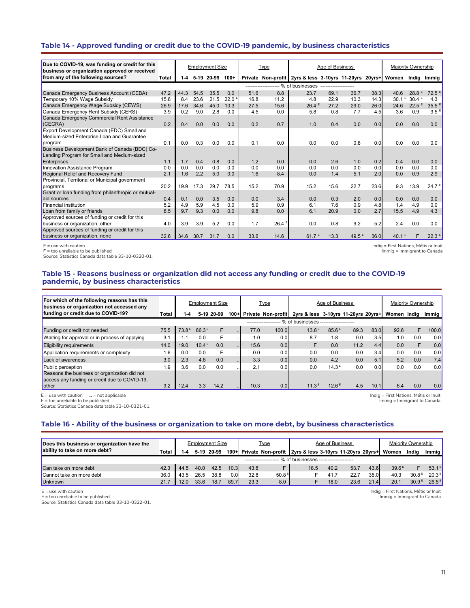### **Table 14 - Approved funding or credit due to the COVID-19 pandemic, by business characteristics**

| Due to COVID-19, was funding or credit for this                                     |       |         |        | <b>Employment Size</b> |                   |      | Type  |                                                              | Age of Business |          |      |          | Majority Ownership |                   |
|-------------------------------------------------------------------------------------|-------|---------|--------|------------------------|-------------------|------|-------|--------------------------------------------------------------|-----------------|----------|------|----------|--------------------|-------------------|
| business or organization approved or received<br>from any of the following sources? |       |         | $5-19$ | 20-99                  | $100+$            |      |       |                                                              |                 |          |      |          |                    |                   |
|                                                                                     | Total | $1 - 4$ |        |                        |                   |      |       | Private Non-profit 2yrs & less 3-10yrs 11-20yrs 20yrs+ Women |                 |          |      |          | India              | Immig             |
|                                                                                     |       |         |        |                        |                   |      |       | ------------------- % of businesses -------------------      |                 |          |      |          |                    |                   |
| Canada Emergency Business Account (CEBA)                                            | 47.2  | 44.3    | 54.5   | 35.5                   | 0.0               | 51.6 | 8.8   | 23.7                                                         | 69.1            | 36.7     | 38.3 | 40.6     | 28.8               | 72.5              |
| Temporary 10% Wage Subsidy                                                          | 15.8  | 8.4     | 23.6   | 21.5                   | 22.0 <sup>E</sup> | 16.8 | 11.2  | 4.8                                                          | 22.9            | 10.3     | 14.3 | $30.1^E$ | 30.4 <sup>E</sup>  | 4.3               |
| Canada Emergency Wage Subsidy (CEWS)                                                | 26.9  | 17.6    | 34.6   | 45.0                   | 10.3              | 27.5 | 15.6  | 26.4E                                                        | 27.2            | 29.0     | 26.0 | 24.6     | 22.5               | 35.5 <sup>E</sup> |
| Canada Emergency Rent Subsidy (CERS)                                                | 3.9   | 0.2     | 9.0    | 2.8                    | 0.0               | 4.5  | 0.0   | 5.8                                                          | 0.8             | 7.7      | 4.5  | 3.6      | 0.9                | 9.5 <sup>E</sup>  |
| Canada Emergency Commercial Rent Assistance                                         |       |         |        |                        |                   |      |       |                                                              |                 |          |      |          |                    |                   |
| (CECRA)                                                                             | 0.2   | 0.4     | 0.0    | 0.0                    | 0.0               | 0.2  | 0.7   | 1.0                                                          | 0.4             | 0.0      | 0.0  | 0.0      | 0.0                | 0.0               |
| Export Development Canada (EDC) Small and                                           |       |         |        |                        |                   |      |       |                                                              |                 |          |      |          |                    |                   |
| Medium-sized Enterprise Loan and Guarantee                                          |       |         |        |                        |                   |      |       |                                                              |                 |          |      |          |                    |                   |
| program                                                                             | 0.1   | 0.0     | 0.3    | 0.0                    | 0.0               | 0.1  | 0.0   | 0.0                                                          | 0.0             | 0.8      | 0.0  | 0.0      | 0.0                | 0.0               |
| Business Development Bank of Canada (BDC) Co-                                       |       |         |        |                        |                   |      |       |                                                              |                 |          |      |          |                    |                   |
| Lending Program for Small and Medium-sized                                          |       |         |        |                        |                   |      |       |                                                              |                 |          |      |          |                    |                   |
| Enterprises                                                                         | 1.1   | 1.7     | 0.4    | 0.8                    | 0.0               | 1.2  | 0.0   | 0.0                                                          | 2.6             | 1.0      | 0.2  | 0.4      | 0.0                | 0.0               |
| Innovation Assistance Program                                                       | 0.0   | 0.0     | 0.0    | 0.0                    | 0.0               | 0.0  | 0.0   | 0.0                                                          | 0.0             | 0.0      | 0.0  | 0.0      | 0.0                | 0.0               |
| <b>Regional Relief and Recovery Fund</b>                                            | 2.1   | 1.6     | 2.2    | 5.0                    | 0.0               | 1.6  | 8.4   | 0.0                                                          | 1.4             | 5.1      | 2.0  | 0.0      | 0.9                | 2.9               |
| Provincial, Territorial or Municipal government                                     |       |         |        |                        |                   |      |       |                                                              |                 |          |      |          |                    |                   |
| programs                                                                            | 20.2  | 19.9    | 17.3   | 29.7                   | 78.5              | 15.2 | 70.9  | 15.2                                                         | 15.6            | 22.7     | 23.6 | 9.3      | 13.9               | 24.7 <sup>E</sup> |
| Grant or loan funding from philanthropic or mutual-                                 |       |         |        |                        |                   |      |       |                                                              |                 |          |      |          |                    |                   |
| aid sources                                                                         | 0.4   | 0.1     | 0.0    | 3.5                    | 0.0               | 0.0  | 3.4   | 0.0                                                          | 0.3             | 2.0      | 0.0  | 0.0      | 0.0                | 0.0               |
| <b>Financial institution</b>                                                        | 5.2   | 4.9     | 5.9    | 4.5                    | 0.0               | 5.9  | 0.9   | 6.1                                                          | 7.6             | 0.9      | 4.8  | 1.4      | 4.9                | 0.0               |
| Loan from family or friends                                                         | 8.5   | 9.7     | 9.3    | 0.0                    | 0.0               | 9.8  | 0.0   | 6.1                                                          | 20.9            | 0.0      | 2.7  | 15.5     | 4.9                | 4.3               |
| Approved sources of funding or credit for this                                      |       |         |        |                        |                   |      |       |                                                              |                 |          |      |          |                    |                   |
| business or organization, other                                                     | 4.0   | 3.9     | 3.9    | 5.2                    | 0.0               | 1.7  | 26.4E | 0.0                                                          | 0.8             | 9.2      | 5.2  | 2.4      | 0.0                | 0.0               |
| Approved sources of funding or credit for this                                      |       |         |        |                        |                   |      |       |                                                              |                 |          |      |          |                    |                   |
| business or organization, none                                                      | 32.6  | 34.6    | 30.7   | 31.7                   | 0.0               | 33.6 | 14.6  | 61.7 <sup><math>E</math></sup>                               | 13.3            | 49.5 $E$ | 36.0 | 40.1     | F                  | 22.3 <sup>E</sup> |

E = use with caution

F = too unreliable to be published

Source: Statistics Canada data table 33-10-0320-01.

Indig = First Nations, Métis or Inuit .<br>Immig = Immigrant to Canada

### **Table 15 - Reasons business or organization did not access any funding or credit due to the COVID-19 pandemic, by business characteristics**

| For which of the following reasons has this<br>business or organization not accessed any |       |                   |                   | <b>Employment Size</b> |           |                   | <u>Type</u>               |                                     | Age of Business   |      |      |             | Maiority Ownership |                     |
|------------------------------------------------------------------------------------------|-------|-------------------|-------------------|------------------------|-----------|-------------------|---------------------------|-------------------------------------|-------------------|------|------|-------------|--------------------|---------------------|
| funding or credit due to COVID-19?                                                       | Total | 1-4               |                   | 5-19 20-99             | $100 +$   |                   | <b>Private Non-profit</b> | 2yrs & less 3-10yrs 11-20yrs 20yrs+ |                   |      |      | Women India |                    | Immig $\frac{1}{2}$ |
|                                                                                          |       |                   |                   |                        |           | ----------------- |                           | % of businesses ------------------- |                   |      |      |             |                    |                     |
| Funding or credit not needed                                                             | 75.5  | 73.8 <sup>E</sup> | 86.3E             | F                      | $\sim$    | 77.0              | 100.0                     | 13.6 <sup>E</sup>                   | 85.6 <sup>E</sup> | 89.3 | 83.0 | 92.6        | F                  | 100.0               |
| Waiting for approval or in process of applying                                           | 3.1   |                   | 0.0               |                        |           | 1.0               | 0.0                       | 8.7                                 | 1.8               | 0.0  | 3.5  | 1.0         | 0.0                | 0.0                 |
| <b>Eligibility requirements</b>                                                          | 14.0  | 19.0              | 10.4 <sup>E</sup> | 0.0                    | $\cdots$  | 15.6              | 0.0                       |                                     | 0.0               | 11.2 | 4.4  | 0.0         | F                  | 0.0                 |
| Application requirements or complexity                                                   | 1.6   | 0.0               | 0.0               | F                      |           | 0.0               | 0.0                       | 0.0                                 | 0.0               | 0.0  | 3.4  | 0.0         | 0.0                | 0.0                 |
| Lack of awareness                                                                        | 3.0   | 2.3               | 4.8               | 0.0                    | $\cdot$ . | 3.3               | 0.0                       | 0.0                                 | 4.2               | 0.0  | 5.1  | 5.2         | 0.0                | 7.4                 |
| Public perception                                                                        | 1.9   | 3.6               | 0.0               | 0.0                    |           | 2.1               | 0.0                       | 0.0                                 | 14.3 <sup>E</sup> | 0.0  | 0.0  | 0.0         | 0.0                | 0.0                 |
| Reasons the business or organization did not                                             |       |                   |                   |                        |           |                   |                           |                                     |                   |      |      |             |                    |                     |
| access any funding or credit due to COVID-19,                                            |       |                   |                   |                        |           |                   |                           |                                     |                   |      |      |             |                    |                     |
| other                                                                                    | 9.2   | 12.4              | 3.3               | 14.2                   |           | 10.3              | 0.0                       | 11.3 <sup>E</sup>                   | $12.6^{\pm}$      | 4.5  | 10.1 | 6.4         | 0.0                | 0.0                 |

E = use with caution **...** = not applicable

F = too unreliable to be published Source: Statistics Canada data table 33-10-0321-01.

#### Indig = First Nations, Métis or Inuit Immig = Immigrant to Canada

#### **Table 16 - Ability of the business or organization to take on more debt, by business characteristics**

| Does this business or organization have the |        |         |      | <b>Employment Size</b> |      |      | <u>Type</u>       |                                                             | Age of Business |      |      |       | Majority Ownership |                   |
|---------------------------------------------|--------|---------|------|------------------------|------|------|-------------------|-------------------------------------------------------------|-----------------|------|------|-------|--------------------|-------------------|
| ability to take on more debt?               | Total. | $1 - 4$ |      | 5-19 20-99             |      |      |                   | 100+ Private Non-profit 2yrs & less 3-10yrs 11-20yrs 20yrs+ |                 |      |      | Women | India              | Immig             |
|                                             |        |         |      |                        |      |      |                   | . % of businesses -------------------                       |                 |      |      |       |                    |                   |
| Can take on more debt                       | 42.3   | 44.5    | 40.0 | 42.5                   | 10.3 | 43.8 |                   | 18.5                                                        | 40.2            | 53.7 | 43.6 | 39.6E |                    | $53.1^E$          |
| Cannot take on more debt                    | 36.0   | 43.5    | 26.5 | 38.8                   | 0.0  | 32.8 | 50.8 <sup>E</sup> |                                                             | 41.7            | 22.7 | 35.0 | 40.3  | 30.8 <sup>E</sup>  | 20.3 <sup>E</sup> |
| Unknown                                     |        | 12.0    | 33.6 | 18.7                   | 89.7 | 23.3 | 8.0               |                                                             | 18.0            | 23.6 | 21.4 | 20.1  | 30.9 <sup>E</sup>  | $26.5^{\text{E}}$ |

E = use with caution F = too unreliable to be published

Source: Statistics Canada data table 33-10-0322-01.

Indig = First Nations, Métis or Inuit Immig = Immigrant to Canada

11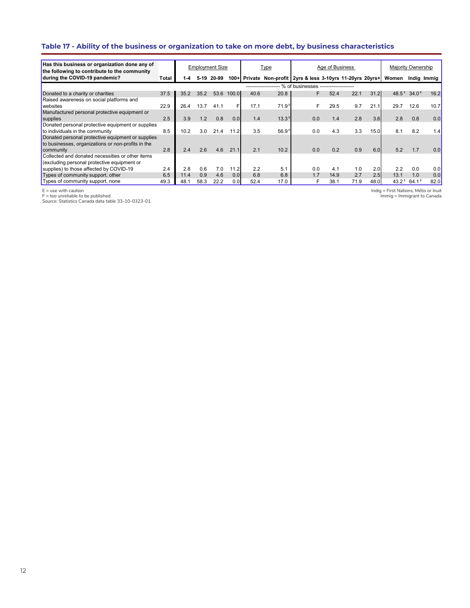# **Table 17 - Ability of the business or organization to take on more debt, by business characteristics**

| Has this business or organization done any of<br>the following to contribute to the community |       |      |      | <b>Employment Size</b> |         |      | Type              |                                                         | Age of Business |      |      | Majority Ownership |                                     |             |
|-----------------------------------------------------------------------------------------------|-------|------|------|------------------------|---------|------|-------------------|---------------------------------------------------------|-----------------|------|------|--------------------|-------------------------------------|-------------|
| during the COVID-19 pandemic?                                                                 | Total | 1-4  |      | 5-19 20-99             | $100 +$ |      |                   | Private Non-profit 2yrs & less 3-10yrs 11-20yrs 20yrs+  |                 |      |      | Women              |                                     | Indig Immig |
|                                                                                               |       |      |      |                        |         |      |                   | ------------------- % of businesses ------------------- |                 |      |      |                    |                                     |             |
| Donated to a charity or charities                                                             | 37.5  | 35.2 | 35.2 | 53.6                   | 100.0   | 40.6 | 20.8              | F                                                       | 52.4            | 22.1 | 31.2 |                    | 48.5 <sup>E</sup> 34.0 <sup>E</sup> | 16.2        |
| Raised awareness on social platforms and                                                      |       |      |      |                        |         |      |                   |                                                         |                 |      |      |                    |                                     |             |
| websites                                                                                      | 22.9  | 26.4 | 13.7 | 41.1                   | F       | 17.1 | 71.9 <sup>E</sup> | F                                                       | 29.5            | 9.7  | 21.1 | 29.7               | 12.6                                | 10.7        |
| Manufactured personal protective equipment or                                                 |       |      |      |                        |         |      |                   |                                                         |                 |      |      |                    |                                     |             |
| supplies                                                                                      | 2.5   | 3.9  | 1.2  | 0.8                    | 0.0     | 1.4  | $13.3^E$          | 0.0                                                     | 1.4             | 2.8  | 3.6  | 2.8                | 0.8                                 | 0.0         |
| Donated personal protective equipment or supplies                                             |       |      |      |                        |         |      |                   |                                                         |                 |      |      |                    |                                     |             |
| to individuals in the community                                                               | 8.5   | 10.2 | 3.0  | 21.4                   | 11.2    | 3.5  | 56.9 <sup>5</sup> | 0.0                                                     | 4.3             | 3.3  | 15.0 | 8.1                | 8.2                                 | 1.4         |
| Donated personal protective equipment or supplies                                             |       |      |      |                        |         |      |                   |                                                         |                 |      |      |                    |                                     |             |
| to businesses, organizations or non-profits in the                                            |       |      |      |                        |         |      |                   |                                                         |                 |      |      |                    |                                     |             |
| community                                                                                     | 2.8   | 2.4  | 2.6  | 4.6                    | 21.1    | 2.1  | 10.2              | 0.0                                                     | 0.2             | 0.9  | 6.0  | 5.2                | 1.7                                 | 0.0         |
| Collected and donated necessities or other items                                              |       |      |      |                        |         |      |                   |                                                         |                 |      |      |                    |                                     |             |
| (excluding personal protective equipment or                                                   |       |      |      |                        |         |      |                   |                                                         |                 |      |      |                    |                                     |             |
| supplies) to those affected by COVID-19                                                       | 2.4   | 2.8  | 0.6  | 7.0                    | 11.2    | 2.2  | 5.1               | 0.0                                                     | 4.1             | 1.0  | 2.0  | 2.2                | 0.0                                 | 0.0         |
| Types of community support, other                                                             | 6.5   | 11.4 | 0.9  | 4.6                    | 0.0     | 6.8  | 6.8               | 1.7                                                     | 14.9            | 2.7  | 2.5  | 13.1               | 1.0                                 | 0.0         |
| Types of community support, none                                                              | 49.3  | 48.1 | 58.3 | 22.2                   | 0.0     | 52.4 | 17.0              |                                                         | 38.1            | 71.9 | 48.0 | $43.2^{\text{E}}$  | $64.1^{\circ}$                      | 82.0        |

E = use with caution F = too unreliable to be published Source: Statistics Canada data table 33-10-0323-01.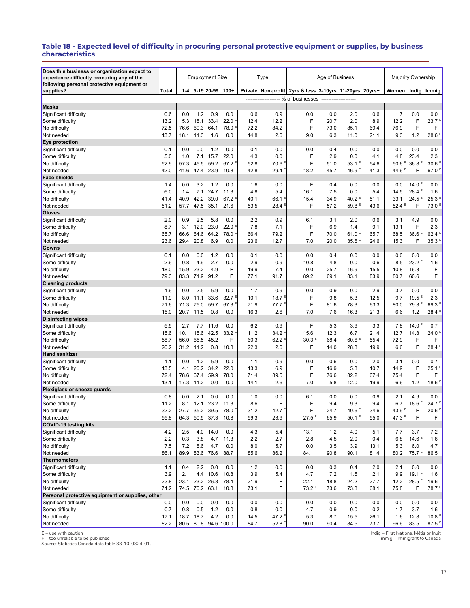#### **Table 18 - Expected level of difficulty in procuring personal protective equipment or supplies, by business characteristics**

| Does this business or organization expect to<br>experience difficulty procuring any of the |              |             |                | <b>Employment Size</b>      |                                        |              | <b>Type</b>                   |                                                         | Age of Business |                     |              |                                          | Majority Ownership                       |                           |
|--------------------------------------------------------------------------------------------|--------------|-------------|----------------|-----------------------------|----------------------------------------|--------------|-------------------------------|---------------------------------------------------------|-----------------|---------------------|--------------|------------------------------------------|------------------------------------------|---------------------------|
| following personal protective equipment or<br>supplies?                                    | Total        |             |                | 1-4 5-19 20-99 100+         |                                        |              |                               | Private Non-profit 2yrs & less 3-10yrs 11-20yrs 20yrs+  |                 |                     |              | Women Indig Immig                        |                                          |                           |
|                                                                                            |              |             |                |                             |                                        |              |                               | ------------------- % of businesses ------------------- |                 |                     |              |                                          |                                          |                           |
| <b>Masks</b>                                                                               |              |             |                |                             |                                        |              |                               |                                                         |                 |                     |              |                                          |                                          |                           |
| Significant difficulty                                                                     | 0.6          | 0.0         | 1.2            | 0.9                         | 0.0                                    | 0.6          | 0.9                           | 0.0                                                     | 0.0             | 2.0                 | 0.6          | 1.7                                      | 0.0                                      | 0.0                       |
| Some difficulty                                                                            | 13.2         | 5.3         | 18.1           | 33.4                        | 22.0 <sup>E</sup>                      | 12.4         | 12.2                          | F                                                       | 20.7            | 2.0                 | 8.9          | 12.2                                     | F                                        | $23.7$ <sup>E</sup>       |
| No difficulty                                                                              | 72.5         | 76.6        | 69.3           | 64.1                        | 78.0 <sup>E</sup>                      | 72.2         | 84.2                          | F                                                       | 73.0            | 85.1                | 69.4         | 76.9                                     | F                                        | F                         |
| Not needed                                                                                 | 13.7         | 18.1        | 11.3           | 1.6                         | 0.0                                    | 14.8         | 2.6                           | 9.0                                                     | 6.3             | 11.0                | 21.1         | 9.3                                      | 1.2                                      | 28.6 <sup>E</sup>         |
| Eye protection                                                                             |              |             |                |                             |                                        |              |                               |                                                         |                 |                     |              |                                          |                                          |                           |
| Significant difficulty                                                                     | 0.1          | 0.0         | 0.0            | 1.2                         | 0.0                                    | 0.1          | 0.0                           | 0.0                                                     | 0.4             | 0.0                 | 0.0          | 0.0                                      | 0.0                                      | 0.0                       |
| Some difficulty                                                                            | 5.0          | 1.0         | 7.1            | 15.7                        | 22.0 <sup>E</sup>                      | 4.3          | 0.0                           | F                                                       | 2.9             | 0.0                 | 4.1          | 4.8                                      | $23.4$ <sup>E</sup>                      | 2.3                       |
| No difficulty                                                                              | 52.9         | 57.3        |                | 45.5 59.2                   | $67.2$ <sup>E</sup>                    | 52.8         | 70.6 <sup>8</sup>             | F                                                       | 51.0            | $53.1$ <sup>E</sup> | 54.6         | $50.6$ <sup>E</sup><br>44.6 <sup>E</sup> | 36.8 <sup>E</sup>                        | 30.6 <sup>E</sup>         |
| Not needed<br><b>Face shields</b>                                                          | 42.0         | 41.6        | 47.4           | 23.9                        | 10.8                                   | 42.8         | 29.4 <sup>E</sup>             | 18.2                                                    | 45.7            | 46.9 <sup>E</sup>   | 41.3         |                                          | F                                        | 67.0 <sup>E</sup>         |
| Significant difficulty                                                                     | 1.4          | 0.0         | 3.2            | 1.2                         | 0.0                                    | 1.6          | 0.0                           | F                                                       | 0.4             | 0.0                 | 0.0          | 0.0                                      | 14.0 <sup>E</sup>                        | 0.0                       |
| Some difficulty                                                                            | 6.0          | 1.4         | 7.1            | 24.7                        | 11.3                                   | 4.8          | 5.4                           | 16.1                                                    | 7.5             | 0.0                 | 5.4          | 14.5                                     | 28.4 <sup>E</sup>                        | 1.6                       |
| No difficulty                                                                              | 41.4         | 40.9        | 42.2           | 39.0                        | 67.2 <sup>E</sup>                      | 40.1         | $66.1$ <sup>B</sup>           | 15.4                                                    | 34.9            | 40.2 <sup>E</sup>   | 51.1         | 33.1                                     | $24.5$ <sup>E</sup>                      | 25.3E                     |
| Not needed                                                                                 | 51.2         | 57.7        | 47.5           | 35.1                        | 21.6                                   | 53.5         | 28.4                          | F                                                       | 57.2            | 59.8 <sup>E</sup>   | 43.6         | 52.4 <sup>E</sup>                        | F                                        | 73.0 <sup>B</sup>         |
| Gloves                                                                                     |              |             |                |                             |                                        |              |                               |                                                         |                 |                     |              |                                          |                                          |                           |
| Significant difficulty                                                                     | 2.0          | 0.9         | 2.5            | 5.8                         | 0.0                                    | 2.2          | 0.9                           | 6.1                                                     | 3.1             | 2.0                 | 0.6          | 3.1                                      | 4.9                                      | 0.0                       |
| Some difficulty                                                                            | 8.7          | 3.1         | 12.0           | 23.0                        | 22.0 <sup>E</sup>                      | 7.8          | 7.1                           | F                                                       | 6.9             | 1.4                 | 9.1          | 13.1                                     | F                                        | 2.3                       |
| No difficulty                                                                              | 65.7         | 66.6        | 64.6           | 64.2                        | 78.0 <sup>E</sup>                      | 66.4         | 79.2                          | F                                                       | 70.0            | 61.0 <sup>E</sup>   | 65.7         | 68.5                                     | 36.6 <sup>E</sup>                        | $62.4$ <sup>E</sup>       |
| Not needed                                                                                 | 23.6         | 29.4        | 20.8           | 6.9                         | 0.0                                    | 23.6         | 12.7                          | 7.0                                                     | 20.0            | 35.6 <sup>E</sup>   | 24.6         | 15.3                                     | F                                        | 35.3 <sup>E</sup>         |
| Gowns                                                                                      |              |             |                |                             |                                        |              |                               |                                                         |                 |                     |              |                                          |                                          |                           |
| Significant difficulty                                                                     | 0.1          | 0.0         | 0.0            | 1.2                         | 0.0                                    | 0.1          | 0.0                           | 0.0                                                     | 0.4             | 0.0                 | 0.0          | 0.0                                      | 0.0                                      | 0.0                       |
| Some difficulty                                                                            | 2.6          | 0.8         | 4.9            | 2.7                         | 0.0                                    | 2.9          | 0.9                           | 10.8                                                    | 4.8             | 0.0                 | 0.6          | 8.5                                      | $23.2^E$                                 | 1.6                       |
| No difficulty                                                                              | 18.0         | 15.9        | 23.2           | 4.9                         | F                                      | 19.9         | 7.4                           | 0.0                                                     | 25.7            | 16.9                | 15.5         | 10.8                                     | 16.3                                     | F                         |
| Not needed                                                                                 | 79.3         | 83.3        | 71.9           | 91.2                        | F                                      | 77.1         | 91.7                          | 89.2                                                    | 69.1            | 83.1                | 83.9         | 80.7                                     | 60.6 <sup>E</sup>                        | F                         |
| <b>Cleaning products</b>                                                                   |              |             |                |                             |                                        |              |                               |                                                         |                 |                     |              |                                          |                                          |                           |
| Significant difficulty                                                                     | 1.6          | 0.0         | 2.5            | 5.9                         | 0.0                                    | 1.7          | 0.9                           | 0.0                                                     | 0.9             | 0.0                 | 2.9          | 3.7                                      | 0.0                                      | 0.0                       |
| Some difficulty<br>No difficulty                                                           | 11.9<br>71.6 | 8.0<br>71.3 | 11.1<br>75.0   | 33.6<br>59.7                | 32.7 <sup>E</sup><br>67.3 <sup>E</sup> | 10.1<br>71.9 | 18.7 <sup>8</sup><br>$77.7^E$ | F<br>F                                                  | 9.8<br>81.6     | 5.3<br>78.3         | 12.5<br>63.3 | 9.7<br>80.0                              | $19.5$ <sup>E</sup><br>79.3 <sup>E</sup> | 2.3<br>69.3 <sup>E</sup>  |
| Not needed                                                                                 | 15.0         | 20.7        | 11.5           | 0.8                         | 0.0                                    | 16.3         | 2.6                           | 7.0                                                     | 7.6             | 16.3                | 21.3         | 6.6                                      | 1.2                                      | 28.4 <sup>E</sup>         |
| <b>Disinfecting wipes</b>                                                                  |              |             |                |                             |                                        |              |                               |                                                         |                 |                     |              |                                          |                                          |                           |
| Significant difficulty                                                                     | 5.5          | 2.7         | 7.7            | 11.6                        | 0.0                                    | 6.2          | 0.9                           | F                                                       | 5.3             | 3.9                 | 3.3          | 7.8                                      | 14.0 <sup>E</sup>                        | 0.7                       |
| Some difficulty                                                                            | 15.6         | 10.1        | 15.6           | 42.5                        | 33.2 <sup>E</sup>                      | 11.2         | 34.2 <sup>E</sup>             | 15.6                                                    | 12.3            | 6.7                 | 21.4         | 12.7                                     | 14.8                                     | 24.0 <sup>E</sup>         |
| No difficulty                                                                              | 58.7         | 56.0        | 65.5           | 45.2                        | F                                      | 60.3         | 62.2 <sup>8</sup>             | 30.3 <sup>E</sup>                                       | 68.4            | $60.6$ <sup>E</sup> | 55.4         | 72.9                                     | F                                        | F                         |
| Not needed                                                                                 | 20.2         | 31.2        | 11.2           | 0.8                         | 10.8                                   | 22.3         | 2.6                           | F                                                       | 14.0            | 28.8 <sup>E</sup>   | 19.9         | 6.6                                      | F                                        | 28.4 <sup>E</sup>         |
| <b>Hand sanitizer</b>                                                                      |              |             |                |                             |                                        |              |                               |                                                         |                 |                     |              |                                          |                                          |                           |
| Significant difficulty                                                                     | 1.1          | 0.0         | 1.2            | 5.9                         | 0.0                                    | 1.1          | 0.9                           | 0.0                                                     | 0.6             | 0.0                 | 2.0          | 3.1                                      | 0.0                                      | 0.7                       |
| Some difficulty                                                                            | 13.5         | 4.1         |                | 20.2 34.2                   | 22.0 <sup>5</sup>                      | 13.3         | 6.9                           | F                                                       | 16.9            | 5.8                 | 10.7         | 14.9                                     | F                                        | $25.1$ <sup>E</sup>       |
| No difficulty                                                                              | 72.4         | 78.6        | 67.4           | 59.9                        | 78.0 <sup>E</sup>                      | 71.4         | 89.5                          | F                                                       | 76.6            | 82.2                | 67.4         | 75.4                                     | F                                        | F                         |
| Not needed                                                                                 | 13.1         | 17.3        | 11.2           | 0.0                         | 0.0                                    | 14.1         | 2.6                           | 7.0                                                     | 5.8             | 12.0                | 19.9         | 6.6                                      | 1.2                                      | $18.6$ <sup>E</sup>       |
| Plexiglass or sneeze guards                                                                |              |             |                |                             |                                        |              |                               |                                                         |                 |                     |              |                                          |                                          |                           |
| Significant difficulty                                                                     | 0.8<br>11.2  | 0.0<br>8.1  | 2.1<br>12.1    | 0.0                         | 0.0                                    | 1.0<br>8.6   | 0.0<br>F                      | 6.1<br>F                                                | 0.0<br>9.4      | 0.0<br>9.3          | 0.9<br>9.4   | 2.1                                      | 4.9<br>$18.6$ <sup>E</sup>               | 0.0<br>24.7 <sup>E</sup>  |
| Some difficulty<br>No difficulty                                                           |              |             |                | 23.2                        | 11.3                                   |              |                               |                                                         |                 | $40.6$ <sup>E</sup> |              | 6.7                                      |                                          |                           |
| Not needed                                                                                 | 32.2<br>55.8 | 27.7        | 64.3 50.5 37.3 | 35.2 39.5                   | 78.0 -<br>10.8                         | 31.2<br>59.3 | 42.7 <sup>=</sup><br>23.9     | F<br>$27.5$ <sup>E</sup>                                | 24.7<br>65.9    | 50.1 <sup>E</sup>   | 34.6<br>55.0 | $43.9 -$<br>47.3 $E$                     | F<br>F                                   | 20.6 <sup>5</sup><br>F    |
| <b>COVID-19 testing kits</b>                                                               |              |             |                |                             |                                        |              |                               |                                                         |                 |                     |              |                                          |                                          |                           |
| Significant difficulty                                                                     | 4.2          | 2.5         |                | 4.0 14.0                    | 0.0                                    | 4.3          | 5.4                           | 13.1                                                    | 1.2             | 4.0                 | 5.1          | 7.7                                      | 3.7                                      | 7.2                       |
| Some difficulty                                                                            | 2.2          | 0.3         | 3.8            | 4.7                         | 11.3                                   | 2.2          | 2.7                           | 2.8                                                     | 4.5             | 2.0                 | 0.4          | 6.8                                      | 14.6 $E$                                 | 1.6                       |
| No difficulty                                                                              | 7.5          | 7.2         | 8.6            | 4.7                         | 0.0                                    | 8.0          | 5.7                           | 0.0                                                     | 3.5             | 3.9                 | 13.1         | 5.3                                      | 6.0                                      | 4.7                       |
| Not needed                                                                                 | 86.1         | 89.9        |                | 83.6 76.6                   | 88.7                                   | 85.6         | 86.2                          | 84.1                                                    | 90.8            | 90.1                | 81.4         | 80.2                                     | 75.7 <sup>E</sup>                        | 86.5                      |
| Thermometers                                                                               |              |             |                |                             |                                        |              |                               |                                                         |                 |                     |              |                                          |                                          |                           |
| Significant difficulty                                                                     | 1.1          | 0.4         | 2.2            | 0.0                         | 0.0                                    | $1.2$        | 0.0                           | 0.0                                                     | 0.3             | 0.4                 | 2.0          | 2.1                                      | 0.0                                      | 0.0                       |
| Some difficulty                                                                            | 3.9          | 2.1         |                | 4.4 10.6                    | 10.8                                   | 3.9          | 5.4                           | 4.7                                                     | 7.2             | 1.5                 | 2.1          | 9.9                                      | 19.1 <sup>E</sup>                        | 1.6                       |
| No difficulty                                                                              | 23.8         | 23.1        |                | 23.2 26.3                   | 78.4                                   | 21.9         | F                             | 22.1                                                    | 18.8            | 24.2                | 27.7         | 12.2                                     | 28.5 <sup>E</sup>                        | 19.6                      |
| Not needed                                                                                 | 71.2         |             | 74.5 70.2 63.1 |                             | 10.8                                   | 73.1         | F                             | 73.2 <sup>E</sup>                                       | 73.6            | 73.8                | 68.1         | 75.8                                     | F                                        | 78.7 <sup>E</sup>         |
| Personal protective equipment or supplies, other                                           |              |             |                |                             |                                        |              |                               |                                                         |                 |                     |              |                                          |                                          |                           |
| Significant difficulty                                                                     | 0.0          | 0.0         | 0.0            | 0.0                         | 0.0                                    | 0.0          | 0.0                           | 0.0                                                     | 0.0             | 0.0                 | 0.0          | 0.0                                      | 0.0                                      | 0.0                       |
| Some difficulty                                                                            | 0.7          | 0.8         | $0.5\,$        | 1.2                         | 0.0                                    | 0.8          | 0.0                           | 4.7                                                     | 0.9             | 0.0                 | 0.2          | 1.7                                      | 3.7                                      | 1.6                       |
| No difficulty                                                                              | 17.1<br>82.2 | 18.7        | 18.7           | 4.2<br>80.5 80.8 94.6 100.0 | 0.0                                    | 14.5         | 47.2 <sup>E</sup>             | 5.3                                                     | 8.7             | 15.5                | 26.1         | 1.6                                      | 12.8                                     | 10.8 <sup>E</sup><br>87.5 |
| Not needed                                                                                 |              |             |                |                             |                                        | 84.7         | $52.8$ <sup>E</sup>           | 90.0                                                    | 90.4            | 84.5                | 73.7         | 96.6                                     | 83.5                                     |                           |

E = use with caution F = too unreliable to be published Source: Statistics Canada data table 33-10-0324-01.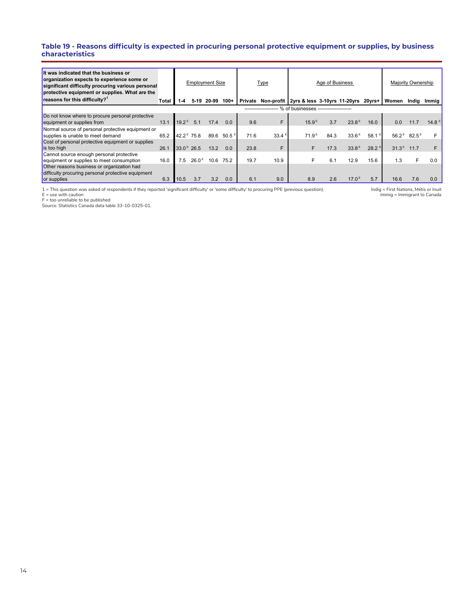#### **Table 19 - Reasons difficulty is expected in procuring personal protective equipment or supplies, by business characteristics**

| It was indicated that the business or<br>organization expects to experience some or<br>significant difficulty procuring various personal<br>protective equipment or supplies. What are the |       |                        |                   | <b>Employment Size</b> |                       |         | <b>Type</b>       |                                                          | Age of Business |                   |                     |                   | Majority Ownership |                   |
|--------------------------------------------------------------------------------------------------------------------------------------------------------------------------------------------|-------|------------------------|-------------------|------------------------|-----------------------|---------|-------------------|----------------------------------------------------------|-----------------|-------------------|---------------------|-------------------|--------------------|-------------------|
| reasons for this difficulty?                                                                                                                                                               | Total | 1-4                    | 5-19              | 20-99                  | $100+$                | Private |                   | Non-profit 2yrs & less 3-10yrs 11-20yrs 20yrs+           |                 |                   |                     | Women             | India              | Immig             |
|                                                                                                                                                                                            |       |                        |                   |                        |                       |         |                   | ------------------- % of businesses -------------------- |                 |                   |                     |                   |                    |                   |
| Do not know where to procure personal protective<br>equipment or supplies from                                                                                                             | 13.1  | 19.2 <sup>E</sup>      | 5.1               | 17.4                   | 0.0                   | 9.6     | F                 | 15.9 <sup>E</sup>                                        | 3.7             | 23.8E             | 16.0                | 0.0               | 11.7               | 14.8 <sup>E</sup> |
| Normal source of personal protective equipment or<br>supplies is unable to meet demand                                                                                                     | 65.2  | 42.2 <sup>E</sup> 75.8 |                   | 89.6                   | $50.5$ $\overline{5}$ | 71.6    | 33.4 <sup>E</sup> | $71.9^{\pm}$                                             | 84.3            | 33.6 <sup>E</sup> | $58.1$ <sup>E</sup> | $56.2^{\,E}$      | $82.5^{\circ}$     |                   |
| Cost of personal protective equipment or supplies<br>is too high                                                                                                                           | 26.1  | 33.0 <sup>E</sup> 26.5 |                   | 13.2                   | 0.0                   | 23.8    | F                 | F                                                        | 17.3            | 33.8E             | $28.2$ <sup>E</sup> | 31.3 <sup>E</sup> | 11.7               |                   |
| Cannot source enough personal protective<br>equipment or supplies to meet consumption                                                                                                      | 16.0  | 7.5                    | 26.0 <sup>E</sup> | 10.6                   | 75.2                  | 19.7    | 10.9              | F                                                        | 6.1             | 12.9              | 15.6                | 1.3               |                    | 0.0               |
| Other reasons business or organization had<br>difficulty procuring personal protective equipment                                                                                           |       |                        |                   |                        |                       |         |                   |                                                          |                 |                   |                     |                   |                    |                   |
| or supplies                                                                                                                                                                                | 6.3   | 10.5                   |                   | 3.2                    | 0.0                   | 6.1     | 9.0               | 8.9                                                      | 2.6             | 17.0 <sup>E</sup> | 5.7                 | 16.6              | 7.6                | 0.0               |

1 = This question was asked of respondents if they reported 'significant difficulty' or 'some difficulty' to procuring PPE (previous question).<br>E = use with caution<br>F = too unreliable to be published<br>Source: Statistics Can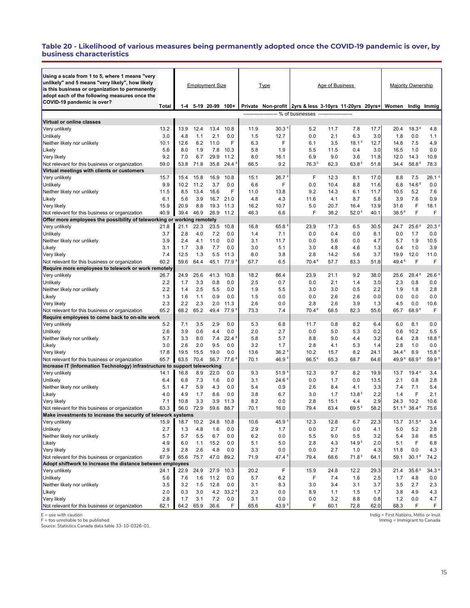#### **Table 20 - Likelihood of various measures being permanently adopted once the COVID-19 pandemic is over, by business characteristics**

| Using a scale from 1 to 5, where 1 means "very                                                                  |             |             |              |                        |              |             |             |                                                         |                 |                   |              |                   |                                     |                     |
|-----------------------------------------------------------------------------------------------------------------|-------------|-------------|--------------|------------------------|--------------|-------------|-------------|---------------------------------------------------------|-----------------|-------------------|--------------|-------------------|-------------------------------------|---------------------|
| unlikely" and 5 means "very likely", how likely<br>is this business or organization to permanently              |             |             |              | <b>Employment Size</b> |              |             | <u>Type</u> |                                                         | Age of Business |                   |              |                   | <b>Majority Ownership</b>           |                     |
| adopt each of the following measures once the                                                                   |             |             |              |                        |              |             |             |                                                         |                 |                   |              |                   |                                     |                     |
| COVID-19 pandemic is over?                                                                                      | Total       | 1-4         |              | 5-19 20-99             | $100+$       |             |             | Private Non-profit 2yrs & less 3-10yrs 11-20yrs 20yrs+  |                 |                   |              | Women             | Indig                               | Immig               |
|                                                                                                                 |             |             |              |                        |              |             |             | ------------------- % of businesses ------------------- |                 |                   |              |                   |                                     |                     |
| Virtual or online classes                                                                                       |             |             |              |                        |              |             |             |                                                         |                 |                   |              |                   |                                     |                     |
| Very unlikely                                                                                                   | 13.2        | 13.9        | 12.4         | 13.4                   | 10.8         | 11.9        | 30.3        | 5.2                                                     | 11.7            | 7.8               | 17.7         | 20.4              | 18.3E                               | 4.8                 |
| Unlikely                                                                                                        | 3.0         | 4.8         | 1.1          | 2.1                    | 0.0          | 1.5         | 12.7        | 0.0                                                     | 2.1             | 6.3               | 3.0          | 1.8               | 0.0                                 | 1.1                 |
| Neither likely nor unlikely                                                                                     | 10.1        | 12.6        | 6.2          | 11.0                   | F            | 6.3         | F           | 6.1                                                     | 3.5             | $18.1^E$          | 12.7         | 14.8              | 7.5                                 | 4.9                 |
| Likely                                                                                                          | 5.6         | 8.0         | 1.9          | 7.8                    | 10.3         | 5.8         | 1.9         | 5.5                                                     | 11.5            | 0.4               | 3.0          | 16.5              | 1.0                                 | 0.0                 |
| Very likely                                                                                                     | 9.2         | 7.0         | 6.7          | 29.9                   | 11.2         | 8.0         | 16.1        | 6.9                                                     | 9.0             | 3.6               | 11.8         | 12.0              | 14.3                                | 10.9                |
| Not relevant for this business or organization                                                                  | 59.0        | 53.8        | 71.8         |                        | 35.8 24.4    | 66.5        | 9.2         | 76.3 <sup>E</sup>                                       | 62.3            | 63.8E             | 51.8         | 34.4              | 58.8E                               | 78.3                |
| Virtual meetings with clients or customers                                                                      |             |             |              |                        |              |             |             |                                                         |                 |                   |              |                   |                                     |                     |
| Very unlikely                                                                                                   | 15.7        | 15.4        | 15.8         | 16.9                   | 10.8         | 15.1        | 26.7        | F                                                       | 12.3            | 8.1               | 17.0         | 8.8               | 7.5                                 | $26.1$ <sup>8</sup> |
| Unlikely                                                                                                        | 9.9<br>11.5 | 10.2<br>8.5 | 11.2<br>13.4 | 3.7<br>16.6            | 0.0<br>F     | 6.6<br>11.0 | F<br>13.8   | 0.0<br>9.2                                              | 10.4<br>14.3    | 8.8<br>6.1        | 11.6<br>11.7 | 6.8<br>10.5       | 14.6 <sup>E</sup><br>5.2            | 0.0<br>7.6          |
| Neither likely nor unlikely<br>Likely                                                                           | 6.1         | 5.6         | 3.9          | 16.7                   | 21.0         | 4.8         | 4.3         | 11.6                                                    | 4.1             | 8.7               | 5.8          | 3.9               | 7.6                                 | 0.9                 |
| Very likely                                                                                                     | 15.9        | 20.9        | 8.8          | 19.3                   | 11.3         | 16.2        | 10.7        | 5.0                                                     | 20.7            | 16.4              | 13.9         | 31.6              | F                                   | 18.1                |
| Not relevant for this business or organization                                                                  | 40.9        | 39.4        | 46.9         | 26.9                   | 11.2         | 46.3        | 6.6         | F                                                       | 38.2            | 52.0 <sup>E</sup> | 40.1         | 38.5 <sup>E</sup> | F                                   | F                   |
| Offer more employees the possibility of teleworking or working remotely                                         |             |             |              |                        |              |             |             |                                                         |                 |                   |              |                   |                                     |                     |
| Very unlikely                                                                                                   | 21.8        | 21.1        | 22.3         | 23.5                   | 10.8         | 16.8        | 65.8        | 23.9                                                    | 17.3            | 6.5               | 30.5         | 24.7              | 25.6E                               | 20.3                |
| Unlikely                                                                                                        | 3.7         | 2.8         | 4.0          | 7.2                    | 0.0          | 1.4         | 7.1         | 0.0                                                     | 0.4             | 0.0               | 8.1          | 0.0               | 1.7                                 | 0.0                 |
| Neither likely nor unlikely                                                                                     | 3.9         | 2.4         | 4.1          | 11.0                   | 0.0          | 3.1         | 11.7        | 0.0                                                     | 5.6             | 0.0               | 4.7          | 5.7               | 1.9                                 | 10.5                |
| Likely                                                                                                          | 3.1         | 1.7         | 3.8          | 7.7                    | 0.0          | 3.0         | 5.1         | 3.0                                                     | 4.8             | 4.6               | 1.3          | 0.4               | 1.0                                 | 3.9                 |
| Very likely                                                                                                     | 7.4         | 12.5        | 1.3          | 5.5                    | 11.3         | 8.0         | 3.8         | 2.8                                                     | 14.2            | 5.6               | 3.7          | 19.9              | 12.0                                | 11.0                |
| Not relevant for this business or organization                                                                  | 60.2        | 59.6        | 64.4         | 45.1                   | 77.9         | 67.7        | 6.5         | 70.4 <sup>E</sup>                                       | 57.7            | 83.3              | 51.8         | 49.4 <sup>E</sup> | F                                   | F                   |
| Require more employees to telework or work remotely                                                             |             |             |              |                        |              |             |             |                                                         |                 |                   |              |                   |                                     |                     |
| Very unlikely                                                                                                   | 26.7        | 24.9        | 25.6         | 41.3                   | 10.8         | 18.2        | 86.4        | 23.9                                                    | 21.1            | 9.2               | 38.0         | 25.6              | 28.4 <sup>E</sup>                   | 26.6 <sup>8</sup>   |
| Unlikely                                                                                                        | 2.2         | 1.7         | 3.3          | 0.8                    | 0.0          | 2.5         | 0.7         | 0.0                                                     | 2.1             | 1.4               | 3.0          | 2.3               | 0.8                                 | 0.0                 |
| Neither likely nor unlikely                                                                                     | 2.2         | 1.4         | 2.5          | 5.5                    | 0.0          | 1.9         | 5.5         | 3.0                                                     | 3.0             | 0.5               | 2.2          | 1.9               | 1.8                                 | 2.8                 |
| Likely                                                                                                          | 1.3         | 1.6         | 1.1          | 0.9                    | 0.0          | 1.5         | 0.0         | 0.0                                                     | 2.6             | 2.6               | 0.0          | 0.0               | 0.0                                 | 0.0                 |
| Very likely                                                                                                     | 2.3<br>65.2 | 2.2<br>68.2 | 2.3<br>65.2  | 2.0<br>49.4            | 11.3<br>77.9 | 2.6<br>73.3 | 0.0<br>7.4  | 2.8<br>70.4 <sup>E</sup>                                | 2.6<br>68.5     | 3.9<br>82.3       | 1.3<br>55.6  | 4.5<br>65.7       | 0.0<br>68.9 <sup>E</sup>            | 10.6<br>F           |
| Not relevant for this business or organization<br>Require employees to come back to on-site work                |             |             |              |                        |              |             |             |                                                         |                 |                   |              |                   |                                     |                     |
| Very unlikely                                                                                                   | 5.2         | 7.1         | 3.5          | 2.9                    | 0.0          | 5.3         | 6.8         | 11.7                                                    | 0.8             | 8.2               | 6.4          | 6.0               | 8.1                                 | 0.0                 |
| Unlikely                                                                                                        | 2.6         | 3.9         | 0.6          | 4.4                    | 0.0          | 2.0         | 2.7         | 0.0                                                     | 5.0             | 5.3               | 0.2          | 0.6               | 10.2                                | 5.5                 |
| Neither likely nor unlikely                                                                                     | 5.7         | 3.3         | 8.0          | 7.4                    | 22.4         | 5.8         | 5.7         | 8.8                                                     | 9.0             | 4.4               | 3.2          | 6.4               | 2.8                                 | 18.8 <sup>E</sup>   |
| Likely                                                                                                          | 3.0         | 2.6         | 2.0          | 9.5                    | 0.0          | 3.2         | 1.7         | 2.8                                                     | 4.1             | 5.3               | 1.4          | 2.8               | 1.0                                 | 0.0                 |
| Very likely                                                                                                     | 17.8        | 19.5        | 15.5         | 19.0                   | 0.0          | 13.6        | 36.2        | 10.2                                                    | 15.7            | 8.2               | 24.1         | 34.4 <sup>E</sup> | 8.9                                 | 15.8 <sup>E</sup>   |
| Not relevant for this business or organization                                                                  | 65.7        | 63.5        | 70.4         | 56.7                   | 77.6         | 70.1        | 46.9        | $66.5^{\,\text{E}}$                                     | 65.3            | 68.7              | 64.6         |                   | 49.9 <sup>E</sup> 68.9 <sup>E</sup> | 59.9 <sup>E</sup>   |
| Increase IT (Information Technology) infrastructure to support teleworking                                      |             |             |              |                        |              |             |             |                                                         |                 |                   |              |                   |                                     |                     |
| Very unlikely                                                                                                   | 14.1        | 16.8        | 8.9          | 22.0                   | 0.0          | 9.3         | 51.9        | 12.3                                                    | 9.7             | 8.2               | 19.9         | 13.7              | 19.4E                               | 3.4                 |
| Unlikely                                                                                                        | 6.4         | 6.8         | 7.3          | 1.6                    | 0.0          | 3.1         | 24.6        | 0.0                                                     | 1.7             | 0.0               | 13.5         | 2.1               | 0.8                                 | 2.8                 |
| Neither likely nor unlikely                                                                                     | 5.1         | 4.7         | 5.9          | 4.3                    | 0.0          | 5.4         | 0.9         | 2.6                                                     | 8.4             | 4.1               | 3.3          | 7.4               | 7.1                                 | 5.4                 |
| Likely                                                                                                          | 4.0         | 4.9         | 1.7          | 8.6                    | 0.0          | 3.8         | 6.7         | 3.0                                                     | 1.7             | 13.8 <sup>E</sup> | 2.2          | 1.4               | F                                   | 2.1                 |
| Very likely                                                                                                     | 7.1         | 10.8        | 3.3          | 3.9                    | 11.3         | 8.2         | 0.0         | 2.8                                                     | 15.1            | 4.4               | 2.9          | 24.3              | 10.2                                | 10.6                |
| Not relevant for this business or organization<br>Make investments to increase the security of telework systems | 63.3        | 56.0        | 72.9         | 59.6                   | 88.7         | 70.1        | 16.0        | 79.4                                                    | 63.4            | 69.5 <sup>E</sup> | 58.2         |                   | $51.1^E$ 38.4 <sup>E</sup>          | 75.6                |
| Very unlikely                                                                                                   | 15.9        | 18.7        | 10.2         | 24.8                   | 10.8         | 10.6        | 45.9        | 12.3                                                    | 12.8            | 6.7               | 22.3         | 13.7              | 31.5 <sup>E</sup>                   | 3.4                 |
| Unlikely                                                                                                        | 2.7         | 1.3         | 4.8          | 1.6                    | 0.0          | 2.9         | 1.7         | 0.0                                                     | 2.7             | 0.0               | 4.1          | 5.0               | 5.2                                 | 2.8                 |
| Neither likely nor unlikely                                                                                     | 5.7         | 5.7         | 5.5          | 6.7                    | 0.0          | 6.2         | 0.0         | 5.5                                                     | 9.0             | 5.5               | 3.2          | 5.4               | 3.6                                 | 8.5                 |
| Likely                                                                                                          | 4.9         | 6.0         | 1.1          | 15.2                   | 0.0          | 5.1         | 5.0         | 2.8                                                     | 4.3             | 14.9 <sup>E</sup> | 2.0          | 5.1               | F                                   | 6.8                 |
| Very likely                                                                                                     | 2.9         | 2.8         | 2.6          | 4.8                    | 0.0          | 3.3         | 0.0         | 0.0                                                     | 2.7             | 1.0               | 4.3          | 11.8              | 0.0                                 | 4.3                 |
| Not relevant for this business or organization                                                                  | 67.9        | 65.6        | 75.7         |                        | 47.0 89.2    | 71.9        | 47.4        | 79.4                                                    | 68.6            | 71.8 <sup>E</sup> | 64.1         | 59.1              | $30.1^E$                            | 74.2                |
| Adopt shiftwork to increase the distance between employees                                                      |             |             |              |                        |              |             |             |                                                         |                 |                   |              |                   |                                     |                     |
| Very unlikely                                                                                                   | 24.1        | 22.9        | 24.9         | 27.9                   | 10.3         | 20.2        | F           | 15.9                                                    | 24.8            | 12.2              | 29.3         | 21.4              | 35.6E                               | 34.3 <sup>E</sup>   |
| Unlikely                                                                                                        | 5.6         | 7.6         | 1.6          | 11.2                   | 0.0          | 5.7         | 6.2         | F                                                       | 7.4             | 1.6               | 2.5          | 1.7               | 4.8                                 | 0.0                 |
| Neither likely nor unlikely                                                                                     | 3.5         | 3.2         | 1.5          | 12.8                   | 0.0          | 3.1         | 8.3         | 3.0                                                     | 3.4             | 3.1               | 3.7          | 3.5               | 2.7                                 | 2.3                 |
| Likely                                                                                                          | 2.0         | 0.3         | 3.0          |                        | 4.2 33.2     | 2.3         | 0.0         | 8.9                                                     | 1.1             | 1.5               | 1.7          | 3.8               | 4.9                                 | 4.3                 |
| Very likely                                                                                                     | 2.8         | 1.7         | 3.1          | 7.2                    | 0.0          | 3.1         | 0.0         | 0.0                                                     | 3.2             | 8.8               | 0.8          | 1.2               | 0.0                                 | 4.7                 |
| Not relevant for this business or organization                                                                  | 62.1        | 64.2        | 65.9         | 36.6                   | F            | 65.6        | 43.9        | F                                                       | 60.1            | 72.8              | 62.0         | 68.3              | F                                   | F.                  |

E = use with caution

F = too unreliable to be published Source: Statistics Canada data table 33-10-0326-01.

Indig = First Nations, Métis or Inuit Immig = Immigrant to Canada

15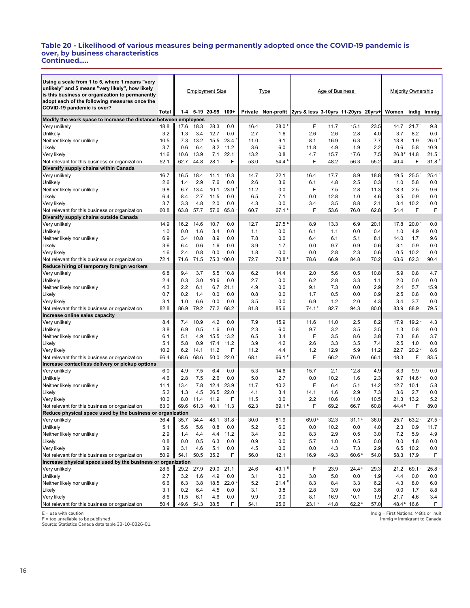#### **Table 20 - Likelihood of various measures being permanently adopted once the COVID-19 pandemic is over, by business characteristics Continued.....**

| Using a scale from 1 to 5, where 1 means "very<br>unlikely" and 5 means "very likely", how likely<br>is this business or organization to permanently<br>adopt each of the following measures once the |            |            |            | <b>Employment Size</b> |                   |             | <b>Type</b>        |                                     | Age of Business |                   |             |                   | <b>Majority Ownership</b> |                     |
|-------------------------------------------------------------------------------------------------------------------------------------------------------------------------------------------------------|------------|------------|------------|------------------------|-------------------|-------------|--------------------|-------------------------------------|-----------------|-------------------|-------------|-------------------|---------------------------|---------------------|
| COVID-19 pandemic is over?                                                                                                                                                                            | Total      | 1-4        |            | 5-19 20-99             | $100+$            |             | Private Non-profit | 2yrs & less 3-10yrs 11-20yrs 20yrs+ |                 |                   |             | Women             |                           | Indig Immig         |
| Modify the work space to increase the distance between employees                                                                                                                                      |            |            |            |                        |                   |             |                    |                                     |                 |                   |             |                   |                           |                     |
| Very unlikely                                                                                                                                                                                         | 18.8       | 17.6       | 18.3       | 28.3                   | 0.0               | 16.4        | 28.0               | F                                   | 11.7            | 15.1              | 23.5        | 14.7              | 21.7 <sup>E</sup>         | 9.8                 |
| Unlikely                                                                                                                                                                                              | 3.2        | 1.3        | 3.4        | 12.7                   | 0.0               | 2.7         | 1.6                | 2.6                                 | 2.6             | 2.8               | 4.0         | 3.7               | 8.2                       | 0.0                 |
| Neither likely nor unlikely                                                                                                                                                                           | 10.5       | 7.3        | 13.2       | 15.5                   | 23.4              | 11.0        | 9.1                | 8.1                                 | 16.9            | 6.3               | 7.7         | 13.8              | 1.9                       | $26.0$ <sup>E</sup> |
| Likely                                                                                                                                                                                                | 3.7        | 0.6        | 6.4        | 8.2                    | 11.2              | 3.6         | 6.0                | 11.8                                | 4.9             | 1.9               | 2.2         | 0.6               | 5.8                       | 10.9                |
| Very likely                                                                                                                                                                                           | 11.6       | 10.6       | 13.9       | 7.1                    | 22.1              | 13.2        | 0.8                | 4.7                                 | 15.7            | 17.6              | 7.5         | 26.8E             | 14.8                      | $21.5$ <sup>E</sup> |
| Not relevant for this business or organization                                                                                                                                                        | 52.1       | 62.7       | 44.8       | 28.1                   | F                 | 53.0        | 54.4               | F                                   | 48.2            | 56.3              | 55.2        | 40.4              | F                         | 31.8 <sup>E</sup>   |
| Diversify supply chains within Canada                                                                                                                                                                 |            |            |            |                        |                   |             |                    |                                     |                 |                   |             |                   |                           |                     |
| Very unlikely                                                                                                                                                                                         | 16.7       | 16.5       | 18.4       | 11.1                   | 10.3              | 14.7        | 22.1               | 16.4                                | 17.7            | 8.9               | 18.8        | 19.5              | 25.5 <sup>E</sup>         | 25.4 <sup>E</sup>   |
| Unlikely                                                                                                                                                                                              | 2.6        | 1.4        | 2.9        | 7.6                    | 0.0               | 2.6         | 3.6                | 6.1                                 | 4.8             | 2.5               | 0.3         | 1.0               | 5.8                       | 0.0                 |
| Neither likely nor unlikely                                                                                                                                                                           | 9.8        | 6.7        | 13.4       | 10.1                   | 23.9              | 11.2        | 0.0                | F                                   | 7.5             | 2.8               | 11.3        | 18.3              | 2.5                       | 9.6                 |
| Likely                                                                                                                                                                                                | 6.4        | 8.4        | 2.7        | 11.5                   | 0.0               | 6.5         | 7.1                | 0.0                                 | 12.8            | 1.0               | 4.6         | 3.5               | 0.9                       | 0.0                 |
| Very likely                                                                                                                                                                                           | 3.7        | 3.3        | 4.8        | 2.0                    | 0.0               | 4.3         | 0.0                | 3.4                                 | 3.5             | 8.8               | 2.1         | 3.4               | 10.2                      | 0.0                 |
| Not relevant for this business or organization                                                                                                                                                        | 60.8       | 63.8       | 57.7       | 57.6                   | 65.8              | 60.7        | 67.1               | F                                   | 53.6            | 76.0              | 62.8        | 54.4              | F                         | F                   |
| Diversify supply chains outside Canada                                                                                                                                                                |            |            |            |                        |                   |             |                    |                                     |                 |                   |             |                   |                           |                     |
| Very unlikely                                                                                                                                                                                         | 14.9       | 16.2       | 14.6       | 10.7                   | 0.0               | 12.7        | 27.5               | 8.9                                 | 13.3            | 6.9               | 20.1        | 17.8              | 20.0 <sup>E</sup>         | 0.0                 |
| Unlikely                                                                                                                                                                                              | 1.0        | 0.0        | 1.6        | 3.4                    | 0.0               | 1.1         | 0.0                | 6.1                                 | 1.1             | 0.0               | 0.4         | 1.0               | 4.9                       | 0.0                 |
| Neither likely nor unlikely                                                                                                                                                                           | 6.9        | 3.4        | 10.8       | 8.9                    | 0.0               | 7.8         | 0.0                | 6.4                                 | 6.1             | 5.1               | 8.1         | 14.0              | 1.7                       | 9.6                 |
| Likely                                                                                                                                                                                                | 3.6<br>1.6 | 6.4<br>2.4 | 0.6<br>0.8 | 1.6<br>0.0             | 0.0               | 3.9         | 1.7<br>0.0         | 0.0                                 | 9.7             | 0.9               | 0.6         | 3.1               | 0.9<br>10.2               | 0.0                 |
| Very likely                                                                                                                                                                                           | 72.1       | 71.6       |            | 75.3 100.0             | 0.0               | 1.8<br>72.7 | 70.8               | 0.0<br>78.6                         | 2.8<br>66.9     | 2.3<br>84.8       | 0.6<br>70.2 | 0.5<br>63.6       | 62.3 <sup>E</sup>         | 0.0<br>90.4         |
| Not relevant for this business or organization<br>Reduce hiring of temporary foreign workers                                                                                                          |            |            | 71.5       |                        |                   |             |                    |                                     |                 |                   |             |                   |                           |                     |
| Very unlikely                                                                                                                                                                                         | 6.8        | 9.4        | 3.7        | 5.5                    | 10.8              | 6.2         | 14.4               | 2.0                                 | 5.6             | 0.5               | 10.8        | 5.9               | 0.8                       | 4.7                 |
| Unlikely                                                                                                                                                                                              | 2.4        | 0.3        | 3.0        | 10.6                   | 0.0               | 2.7         | 0.0                | 6.2                                 | 2.8             | 3.3               | 1.1         | 2.0               | 0.0                       | 0.0                 |
| Neither likely nor unlikely                                                                                                                                                                           | 4.3        | 2.2        | 6.1        | 6.7                    | 21.1              | 4.9         | 0.0                | 9.1                                 | 7.3             | 0.0               | 2.9         | 2.4               | 5.7                       | 15.9                |
| Likely                                                                                                                                                                                                | 0.7        | 0.2        | 1.4        | 0.0                    | 0.0               | 0.8         | 0.0                | 1.7                                 | 0.5             | 0.0               | 0.9         | 2.5               | 0.8                       | 0.0                 |
| Very likely                                                                                                                                                                                           | 3.1        | 1.0        | 6.6        | 0.0                    | 0.0               | 3.5         | 0.0                | 6.9                                 | 1.2             | 2.0               | 4.3         | 3.4               | 3.7                       | 0.0                 |
| Not relevant for this business or organization                                                                                                                                                        | 82.8       | 86.9       | 79.2       | 77.2                   | 68.2              | 81.8        | 85.6               | $74.1^E$                            | 82.7            | 94.3              | 80.0        | 83.9              | 88.9                      | 79.5 <sup>e</sup>   |
| Increase online sales capacity                                                                                                                                                                        |            |            |            |                        |                   |             |                    |                                     |                 |                   |             |                   |                           |                     |
| Very unlikely                                                                                                                                                                                         | 8.4        | 7.4        | 10.9       | 4.2                    | 0.0               | 7.9         | 15.9               | 11.6                                | 11.0            | 2.5               | 8.2         | 17.9              | 19.2 <sup>E</sup>         | 4.3                 |
| Unlikely                                                                                                                                                                                              | 3.8        | 6.9        | 0.5        | 1.6                    | 0.0               | 2.3         | 6.0                | 9.7                                 | 3.2             | 3.5               | 3.5         | 1.3               | 0.8                       | 0.0                 |
| Neither likely nor unlikely                                                                                                                                                                           | 6.1        | 5.1        | 4.9        | 15.5                   | 13.2              | 6.5         | 3.4                | F                                   | 3.5             | 8.6               | 3.8         | 7.3               | 8.6                       | 3.7                 |
| Likely                                                                                                                                                                                                | 5.1        | 5.8        | 0.9        | 17.4                   | 11.2              | 3.9         | 4.2                | 2.6                                 | 3.3             | 3.5               | 7.4         | 2.5               | 1.0                       | 0.0                 |
| Very likely                                                                                                                                                                                           | 10.2       | 6.2        | 14.1       | 11.2                   | F                 | 11.2        | 4.4                | 1.2                                 | 12.9            | 5.9               | 11.2        | 22.7              | 20.2 <sup>E</sup>         | 8.6                 |
| Not relevant for this business or organization                                                                                                                                                        | 66.4       | 68.6       | 68.6       | 50.0                   | 22.0              | 68.1        | 66.1               | F                                   | 66.2            | 76.0              | 66.1        | 48.3              | F                         | 83.5                |
| Increase contactless delivery or pickup options                                                                                                                                                       |            |            |            |                        |                   |             |                    |                                     |                 |                   |             |                   |                           |                     |
| Very unlikely                                                                                                                                                                                         | 6.0<br>4.6 | 4.9<br>2.8 | 7.5<br>7.5 | 6.4<br>2.6             | 0.0<br>0.0        | 5.3<br>5.0  | 14.6<br>2.7        | 15.7<br>0.0                         | 2.1<br>10.2     | 12.8              | 4.9<br>2.3  | 8.3<br>9.7        | 9.9<br>14.6 <sup>E</sup>  | 0.0<br>0.0          |
| Unlikely                                                                                                                                                                                              | 11.1       | 13.4       | 7.8        | 12.4                   | 23.9              | 11.7        | 10.2               | F                                   | 6.4             | 1.6<br>5.1        | 14.2        | 12.7              | 10.1                      | 5.8                 |
| Neither likely nor unlikely<br>Likely                                                                                                                                                                 | 5.2        | 1.3        | 4.5        | 26.5                   | 22.0              | 4.1         | 3.4                | 14.1                                | 1.6             | 2.9               | 7.3         | 3.6               | 2.7                       | 0.0                 |
| Very likely                                                                                                                                                                                           | 10.0       | 8.0        | 11.4       | 11.9                   | F                 | 11.5        | 0.0                | 2.2                                 | 10.6            | 11.0              | 10.5        | 21.3              | 13.2                      | 5.2                 |
| Not relevant for this business or organization                                                                                                                                                        | 63.0       | 69.6       | 61.3       | 40.1                   | 11.3              | 62.3        | $69.1^{\circ}$     | F                                   | 69.2            | 66.7              | 60.8        | 44.4 <sup>E</sup> | F                         | 89.0                |
| Reduce physical space used by the business or organization                                                                                                                                            |            |            |            |                        |                   |             |                    |                                     |                 |                   |             |                   |                           |                     |
| Very unlikely                                                                                                                                                                                         | 36.4       | 35.7       | 34.4       | 48.1                   | 31.8              | 30.0        | 81.9               | 69.0 <sup>E</sup>                   | 32.3            | $31.1^E$          | 36.0        | 25.7              | 63.2 <sup>E</sup>         | 27.5 <sup>E</sup>   |
| Unlikely                                                                                                                                                                                              | 5.1        | 5.6        | 5.6        | 0.8                    | 0.0               | 5.2         | 6.0                | 0.0                                 | 10.2            | 0.0               | 4.0         | 2.3               | 0.9                       | 11.7                |
| Neither likely nor unlikely                                                                                                                                                                           | 2.9        | 1.4        | 4.4        | 4.4                    | 11.2              | 3.4         | 0.0                | 8.3                                 | 2.9             | 0.5               | 3.0         | 7.2               | 5.9                       | 4.9                 |
| Likely                                                                                                                                                                                                | 0.8        | 0.0        | 0.5        | 6.3                    | 0.0               | 0.9         | 0.0                | 5.7                                 | 1.0             | 0.5               | 0.0         | 0.0               | 1.8                       | 0.0                 |
| Very likely                                                                                                                                                                                           | 3.9        | 3.1        | 4.6        | 5.1                    | 0.0               | 4.5         | 0.0                | 0.0                                 | 4.3             | 7.3               | 2.9         | 6.5               | 10.2                      | 0.0                 |
| Not relevant for this business or organization                                                                                                                                                        | 50.9       | 54.1       | 50.5       | 35.2                   | F                 | 56.0        | 12.1               | 16.9                                | 49.3            | 60.6 <sup>E</sup> | 54.0        | 58.3              | 17.9                      | F                   |
| Increase physical space used by the business or organization                                                                                                                                          |            |            |            |                        |                   |             |                    |                                     |                 |                   |             |                   |                           |                     |
| Very unlikely                                                                                                                                                                                         | 28.6       | 29.2       | 27.9       | 29.0                   | 21.1              | 24.6        | 49.1               | F                                   | 23.9            | 24.4E             | 29.3        | 21.2              | 69.1 <sup>E</sup>         | 25.8 <sup>E</sup>   |
| Unlikely                                                                                                                                                                                              | 2.7        | 3.2        | 1.6        | 4.9                    | 0.0               | 3.1         | 0.0                | 3.0                                 | 5.0             | 0.0               | 1.9         | 4.4               | 0.0                       | 0.0                 |
| Neither likely nor unlikely                                                                                                                                                                           | 6.6        | 6.3        | 3.8        | 18.5                   | 22.0 <sup>E</sup> | 5.2         | 21.4 <sup>5</sup>  | 8.3                                 | 8.4             | 3.3               | 6.2         | 4.3               | 8.0                       | 6.0                 |
| Likely                                                                                                                                                                                                | 3.1        | 0.2        | 6.4        | 4.5                    | 0.0               | 3.1         | 3.8                | 2.8                                 | 3.9             | 0.0               | 3.6         | 0.0               | 1.7                       | 8.8                 |
| Very likely                                                                                                                                                                                           | 8.6        | 11.5       | 6.1        | 4.6                    | 0.0               | 9.9         | 0.0                | 8.1                                 | 16.9            | 10.1              | 1.9         | 21.7              | 4.6                       | 3.4                 |
| Not relevant for this business or organization                                                                                                                                                        | 50.4       | 49.6       | 54.3       | 38.5                   | F                 | 54.1        | 25.6               | 23.1 <sup>E</sup>                   | 41.8            | 62.2 <sup>E</sup> | 57.0        |                   | 48.4 5 16.6               | F.                  |

E = use with caution F = too unreliable to be published Source: Statistics Canada data table 33-10-0326-01.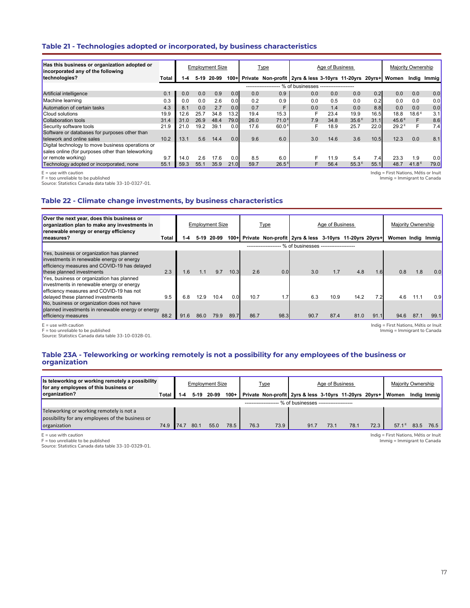# **Table 21 - Technologies adopted or incorporated, by business characteristics**

| Has this business or organization adopted or<br>incorporated any of the following |       |      |        | <b>Employment Size</b> |      |      | <u>Type</u>         |                                                                   | Age of Business |       |                  | Majority Ownership |                   |       |
|-----------------------------------------------------------------------------------|-------|------|--------|------------------------|------|------|---------------------|-------------------------------------------------------------------|-----------------|-------|------------------|--------------------|-------------------|-------|
| technologies?                                                                     | Total | 1-4  | $5-19$ | 20-99                  |      |      |                     | 100+ Private Non-profit 2yrs & less 3-10yrs 11-20yrs 20yrs+ Women |                 |       |                  |                    | Indig             | Immig |
|                                                                                   |       |      |        |                        |      |      | ------------------- | .% of businesses --------------------                             |                 |       |                  |                    |                   |       |
| Artificial intelligence                                                           | 0.1   | 0.0  | 0.0    | 0.9                    | 0.0  | 0.0  | 0.9                 | 0.0                                                               | 0.0             | 0.0   | 0.2              | 0.0                | 0.0               | 0.0   |
| Machine learning                                                                  | 0.3   | 0.0  | 0.0    | 2.6                    | 0.01 | 0.2  | 0.9                 | 0.0                                                               | 0.5             | 0.0   | 0.2              | 0.0                | 0.0               | 0.0   |
| Automation of certain tasks                                                       | 4.3   | 8.1  | 0.0    | 2.7                    | 0.01 | 0.7  |                     | 0.0                                                               | 1.4             | 0.0   | 8.8 <sub>1</sub> | 0.0                | 0.0               | 0.0   |
| <b>Cloud solutions</b>                                                            | 19.9  | 12.6 | 25.7   | 34.8                   | 13.2 | 19.4 | 15.3                |                                                                   | 23.4            | 19.9  | 16.5             | 18.8               | 18.6 <sup>E</sup> | 3.1   |
| Collaboration tools                                                               | 31.4  | 31.0 | 26.9   | 48.4                   | 79.0 | 26.0 | 71.0 <sup>E</sup>   | 7.9                                                               | 34.8            | 35.6E | 31.1             | 45.6E              | F                 | 8.6   |
| Security software tools                                                           | 21.9  | 21.0 | 19.2   | 39.1                   | 0.01 | 17.6 | 60.0 <sup>5</sup>   | F                                                                 | 18.9            | 25.7  | 22.0             | 29.2 <sup>E</sup>  | F                 | 7.4   |
| Software or databases for purposes other than                                     |       |      |        |                        |      |      |                     |                                                                   |                 |       |                  |                    |                   |       |
| <b>Itelework and online sales</b>                                                 | 10.2  | 13.1 | 5.6    | 14.4                   | 0.0  | 9.6  | 6.0                 | 3.0                                                               | 14.6            | 3.6   | 10.5             | 12.3               | 0.0               | 8.1   |
| Digital technology to move business operations or                                 |       |      |        |                        |      |      |                     |                                                                   |                 |       |                  |                    |                   |       |
| sales online (for purposes other than teleworking                                 |       |      |        |                        |      |      |                     |                                                                   |                 |       |                  |                    |                   |       |
| or remote working)                                                                | 9.7   | 14.0 | 2.6    | 17.6                   | 0.01 | 8.5  | 6.0                 |                                                                   | 11.9            | 5.4   | 7.4              | 23.3               | 1.9               | 0.0   |
| Technology adopted or incorporated, none                                          | 55.1  | 59.3 | 55.1   | 35.9                   | 21.0 | 59.7 | $26.5^{\text{E}}$   | F                                                                 | 56.4            | 55.3E | 55.1             | 48.7               | 41.8 $E$          | 79.0  |

E = use with caution

F = too unreliable to be published

Source: Statistics Canada data table 33-10-0327-01.

Indig = First Nations, Métis or Inuit

Immig = Immigrant to Canada

# **Table 22 - Climate change investments, by business characteristics**

| Over the next year, does this business or<br>organization plan to make any investments in<br>renewable energy or energy efficiency                                      |       |      |      | <b>Employment Size</b> |      |      | <b>Type</b>           |                                                             | Age of Business |      |      | Majority Ownership |      |      |
|-------------------------------------------------------------------------------------------------------------------------------------------------------------------------|-------|------|------|------------------------|------|------|-----------------------|-------------------------------------------------------------|-----------------|------|------|--------------------|------|------|
| measures?                                                                                                                                                               | Total | -4   |      | 5-19 20-99             |      |      |                       | 100+ Private Non-profit 2yrs & less 3-10yrs 11-20yrs 20yrs+ |                 |      |      | Women Indig Immig  |      |      |
|                                                                                                                                                                         |       |      |      |                        |      |      | --------------------- | % of businesses --------------------                        |                 |      |      |                    |      |      |
| Yes, business or organization has planned<br>investments in renewable energy or energy<br>efficiency measures and COVID-19 has delayed<br>these planned investments     | 2.3   | 1.6  | 1.1  | 9.7                    | 10.3 | 2.6  | 0.0                   | 3.0                                                         | 1.7             | 4.8  | 1.6  | 0.8                | 1.8  | 0.0  |
| Yes, business or organization has planned<br>investments in renewable energy or energy<br>efficiency measures and COVID-19 has not<br>delayed these planned investments | 9.5   | 6.8  | 12.9 | 10.4                   | 0.0  | 10.7 | 1.7                   | 6.3                                                         | 10.9            | 14.2 | 7.2  | 4.6                | 11.1 | 0.9  |
| No, business or organization does not have<br>planned investments in renewable energy or energy<br>efficiency measures                                                  | 88.2  | 91.6 | 86.0 | 79.9                   | 89.7 | 86.7 | 98.3                  | 90.7                                                        | 87.4            | 81.0 | 91.1 | 94.6               | 87.1 | 99.1 |

E = use with caution

F = too unreliable to be published

Source: Statistics Canada data table 33-10-0328-01.

Indig = First Nations, Métis or Inuit Immig = Immigrant to Canada

# **Table 23A - Teleworking or working remotely is not a possibility for any employees of the business or organization**

| Is teleworking or working remotely a possibility<br>for any employees of this business or |         |     | <b>Employment Size</b> |      |      | <u>Type</u> |                                                             | Age of Business |      |      | Majority Ownership |             |      |
|-------------------------------------------------------------------------------------------|---------|-----|------------------------|------|------|-------------|-------------------------------------------------------------|-----------------|------|------|--------------------|-------------|------|
| organization?                                                                             | Total I |     | 5-19 20-99             |      |      |             | 100+ Private Non-profit 2yrs & less 3-10yrs 11-20yrs 20yrs+ |                 |      |      | Women              | Indig Immig |      |
|                                                                                           |         |     |                        |      |      |             | - % of businesses --------------------                      |                 |      |      |                    |             |      |
| Teleworking or working remotely is not a                                                  |         |     |                        |      |      |             |                                                             |                 |      |      |                    |             |      |
| possibility for any employees of the business or                                          |         |     |                        |      |      |             |                                                             |                 |      |      |                    |             |      |
| organization                                                                              | 74.9    | 74. | 55.0                   | 78.5 | 76.3 | 73.9        | 91.7                                                        | 73.1            | 78.1 | 72.3 | 57.1               | 83.5        | 76.5 |

E = use with caution F = too unreliable to be published

Source: Statistics Canada data table 33-10-0329-01.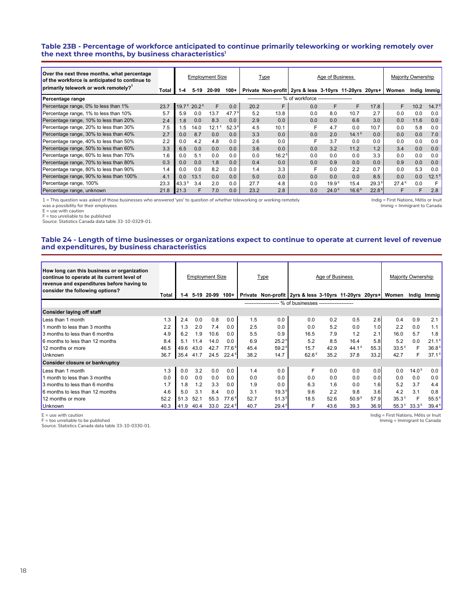#### **Table 23B - Percentage of workforce anticipated to continue primarily teleworking or working remotely over the next three months, by business characteristics1**

| Over the next three months, what percentage<br>of the workforce is anticipated to continue to |         | <b>Employment Size</b> |                                     |          | Type              |      | Age of Business     |                                                        |                   |                   |                   | Majority Ownership |      |                   |
|-----------------------------------------------------------------------------------------------|---------|------------------------|-------------------------------------|----------|-------------------|------|---------------------|--------------------------------------------------------|-------------------|-------------------|-------------------|--------------------|------|-------------------|
| primarily telework or work remotely? <sup>1</sup>                                             | Total I | $1 - 4$                | $5-19$                              | 20-99    | $100+$            |      |                     | Private Non-profit 2yrs & less 3-10yrs 11-20yrs 20yrs+ |                   |                   |                   | Women              |      | Indig Immig       |
| Percentage range                                                                              |         |                        |                                     |          |                   |      | ------------------- | - % of workforce -------------------                   |                   |                   |                   |                    |      |                   |
| Percentage range, 0% to less than 1%                                                          | 23.7    |                        | 19.7 <sup>E</sup> 20.2 <sup>E</sup> | F.       | 0.0               | 20.2 | F.                  | 0.0                                                    | F                 | F.                | 17.8              | F                  | 10.2 | 14.7 <sup>5</sup> |
| Percentage range, 1% to less than 10%                                                         | 5.7     | 5.9                    | 0.0                                 | 13.7     | 47.7 <sup>E</sup> | 5.2  | 13.8                | 0.0                                                    | 8.0               | 10.7              | 2.7               | 0.0                | 0.0  | 0.0               |
| Percentage range, 10% to less than 20%                                                        | 2.4     | 1.8                    | 0.0                                 | 8.3      | 0.0               | 2.9  | 0.0                 | 0.0                                                    | 0.0               | 6.6               | 3.0               | 0.0                | 11.6 | 0.0               |
| Percentage range, 20% to less than 30%                                                        | 7.5     | 1.5                    | 14.0                                | $12.1^E$ | 52.3 <sup>E</sup> | 4.5  | 10.1                | F                                                      | 4.7               | 0.0               | 10.7              | 0.0                | 5.8  | 0.0               |
| Percentage range, 30% to less than 40%                                                        | 2.7     | 0.0                    | 8.7                                 | 0.0      | 0.0               | 3.3  | 0.0                 | 0.0                                                    | 2.0               | $14.1^{\circ}$    | 0.0               | 0.0                | 0.0  | 7.0               |
| Percentage range, 40% to less than 50%                                                        | 2.2     | 0.0                    | 4.2                                 | 4.8      | 0.0               | 2.6  | 0.0                 | F                                                      | 3.7               | 0.0               | 0.0               | 0.0                | 0.0  | 0.0               |
| Percentage range, 50% to less than 60%                                                        | 3.3     | 6.5                    | 0.0                                 | 0.0      | 0.0               | 3.6  | 0.0                 | 0.0                                                    | 3.2               | 11.2              | 1.2               | 3.4                | 0.0  | 0.0               |
| Percentage range, 60% to less than 70%                                                        | 1.6     | 0.0                    | 5.1                                 | 0.0      | 0.0               | 0.0  | $16.2^E$            | 0.0                                                    | 0.0               | 0.0               | 3.3               | 0.0                | 0.0  | 0.0               |
| Percentage range, 70% to less than 80%                                                        | 0.3     | 0.0                    | 0.0                                 | 1.8      | 0.0               | 0.4  | 0.0                 | 0.0                                                    | 0.9               | 0.0               | 0.0               | 0.9                | 0.0  | 0.0               |
| Percentage range, 80% to less than 90%                                                        | 1.4     | 0.0                    | 0.0                                 | 8.2      | 0.0               | 1.4  | 3.3                 | F                                                      | 0.0               | 2.2               | 0.7               | 0.0                | 5.3  | 0.0               |
| Percentage range, 90% to less than 100%                                                       | 4.1     | 0.0                    | 13.1                                | 0.0      | 0.0               | 5.0  | 0.0                 | 0.0                                                    | 0.0               | 0.0               | 8.5               | 0.0                | 0.0  | 12.1              |
| Percentage range, 100%                                                                        | 23.3    | 43.3 <sup>E</sup>      | 3.4                                 | 2.0      | 0.0               | 27.7 | 4.8                 | 0.0                                                    | 19.9 <sup>E</sup> | 15.4              | 29.3 <sup>E</sup> | $27.4^{\text{E}}$  | 0.0  | F                 |
| Percentage range, unknown                                                                     | 21.8    | 21.3                   |                                     | 7.0      | 0.0               | 23.2 | 2.8                 | 0.0                                                    | 24.0 <sup>E</sup> | 16.6 <sup>E</sup> | 22.8 <sup>E</sup> | F                  | F    | 2.8               |

1 = This question was asked of those businesses who answered 'yes' to question of whether teleworking or working remotely

Indig = First Nations, Métis or Inuit Immig = Immigrant to Canada

was a possibility for their employees  $E =$  use with caution

F = too unreliable to be published

Source: Statistics Canada data table 33-10-0329-01.

#### **Table 24 - Length of time businesses or organizations expect to continue to operate at current level of revenue and expenditures, by business characteristics**

| How long can this business or organization<br>continue to operate at its current level of<br>revenue and expenditures before having to<br>consider the following options? |       | <b>Employment Size</b> |      |                 | <b>Type</b>       |      | Age of Business   |                                                           |      |                                | Majority Ownership |                |                   |                   |
|---------------------------------------------------------------------------------------------------------------------------------------------------------------------------|-------|------------------------|------|-----------------|-------------------|------|-------------------|-----------------------------------------------------------|------|--------------------------------|--------------------|----------------|-------------------|-------------------|
|                                                                                                                                                                           | Total | $1 - 4$                |      | 5-19 20-99 100+ |                   |      |                   | Private Non-profit 2yrs & less 3-10yrs 11-20yrs 20yrs+    |      |                                |                    | Women          |                   | Indig Immig       |
|                                                                                                                                                                           |       |                        |      |                 |                   |      |                   | -------------------- % of businesses -------------------- |      |                                |                    |                |                   |                   |
| Consider laying off staff                                                                                                                                                 |       |                        |      |                 |                   |      |                   |                                                           |      |                                |                    |                |                   |                   |
| Less than 1 month                                                                                                                                                         | 1.3   | 2.4                    | 0.0  | 0.8             | 0.0               | 1.5  | 0.0               | 0.0                                                       | 0.2  | 0.5                            | 2.6                | 0.4            | 0.9               | 2.1               |
| 1 month to less than 3 months                                                                                                                                             | 2.2   | 1.3                    | 2.0  | 7.4             | 0.0               | 2.5  | 0.0               | 0.0                                                       | 5.2  | 0.0                            | 1.0                | 2.2            | 0.0               | 1.1               |
| 3 months to less than 6 months                                                                                                                                            | 4.9   | 6.2                    | 1.9  | 10.6            | 0.0               | 5.5  | 0.9               | 16.5                                                      | 7.9  | 1.2                            | 2.1                | 16.0           | 5.7               | 1.8               |
| 6 months to less than 12 months                                                                                                                                           | 8.4   | 5.1                    | 11.4 | 14.0            | 0.0               | 6.9  | $25.2^E$          | 5.2                                                       | 8.5  | 16.4                           | 5.8                | 5.2            | 0.0               | $21.1^E$          |
| 12 months or more                                                                                                                                                         | 46.5  | 49.6                   | 43.0 | 42.7            | 77.6 <sup>E</sup> | 45.4 | $59.2^{\circ}$    | 15.7                                                      | 42.9 | 44.1 <sup><math>E</math></sup> | 55.3               | $33.5^E$       | F                 | 36.8F             |
| <b>Unknown</b>                                                                                                                                                            | 36.7  | 35.4                   | 41.7 | 24.5            | $22.4^{\circ}$    | 38.2 | 14.7              | 62.6 <sup>E</sup>                                         | 35.2 | 37.8                           | 33.2               | 42.7           | F                 | $37.1^{\text{E}}$ |
| Consider closure or bankruptcy                                                                                                                                            |       |                        |      |                 |                   |      |                   |                                                           |      |                                |                    |                |                   |                   |
| Less than 1 month                                                                                                                                                         | 1.3   | 0.0                    | 3.2  | 0.0             | 0.0               | 1.4  | 0.0               | F                                                         | 0.0  | 0.0                            | 0.0                | 0.0            | 14.0 <sup>E</sup> | 0.0               |
| 1 month to less than 3 months                                                                                                                                             | 0.0   | 0.0                    | 0.0  | 0.0             | 0.0               | 0.0  | 0.0               | 0.0                                                       | 0.0  | 0.0                            | 0.0                | 0.0            | 0.0               | 0.0               |
| 3 months to less than 6 months                                                                                                                                            | 1.7   | 1.8                    | 1.2  | 3.3             | 0.0               | 1.9  | 0.0               | 6.3                                                       | 1.6  | 0.0                            | 1.6                | 5.2            | 3.7               | 4.4               |
| 6 months to less than 12 months                                                                                                                                           | 4.6   | 5.0                    | 3.1  | 8.4             | 0.0               | 3.1  | 19.3 <sup>E</sup> | 9.6                                                       | 2.2  | 9.8                            | 3.6                | 4.2            | 3.1               | 0.8               |
| 12 months or more                                                                                                                                                         | 52.2  | 51.3                   | 52.1 | 55.3            | $77.6^{\circ}$    | 52.7 | 51.3 <sup>E</sup> | 18.5                                                      | 52.6 | 50.9 <sup>E</sup>              | 57.9               | 35.3E          | F                 | $55.5^{\,8}$      |
| <b>Unknown</b>                                                                                                                                                            | 40.3  | 41.9                   | 40.4 | 33.0            | $22.4^{\circ}$    | 40.7 | $29.4^{\circ}$    | F                                                         | 43.6 | 39.3                           | 36.9               | $55.3^{\circ}$ | $33.3^{\circ}$    | $39.4^{\text{E}}$ |

E = use with caution F = too unreliable to be published

Source: Statistics Canada data table 33-10-0330-01.

Indig = First Nations, Métis or Inuit

Immig = Immigrant to Canada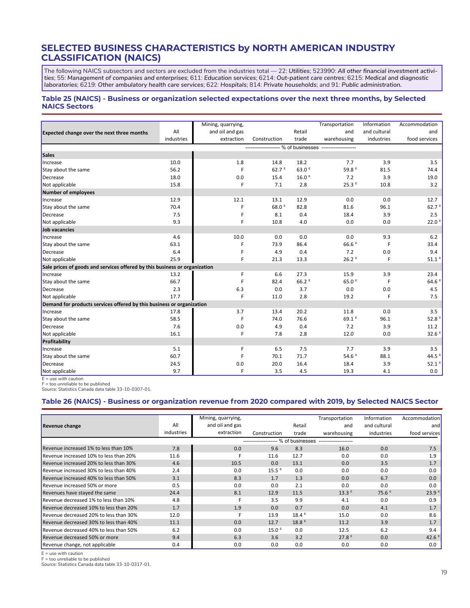# **SELECTED BUSINESS CHARACTERISTICS by NORTH AMERICAN INDUSTRY CLASSIFICATION (NAICS)**

The following NAICS subsectors and sectors are excluded from the industries total — 22: *Utilities*; 523990: *All other financial investment activities*; 55: *Management of companies and enterprises*; 611: *Education services*; 6214: *Out-patient care centres*; 6215: *Medical and diagnostic laboratories*; 6219: *Other ambulatory health care services*; 622: *Hospitals*; 814: *Private households*; and 91: *Public administration.*

#### **Table 25 (NAICS) - Business or organization selected expectations over the next three months, by Selected NAICS Sectors**

|                                                                            |            | Mining, quarrying, |                           |                             | Transportation                          | Information  | Accommodation       |
|----------------------------------------------------------------------------|------------|--------------------|---------------------------|-----------------------------|-----------------------------------------|--------------|---------------------|
|                                                                            | All        | and oil and gas    |                           | Retail                      | and                                     | and cultural | and                 |
| <b>Expected change over the next three months</b>                          | industries | extraction         | Construction              | trade                       | warehousing                             | industries   | food services       |
|                                                                            |            |                    |                           |                             | --- % of businesses ------------------- |              |                     |
| <b>Sales</b>                                                               |            |                    |                           |                             |                                         |              |                     |
|                                                                            | 10.0       |                    |                           |                             | 7.7                                     | 3.9          | 3.5                 |
| Increase                                                                   |            | 1.8                | 14.8<br>62.7 <sup>E</sup> | 18.2<br>$63.0$ <sup>E</sup> | 59.8 <sup>E</sup>                       |              |                     |
| Stay about the same                                                        | 56.2       | F                  |                           |                             |                                         | 81.5         | 74.4                |
| Decrease                                                                   | 18.0       | 0.0                | 15.4                      | 16.0 <sup>E</sup>           | 7.2                                     | 3.9          | 19.0                |
| Not applicable                                                             | 15.8       | F                  | 7.1                       | 2.8                         | 25.3E                                   | 10.8         | 3.2                 |
| Number of employees                                                        |            |                    |                           |                             |                                         |              |                     |
| Increase                                                                   | 12.9       | 12.1               | 13.1                      | 12.9                        | 0.0                                     | 0.0          | 12.7                |
| Stay about the same                                                        | 70.4       | F                  | 68.0 <sup>E</sup>         | 82.8                        | 81.6                                    | 96.1         | 62.7 <sup>E</sup>   |
| Decrease                                                                   | 7.5        | F                  | 8.1                       | 0.4                         | 18.4                                    | 3.9          | 2.5                 |
| Not applicable                                                             | 9.3        | F                  | 10.8                      | 4.0                         | 0.0                                     | 0.0          | $22.0$ <sup>E</sup> |
| Job vacancies                                                              |            |                    |                           |                             |                                         |              |                     |
| Increase                                                                   | 4.6        | 10.0               | 0.0                       | 0.0                         | 0.0                                     | 9.3          | 6.2                 |
| Stay about the same                                                        | 63.1       | F                  | 73.9                      | 86.4                        | 66.6 <sup>E</sup>                       |              | 33.4                |
| Decrease                                                                   | 6.4        | F                  | 4.9                       | 0.4                         | 7.2                                     | 0.0          | 9.4                 |
| Not applicable                                                             | 25.9       | F                  | 21.3                      | 13.3                        | $26.2$ <sup>E</sup>                     | F            | $51.1$ <sup>E</sup> |
| Sale prices of goods and services offered by this business or organization |            |                    |                           |                             |                                         |              |                     |
| Increase                                                                   | 13.2       | F                  | 6.6                       | 27.3                        | 15.9                                    | 3.9          | 23.4                |
| Stay about the same                                                        | 66.7       | F                  | 82.4                      | $66.2$ <sup>E</sup>         | 65.0 <sup>E</sup>                       |              | $64.6$ <sup>E</sup> |
| Decrease                                                                   | 2.3        | 6.3                | 0.0                       | 3.7                         | 0.0                                     | 0.0          | 4.5                 |
| Not applicable                                                             | 17.7       | F                  | 11.0                      | 2.8                         | 19.2                                    | F            | 7.5                 |
| Demand for products services offered by this business or organization      |            |                    |                           |                             |                                         |              |                     |
| Increase                                                                   | 17.8       | 3.7                | 13.4                      | 20.2                        | 11.8                                    | 0.0          | 3.5                 |
| Stay about the same                                                        | 58.5       | F                  | 74.0                      | 76.6                        | 69.1 <sup>E</sup>                       | 96.1         | 52.8 E              |
| Decrease                                                                   | 7.6        | 0.0                | 4.9                       | 0.4                         | 7.2                                     | 3.9          | 11.2                |
| Not applicable                                                             | 16.1       | F                  | 7.8                       | 2.8                         | 12.0                                    | 0.0          | $32.6$ <sup>E</sup> |
| Profitability                                                              |            |                    |                           |                             |                                         |              |                     |
| Increase                                                                   | 5.1        | F                  | 6.5                       | 7.5                         | 7.7                                     | 3.9          | 3.5                 |
| Stay about the same                                                        | 60.7       | F                  | 70.1                      | 71.7                        | 54.6 $E$                                | 88.1         | $44.5$ <sup>E</sup> |
| Decrease                                                                   | 24.5       | 0.0                | 20.0                      | 16.4                        | 18.4                                    | 3.9          | $52.1$ <sup>E</sup> |
| Not applicable                                                             | 9.7        | F                  | 3.5                       | 4.5                         | 19.3                                    | 4.1          | 0.0                 |

 $E =$  use with caution

F = too unreliable to be published

Source: Statistics Canada data table 33-10-0307-01.

#### **Table 26 (NAICS) - Business or organization revenue from 2020 compared with 2019, by Selected NAICS Sector**

|                                        |            | Mining, quarrying, |                   |                   | Transportation    | Information       | Accommodation     |
|----------------------------------------|------------|--------------------|-------------------|-------------------|-------------------|-------------------|-------------------|
| Revenue change                         | All        | and oil and gas    |                   | Retail            | and               | and cultural      | and               |
|                                        | industries | extraction         | Construction      | trade             | warehousing       | industries        | food services     |
|                                        |            |                    |                   | % of businesses   |                   |                   |                   |
| Revenue increased 1% to less than 10%  | 7.8        | 0.0                | 9.6               | 8.3               | 16.0              | 0.0               | 7.5               |
| Revenue increased 10% to less than 20% | 11.6       |                    | 11.6              | 12.7              | 0.0               | 0.0               | 1.9               |
| Revenue increased 20% to less than 30% | 4.6        | 10.5               | 0.0               | 13.1              | 0.0               | 3.5               | 1.7               |
| Revenue increased 30% to less than 40% | 2.4        | 0.0                | $15.5^E$          | 0.0               | 0.0               | 0.0               | 0.0               |
| Revenue increased 40% to less than 50% | 3.1        | 8.3                | 1.7               | 1.3               | 0.0               | 6.7               | 0.0               |
| Revenue increased 50% or more          | 0.5        | 0.0                | 0.0               | 2.1               | 0.0               | 0.0               | 0.0               |
| Revenues have stayed the same          | 24.4       | 8.1                | 12.9              | 11.5              | 13.3E             | 75.6 <sup>E</sup> | 23.9 <sup>E</sup> |
| Revenue decreased 1% to less than 10%  | 4.8        |                    | 3.5               | 9.9               | 4.1               | 0.0               | 0.9               |
| Revenue decreased 10% to less than 20% | 1.7        | 1.9                | 0.0               | 0.7               | 0.0               | 4.1               | 1.7               |
| Revenue decreased 20% to less than 30% | 12.0       |                    | 13.9              | $18.4^E$          | 15.0              | 0.0               | 8.6               |
| Revenue decreased 30% to less than 40% | 11.1       | 0.0                | 12.7              | 18.8 <sup>E</sup> | 11.2              | 3.9               | 1.7               |
| Revenue decreased 40% to less than 50% | 6.2        | 0.0                | 15.0 <sup>E</sup> | 0.0               | 12.5              | 6.2               | 9.4               |
| Revenue decreased 50% or more          | 9.4        | 6.3                | 3.6               | 3.2               | 27.8 <sup>E</sup> | 0.0               | 42.6 $E$          |
| Revenue change, not applicable         | 0.4        | 0.0                | 0.0               | 0.0               | 0.0               | 0.0               | 0.0               |

E = use with caution

F = too unreliable to be published

Source: Statistics Canada data table 33-10-0317-01.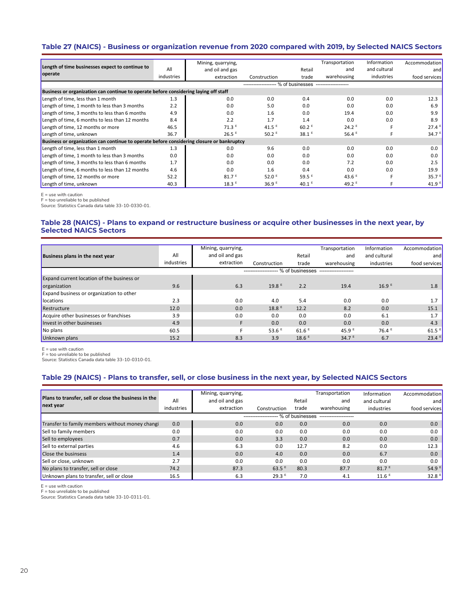# **Table 27 (NAICS) - Business or organization revenue from 2020 compared with 2019, by Selected NAICS Sectors**

|                                                                                           |            | Mining, quarrying,  |                                     |                     | Transportation       | Information  | Accommodation     |  |  |  |  |  |
|-------------------------------------------------------------------------------------------|------------|---------------------|-------------------------------------|---------------------|----------------------|--------------|-------------------|--|--|--|--|--|
| Length of time businesses expect to continue to                                           | All        | and oil and gas     |                                     | Retail              | and                  | and cultural | and               |  |  |  |  |  |
| operate                                                                                   | industries | extraction          | Construction                        | trade               | warehousing          | industries   | food services     |  |  |  |  |  |
|                                                                                           |            |                     | ------------------- % of businesses |                     | -------------------- |              |                   |  |  |  |  |  |
| Business or organization can continue to operate before considering laying off staff      |            |                     |                                     |                     |                      |              |                   |  |  |  |  |  |
| Length of time, less than 1 month                                                         | 1.3        | 0.0                 | 0.0                                 | 0.4                 | 0.0                  | 0.0          | 12.3              |  |  |  |  |  |
| Length of time, 1 month to less than 3 months                                             | 2.2        | 0.0                 | 5.0                                 | 0.0                 | 0.0                  | 0.0          | 6.9               |  |  |  |  |  |
| Length of time, 3 months to less than 6 months                                            | 4.9        | 0.0                 | 1.6                                 | 0.0                 | 19.4                 | 0.0          | 9.9               |  |  |  |  |  |
| Length of time, 6 months to less than 12 months                                           | 8.4        | 2.2                 | 1.7                                 | 1.4                 | 0.0                  | 0.0          | 8.9               |  |  |  |  |  |
| Length of time, 12 months or more                                                         | 46.5       | $71.3$ <sup>E</sup> | 41.5 $E$                            | $60.2$ <sup>E</sup> | 24.2 <sup>E</sup>    |              | $27.4^E$          |  |  |  |  |  |
| Length of time, unknown                                                                   | 36.7       | 26.5 <sup>E</sup>   | $50.2$ <sup>E</sup>                 | $38.1$ <sup>E</sup> | 56.4 $E$             |              | 34.7 $E$          |  |  |  |  |  |
| Business or organization can continue to operate before considering closure or bankruptcy |            |                     |                                     |                     |                      |              |                   |  |  |  |  |  |
| Length of time, less than 1 month                                                         | 1.3        | 0.0                 | 9.6                                 | 0.0                 | 0.0                  | 0.0          | 0.0               |  |  |  |  |  |
| Length of time, 1 month to less than 3 months                                             | 0.0        | 0.0                 | 0.0                                 | 0.0                 | 0.0                  | 0.0          | 0.0               |  |  |  |  |  |
| Length of time, 3 months to less than 6 months                                            | 1.7        | 0.0                 | 0.0                                 | 0.0                 | 7.2                  | 0.0          | 2.5               |  |  |  |  |  |
| Length of time, 6 months to less than 12 months                                           | 4.6        | 0.0                 | 1.6                                 | 0.4                 | 0.0                  | 0.0          | 19.9              |  |  |  |  |  |
| Length of time, 12 months or more                                                         | 52.2       | 81.7 <sup>E</sup>   | 52.0 <sup><math>E</math></sup>      | 59.5 <sup>E</sup>   | 43.6 $E$             |              | 35.7 $E$          |  |  |  |  |  |
| Length of time, unknown                                                                   | 40.3       | 18.3E               | 36.9 <sup>E</sup>                   | $40.1$ <sup>E</sup> | 49.2 $E$             |              | 41.9 <sup>E</sup> |  |  |  |  |  |

E = use with caution

F = too unreliable to be published Source: Statistics Canada data table 33-10-0330-01.

#### **Table 28 (NAICS) - Plans to expand or restructure business or acquire other businesses in the next year, by Selected NAICS Sectors**

|                                                 |            | Mining, quarrying, |                   |                     | Transportation                 | Information       | Accommodation       |
|-------------------------------------------------|------------|--------------------|-------------------|---------------------|--------------------------------|-------------------|---------------------|
|                                                 |            |                    |                   |                     |                                |                   |                     |
| Business plans in the next year                 | All        | and oil and gas    |                   | Retail              | and                            | and cultural      | and                 |
|                                                 | industries | extraction         | Construction      | trade               | warehousing                    | industries        | food services       |
|                                                 |            |                    |                   | % of businesses     |                                |                   |                     |
| Expand current location of the business or      |            |                    |                   |                     |                                |                   |                     |
| organization                                    | 9.6        | 6.3                | 19.8 <sup>E</sup> | 2.2                 | 19.4                           | 16.9 <sup>E</sup> | 1.8                 |
| <b>Expand business or organization to other</b> |            |                    |                   |                     |                                |                   |                     |
| locations                                       | 2.3        | 0.0                | 4.0               | 5.4                 | 0.0                            | 0.0               | 1.7                 |
| Restructure                                     | 12.0       | 0.0                | 18.8 <sup>E</sup> | 12.2                | 8.2                            | 0.0               | 15.1                |
| Acquire other businesses or franchises          | 3.9        | 0.0                | 0.0               | 0.0                 | 0.0                            | 6.1               | 1.7                 |
| Invest in other businesses                      | 4.9        | F                  | 0.0               | 0.0                 | 0.0                            | 0.0               | 4.3                 |
| No plans                                        | 60.5       |                    | 53.6 $E$          | $61.6$ <sup>E</sup> | 45.9 <sup><math>E</math></sup> | 76.4 <sup>E</sup> | $61.5$ <sup>E</sup> |
| Unknown plans                                   | 15.2       | 8.3                | 3.9               | 18.6E               | 34.7 $E$                       | 6.7               | $23.4$ <sup>E</sup> |

E = use with caution

F = too unreliable to be published

Source: Statistics Canada data table 33-10-0310-01.

# **Table 29 (NAICS) - Plans to transfer, sell, or close business in the next year, by Selected NAICS Sectors**

| Plans to transfer, sell or close the business in the |            | Mining, quarrying, |                       |                 | Transportation | Information         | Accommodation                  |
|------------------------------------------------------|------------|--------------------|-----------------------|-----------------|----------------|---------------------|--------------------------------|
|                                                      | All        | and oil and gas    |                       | Retail          | and            | and cultural        | and                            |
| next year                                            | industries | extraction         | Construction          | trade           | warehousing    | industries          | food services                  |
|                                                      |            |                    | --------------------- | % of businesses |                |                     |                                |
| Transfer to family members without money changi      | 0.0        | 0.0                | 0.0                   | 0.0             | 0.0            | 0.0                 | 0.0                            |
| Sell to family members                               | 0.0        | 0.0                | 0.0                   | 0.0             | 0.0            | 0.0                 | 0.0                            |
| Sell to employees                                    | 0.7        | 0.0                | 3.3                   | 0.0             | 0.0            | 0.0                 | 0.0                            |
| Sell to external parties                             | 4.6        | 6.3                | 0.0                   | 12.7            | 8.2            | 0.0                 | 12.3                           |
| Close the businsess                                  | 1.4        | 0.0                | 4.0                   | 0.0             | 0.0            | 6.7                 | 0.0                            |
| Sell or close, unknown                               | 2.7        | 0.0                | 0.0                   | 0.0             | 0.0            | 0.0                 | 0.0                            |
| No plans to transfer, sell or close                  | 74.2       | 87.3               | $63.5$ <sup>E</sup>   | 80.3            | 87.7           | 81.7 <sup>E</sup>   | 54.9 <sup><math>E</math></sup> |
| Unknown plans to transfer, sell or close             | 16.5       | 6.3                | 29.3 <sup>E</sup>     | 7.0             | 4.1            | $11.6$ <sup>E</sup> | 32.8 <sup>E</sup>              |

E = use with caution

F = too unreliable to be published Source: Statistics Canada data table 33-10-0311-01.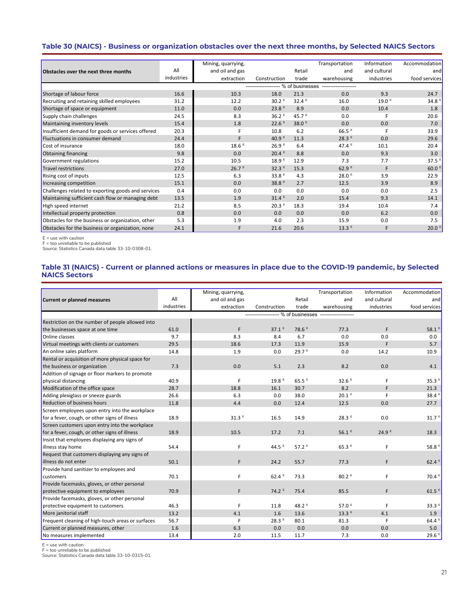# **Table 30 (NAICS) - Business or organization obstacles over the next three months, by Selected NAICS Sectors**

|                                                    |            | Mining, quarrying,  |                                     |                   | Transportation        | Information       | Accommodation       |
|----------------------------------------------------|------------|---------------------|-------------------------------------|-------------------|-----------------------|-------------------|---------------------|
| Obstacles over the next three months               | All        | and oil and gas     |                                     | Retail            | and                   | and cultural      | and                 |
|                                                    | industries | extraction          | Construction                        | trade             | warehousing           | industries        | food services       |
|                                                    |            |                     | ------------------- % of businesses |                   | --------------------- |                   |                     |
| Shortage of labour force                           | 16.6       | 10.3                | 18.0                                | 21.3              | 0.0                   | 9.3               | 24.7                |
| Recruiting and retaining skilled employees         | 31.2       | 12.2                | 30.2 <sup>E</sup>                   | 32.4 <sup>E</sup> | 16.0                  | 19.0 <sup>E</sup> | 34.8 <sup>E</sup>   |
| Shortage of space or equipment                     | 11.0       | 0.0                 | 23.8 <sup>E</sup>                   | 8.9               | 0.0                   | 10.4              | 1.8                 |
| Supply chain challenges                            | 24.5       | 8.3                 | 36.2 <sup>E</sup>                   | 45.7 $E$          | 0.0                   | F                 | 20.6                |
| Maintaining inventory levels                       | 15.4       | 1.8                 | 22.6 <sup>E</sup>                   | 38.0 <sup>E</sup> | 0.0                   | 0.0               | 7.0                 |
| Insufficient demand for goods or services offered  | 20.3       | F                   | 10.8                                | 6.2               | $66.5$ <sup>E</sup>   | F                 | 33.9                |
| Fluctuations in consumer demand                    | 24.4       | F                   | 40.9 $E$                            | 11.3              | 28.3 <sup>E</sup>     | 0.0               | 29.6                |
| Cost of insurance                                  | 18.0       | $18.6$ <sup>E</sup> | 26.9 <sup>E</sup>                   | 6.4               | 47.4 $E$              | 10.1              | 20.4                |
| Obtaining financing                                | 9.8        | 0.0                 | 20.4 <sup>E</sup>                   | 8.8               | 0.0                   | 9.3               | 3.0                 |
| Government regulations                             | 15.2       | 10.5                | 18.9 <sup>E</sup>                   | 12.9              | 7.3                   | 7.7               | $37.5$ <sup>E</sup> |
| Travel restrictions                                | 27.0       | 26.7 <sup>E</sup>   | 32.3E                               | 15.3              | 62.9 <sup>E</sup>     | F                 | 60.0 $E$            |
| <b>Rising cost of inputs</b>                       | 12.5       | 6.3                 | 33.8 $E$                            | 4.3               | 28.0 <sup>E</sup>     | 3.9               | 22.9                |
| Increasing competition                             | 15.1       | 0.0                 | 38.8 <sup>E</sup>                   | 2.7               | 12.5                  | 3.9               | 8.9                 |
| Challenges related to exporting goods and services | 0.4        | 0.0                 | 0.0                                 | 0.0               | 0.0                   | 0.0               | 2.5                 |
| Maintaining sufficient cash flow or managing debt  | 13.5       | 1.9                 | 31.4 <sup>E</sup>                   | 2.0               | 15.4                  | 9.3               | 14.1                |
| High speed internet                                | 21.2       | 8.5                 | 20.3 <sup>E</sup>                   | 18.3              | 19.4                  | 10.4              | 7.4                 |
| Intellectual property protection                   | 0.8        | 0.0                 | 0.0                                 | 0.0               | 0.0                   | 6.2               | 0.0                 |
| Obstacles for the business or organization, other  | 5.3        | 1.9                 | 4.0                                 | 2.3               | 15.9                  | 0.0               | 7.5                 |
| Obstacles for the business or organization, none   | 24.1       | F                   | 21.6                                | 20.6              | 13.3E                 | F                 | $20.0$ <sup>E</sup> |

E = use with caution

F = too unreliable to be published Source: Statistics Canada data table 33-10-0308-01.

#### **Table 31 (NAICS) - Current or planned actions or measures in place due to the COVID-19 pandemic, by Selected NAICS Sectors**

|                                                   |            | Mining, quarrying, |                                                    |                   | Transportation    | Information       | Accommodation       |
|---------------------------------------------------|------------|--------------------|----------------------------------------------------|-------------------|-------------------|-------------------|---------------------|
| Current or planned measures                       | All        | and oil and gas    |                                                    | Retail            | and               | and cultural      | and                 |
|                                                   | industries | extraction         | Construction                                       | trade             | warehousing       | industries        | food services       |
|                                                   |            |                    | ------------------- % of businesses -------------- |                   |                   |                   |                     |
| Restriction on the number of people allowed into  |            |                    |                                                    |                   |                   |                   |                     |
| the businesses space at one time                  | 61.0       | F                  | $37.1^E$                                           | 78.6 <sup>E</sup> | 77.3              | F                 | $58.1$ <sup>8</sup> |
| Online classes                                    | 9.7        | 8.3                | 8.4                                                | 6.7               | 0.0               | 0.0               | 0.0                 |
| Virtual meetings with clients or customers        | 29.5       | 18.6               | 17.3                                               | 11.9              | 15.9              | F                 | 5.7                 |
| An online sales platform                          | 14.8       | 1.9                | 0.0                                                | 29.7 <sup>E</sup> | 0.0               | 14.2              | 10.9                |
| Rental or acquisition of more physical space for  |            |                    |                                                    |                   |                   |                   |                     |
| the business or organization                      | 7.3        | 0.0                | 5.1                                                | 2.3               | 8.2               | 0.0               | 4.1                 |
| Addition of signage or floor markers to promote   |            |                    |                                                    |                   |                   |                   |                     |
| physical distancing                               | 40.9       | F                  | 19.8 <sup>E</sup>                                  | 65.5 <sup>E</sup> | 32.6 <sup>E</sup> | F                 | 35.3 <sup>E</sup>   |
| Modification of the office space                  | 28.7       | 18.8               | 16.1                                               | 30.7              | 8.2               | F                 | 21.3                |
| Adding plexiglass or sneeze guards                | 26.6       | 6.3                | 0.0                                                | 38.0              | 20.1 <sup>E</sup> | F                 | 38.4 <sup>8</sup>   |
| <b>Reduction of business hours</b>                | 11.8       | 4.4                | 0.0                                                | 12.4              | 12.5              | 0.0               | 27.7                |
| Screen employees upon entry into the workplace    |            |                    |                                                    |                   |                   |                   |                     |
| for a fever, cough, or other signs of illness     | 18.9       | 31.3 <sup>E</sup>  | 16.5                                               | 14.9              | 28.3E             | 0.0               | 31.7 <sup>E</sup>   |
| Screen customers upon entry into the workplace    |            |                    |                                                    |                   |                   |                   |                     |
| for a fever, cough, or other signs of illness     | 18.9       | 10.5               | 17.2                                               | 7.1               | 56.1E             | 24.9 <sup>E</sup> | 18.3                |
| Insist that employees displaying any signs of     |            |                    |                                                    |                   |                   |                   |                     |
| illness stay home                                 | 54.4       | F                  | 44.5 $E$                                           | $57.2^E$          | 65.3E             | F                 | 58.8 <sup>E</sup>   |
| Request that customers displaying any signs of    |            |                    |                                                    |                   |                   |                   |                     |
| illness do not enter                              | 50.1       | F                  | 24.2                                               | 55.7              | 77.3              | F                 | 62.4 <sup>E</sup>   |
| Provide hand sanitizer to employees and           |            |                    |                                                    |                   |                   |                   |                     |
| customers                                         | 70.1       | F                  | $62.4^E$                                           | 73.3              | 80.2 <sup>E</sup> | F                 | 70.4 <sup>8</sup>   |
| Provide facemasks, gloves, or other personal      |            |                    |                                                    |                   |                   |                   |                     |
| protective equipment to employees                 | 70.9       | F                  | $74.2$ <sup>E</sup>                                | 75.4              | 85.5              | F                 | 61.5                |
| Provide facemasks, gloves, or other personal      |            |                    |                                                    |                   |                   |                   |                     |
| protective equipment to customers                 | 46.3       | F                  | 11.8                                               | 48.2 <sup>E</sup> | 57.0 $E$          | F                 | 33.3 <sup>5</sup>   |
| More janitorial staff                             | 13.2       | 4.1                | 1.6                                                | 13.6              | 13.3E             | 4.1               | 1.9                 |
| Frequent cleaning of high-touch areas or surfaces | 56.7       | F                  | $28.3$ <sup>E</sup>                                | 80.1              | 81.3              | F                 | 64.4 <sup>E</sup>   |
| Current or planned measures, other                | 1.6        | 6.3                | 0.0                                                | 0.0               | 0.0               | 0.0               | 5.0                 |
| No measures implemented                           | 13.4       | 2.0                | 11.5                                               | 11.7              | 7.3               | 0.0               | 29.6 <sup>E</sup>   |

E = use with caution F = too unreliable to be published

Source: Statistics Canada data table 33-10-0315-01.